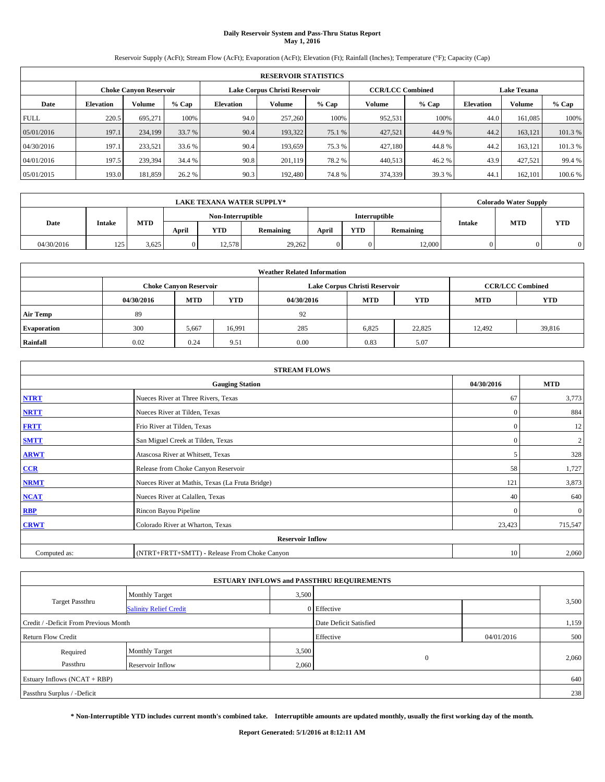# **Daily Reservoir System and Pass-Thru Status Report May 1, 2016**

Reservoir Supply (AcFt); Stream Flow (AcFt); Evaporation (AcFt); Elevation (Ft); Rainfall (Inches); Temperature (°F); Capacity (Cap)

|             | <b>RESERVOIR STATISTICS</b> |                        |         |                  |                                                          |         |               |         |                  |                    |         |  |
|-------------|-----------------------------|------------------------|---------|------------------|----------------------------------------------------------|---------|---------------|---------|------------------|--------------------|---------|--|
|             |                             | Choke Canvon Reservoir |         |                  | <b>CCR/LCC Combined</b><br>Lake Corpus Christi Reservoir |         |               |         |                  | <b>Lake Texana</b> |         |  |
| Date        | <b>Elevation</b>            | Volume                 | $%$ Cap | <b>Elevation</b> | Volume                                                   | $%$ Cap | <b>Volume</b> | $%$ Cap | <b>Elevation</b> | <b>Volume</b>      | % Cap   |  |
| <b>FULL</b> | 220.5                       | 695.271                | 100%    | 94.0             | 257,260                                                  | 100%    | 952,531       | 100%    | 44.0             | 161.085            | 100%    |  |
| 05/01/2016  | 197.1                       | 234,199                | 33.7 %  | 90.4             | 193.322                                                  | 75.1 %  | 427,521       | 44.9%   | 44.2             | 163,121            | 101.3%  |  |
| 04/30/2016  | 197.1                       | 233,521                | 33.6 %  | 90.4             | 193.659                                                  | 75.3 %  | 427,180       | 44.8%   | 44.2             | 163,121            | 101.3 % |  |
| 04/01/2016  | 197.5                       | 239.394                | 34.4 %  | 90.8             | 201.119                                                  | 78.2 %  | 440.513       | 46.2%   | 43.9             | 427.521            | 99.4 %  |  |
| 05/01/2015  | 193.0                       | 181,859                | 26.2 %  | 90.3             | 192,480                                                  | 74.8%   | 374,339       | 39.3 %  | 44.              | 162,101            | 100.6 % |  |

|            | <b>LAKE TEXANA WATER SUPPLY*</b> |            |       |                   |           |       |            |               |        | <b>Colorado Water Supply</b> |            |  |
|------------|----------------------------------|------------|-------|-------------------|-----------|-------|------------|---------------|--------|------------------------------|------------|--|
|            |                                  |            |       | Non-Interruptible |           |       |            | Interruptible |        |                              |            |  |
| Date       | <b>Intake</b>                    | <b>MTD</b> | April | <b>YTD</b>        | Remaining | April | <b>YTD</b> | Remaining     | Intake | <b>MTD</b>                   | <b>YTD</b> |  |
| 04/30/2016 | 125                              | 3,625      |       | 12.578            | 29,262    |       | $\Omega$   | 12,000        |        |                              |            |  |

| <b>Weather Related Information</b> |            |                                                                                  |        |      |                               |                         |        |        |  |  |
|------------------------------------|------------|----------------------------------------------------------------------------------|--------|------|-------------------------------|-------------------------|--------|--------|--|--|
|                                    |            | <b>Choke Canyon Reservoir</b>                                                    |        |      | Lake Corpus Christi Reservoir | <b>CCR/LCC Combined</b> |        |        |  |  |
|                                    | 04/30/2016 | <b>YTD</b><br><b>MTD</b><br><b>MTD</b><br><b>YTD</b><br><b>MTD</b><br>04/30/2016 |        |      |                               |                         |        |        |  |  |
| <b>Air Temp</b>                    | 89         |                                                                                  |        | 92   |                               |                         |        |        |  |  |
| <b>Evaporation</b>                 | 300        | 5,667                                                                            | 16,991 | 285  | 6,825                         | 22,825                  | 12.492 | 39,816 |  |  |
| Rainfall                           | 0.02       | 0.24                                                                             | 9.51   | 0.00 | 0.83                          | 5.07                    |        |        |  |  |

| <b>STREAM FLOWS</b> |                                                 |              |                |  |  |  |  |  |  |
|---------------------|-------------------------------------------------|--------------|----------------|--|--|--|--|--|--|
|                     | <b>Gauging Station</b>                          | 04/30/2016   | <b>MTD</b>     |  |  |  |  |  |  |
| <b>NTRT</b>         | Nueces River at Three Rivers, Texas             | 67           | 3,773          |  |  |  |  |  |  |
| <b>NRTT</b>         | Nueces River at Tilden, Texas                   | $\Omega$     | 884            |  |  |  |  |  |  |
| <b>FRTT</b>         | Frio River at Tilden, Texas                     | $\mathbf{0}$ | 12             |  |  |  |  |  |  |
| <b>SMTT</b>         | San Miguel Creek at Tilden, Texas               | $\mathbf{0}$ | $\overline{c}$ |  |  |  |  |  |  |
| <b>ARWT</b>         | Atascosa River at Whitsett, Texas               | 5            | 328            |  |  |  |  |  |  |
| $CCR$               | Release from Choke Canyon Reservoir             | 58           | 1,727          |  |  |  |  |  |  |
| <b>NRMT</b>         | Nueces River at Mathis, Texas (La Fruta Bridge) | 121          | 3,873          |  |  |  |  |  |  |
| <b>NCAT</b>         | Nueces River at Calallen, Texas                 | 40           | 640            |  |  |  |  |  |  |
| RBP                 | Rincon Bayou Pipeline                           | $\mathbf{0}$ | $\mathbf{0}$   |  |  |  |  |  |  |
| <b>CRWT</b>         | Colorado River at Wharton, Texas                | 23,423       | 715,547        |  |  |  |  |  |  |
|                     | <b>Reservoir Inflow</b>                         |              |                |  |  |  |  |  |  |
| Computed as:        | (NTRT+FRTT+SMTT) - Release From Choke Canyon    |              |                |  |  |  |  |  |  |

| <b>ESTUARY INFLOWS and PASSTHRU REQUIREMENTS</b> |                               |                        |                |            |       |  |  |  |  |  |
|--------------------------------------------------|-------------------------------|------------------------|----------------|------------|-------|--|--|--|--|--|
|                                                  | <b>Monthly Target</b>         | 3,500                  |                |            |       |  |  |  |  |  |
| <b>Target Passthru</b>                           | <b>Salinity Relief Credit</b> |                        | 0 Effective    |            | 3,500 |  |  |  |  |  |
| Credit / -Deficit From Previous Month            |                               | Date Deficit Satisfied |                | 1,159      |       |  |  |  |  |  |
| <b>Return Flow Credit</b>                        |                               |                        | Effective      | 04/01/2016 | 500   |  |  |  |  |  |
| Required                                         | <b>Monthly Target</b>         | 3,500                  |                |            |       |  |  |  |  |  |
| Passthru                                         | Reservoir Inflow              | 2,060                  | $\overline{0}$ |            | 2,060 |  |  |  |  |  |
| Estuary Inflows (NCAT + RBP)                     |                               |                        |                |            | 640   |  |  |  |  |  |
| Passthru Surplus / -Deficit                      |                               |                        |                |            |       |  |  |  |  |  |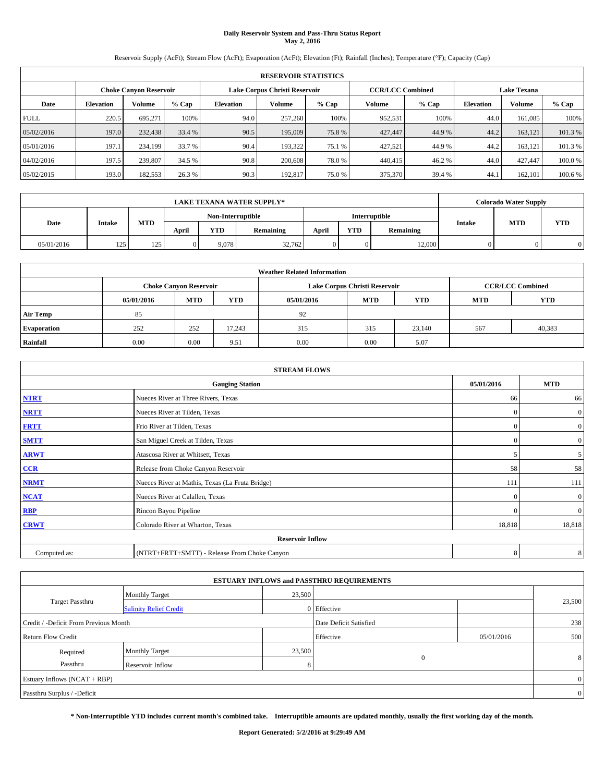# **Daily Reservoir System and Pass-Thru Status Report May 2, 2016**

Reservoir Supply (AcFt); Stream Flow (AcFt); Evaporation (AcFt); Elevation (Ft); Rainfall (Inches); Temperature (°F); Capacity (Cap)

|             | <b>RESERVOIR STATISTICS</b> |                               |         |           |                               |         |                         |         |                  |                    |         |  |
|-------------|-----------------------------|-------------------------------|---------|-----------|-------------------------------|---------|-------------------------|---------|------------------|--------------------|---------|--|
|             |                             | <b>Choke Canyon Reservoir</b> |         |           | Lake Corpus Christi Reservoir |         | <b>CCR/LCC Combined</b> |         |                  | <b>Lake Texana</b> |         |  |
| Date        | <b>Elevation</b>            | Volume                        | $%$ Cap | Elevation | Volume                        | $%$ Cap | Volume                  | $%$ Cap | <b>Elevation</b> | <b>Volume</b>      | % Cap   |  |
| <b>FULL</b> | 220.5                       | 695.271                       | 100%    | 94.0      | 257,260                       | 100%    | 952,531                 | 100%    | 44.0             | 161.085            | 100%    |  |
| 05/02/2016  | 197.0                       | 232,438                       | 33.4 %  | 90.5      | 195,009                       | 75.8%   | 427,447                 | 44.9%   | 44.2             | 163.121            | 101.3%  |  |
| 05/01/2016  | 197.1                       | 234,199                       | 33.7 %  | 90.4      | 193.322                       | 75.1 %  | 427.521                 | 44.9%   | 44.2             | 163.121            | 101.3%  |  |
| 04/02/2016  | 197.5                       | 239,807                       | 34.5 %  | 90.8      | 200,608                       | 78.0%   | 440,415                 | 46.2%   | 44.0             | 427,447            | 100.0%  |  |
| 05/02/2015  | 193.0                       | 182,553                       | 26.3%   | 90.3      | 192,817                       | 75.0%   | 375,370                 | 39.4 %  | 44.              | 162,101            | 100.6 % |  |

|            | <b>LAKE TEXANA WATER SUPPLY*</b> |            |       |                   |           |       |            |               |               | <b>Colorado Water Supply</b> |            |  |
|------------|----------------------------------|------------|-------|-------------------|-----------|-------|------------|---------------|---------------|------------------------------|------------|--|
|            |                                  |            |       | Non-Interruptible |           |       |            | Interruptible |               | <b>MTD</b>                   |            |  |
| Date       | Intake                           | <b>MTD</b> | April | YTD               | Remaining | April | <b>YTD</b> | Remaining     | <b>Intake</b> |                              | <b>YTD</b> |  |
| 05/01/2016 | 125                              | 125        |       | 9.078             | 32.762    |       |            | 12,000        |               |                              | 0          |  |

| <b>Weather Related Information</b> |                                                                                                |                               |        |      |                               |                         |     |        |  |  |
|------------------------------------|------------------------------------------------------------------------------------------------|-------------------------------|--------|------|-------------------------------|-------------------------|-----|--------|--|--|
|                                    |                                                                                                | <b>Choke Canyon Reservoir</b> |        |      | Lake Corpus Christi Reservoir | <b>CCR/LCC Combined</b> |     |        |  |  |
|                                    | <b>YTD</b><br><b>MTD</b><br><b>MTD</b><br><b>YTD</b><br>05/01/2016<br>05/01/2016<br><b>MTD</b> |                               |        |      |                               |                         |     |        |  |  |
| <b>Air Temp</b>                    | 85                                                                                             |                               |        | 92   |                               |                         |     |        |  |  |
| <b>Evaporation</b>                 | 252                                                                                            | 252                           | 17,243 | 315  | 315                           | 23,140                  | 567 | 40,383 |  |  |
| Rainfall                           | 0.00                                                                                           | 0.00                          | 9.51   | 0.00 | 0.00                          | 5.07                    |     |        |  |  |

| <b>STREAM FLOWS</b> |                                                 |            |                |  |  |  |  |  |  |  |
|---------------------|-------------------------------------------------|------------|----------------|--|--|--|--|--|--|--|
|                     | <b>Gauging Station</b>                          | 05/01/2016 | <b>MTD</b>     |  |  |  |  |  |  |  |
| <b>NTRT</b>         | Nueces River at Three Rivers, Texas             | 66         | 66             |  |  |  |  |  |  |  |
| <b>NRTT</b>         | Nueces River at Tilden, Texas                   | $\Omega$   | $\overline{0}$ |  |  |  |  |  |  |  |
| <b>FRTT</b>         | Frio River at Tilden, Texas                     | $\Omega$   | $\mathbf{0}$   |  |  |  |  |  |  |  |
| <b>SMTT</b>         | San Miguel Creek at Tilden, Texas               | $\Omega$   | $\overline{0}$ |  |  |  |  |  |  |  |
| <b>ARWT</b>         | Atascosa River at Whitsett, Texas               |            | 5 <sup>5</sup> |  |  |  |  |  |  |  |
| $CCR$               | Release from Choke Canyon Reservoir             | 58         | 58             |  |  |  |  |  |  |  |
| <b>NRMT</b>         | Nueces River at Mathis, Texas (La Fruta Bridge) | 111        | 111            |  |  |  |  |  |  |  |
| <b>NCAT</b>         | Nueces River at Calallen, Texas                 | $\Omega$   | $\overline{0}$ |  |  |  |  |  |  |  |
| RBP                 | Rincon Bayou Pipeline                           | $\Omega$   | $\overline{0}$ |  |  |  |  |  |  |  |
| <b>CRWT</b>         | Colorado River at Wharton, Texas                | 18,818     | 18,818         |  |  |  |  |  |  |  |
|                     | <b>Reservoir Inflow</b>                         |            |                |  |  |  |  |  |  |  |
| Computed as:        | (NTRT+FRTT+SMTT) - Release From Choke Canyon    |            |                |  |  |  |  |  |  |  |

| <b>ESTUARY INFLOWS and PASSTHRU REQUIREMENTS</b> |                               |        |                        |            |        |  |  |  |  |  |
|--------------------------------------------------|-------------------------------|--------|------------------------|------------|--------|--|--|--|--|--|
|                                                  | <b>Monthly Target</b>         | 23,500 |                        |            |        |  |  |  |  |  |
| Target Passthru                                  | <b>Salinity Relief Credit</b> |        | 0 Effective            |            | 23,500 |  |  |  |  |  |
| Credit / -Deficit From Previous Month            |                               |        | Date Deficit Satisfied |            | 238    |  |  |  |  |  |
| <b>Return Flow Credit</b>                        |                               |        | Effective              | 05/01/2016 | 500    |  |  |  |  |  |
| Required                                         | Monthly Target                | 23,500 |                        |            |        |  |  |  |  |  |
| Passthru                                         | <b>Reservoir Inflow</b>       |        | $\Omega$               |            | 8      |  |  |  |  |  |
| Estuary Inflows (NCAT + RBP)                     |                               |        |                        |            |        |  |  |  |  |  |
| Passthru Surplus / -Deficit                      |                               |        |                        |            |        |  |  |  |  |  |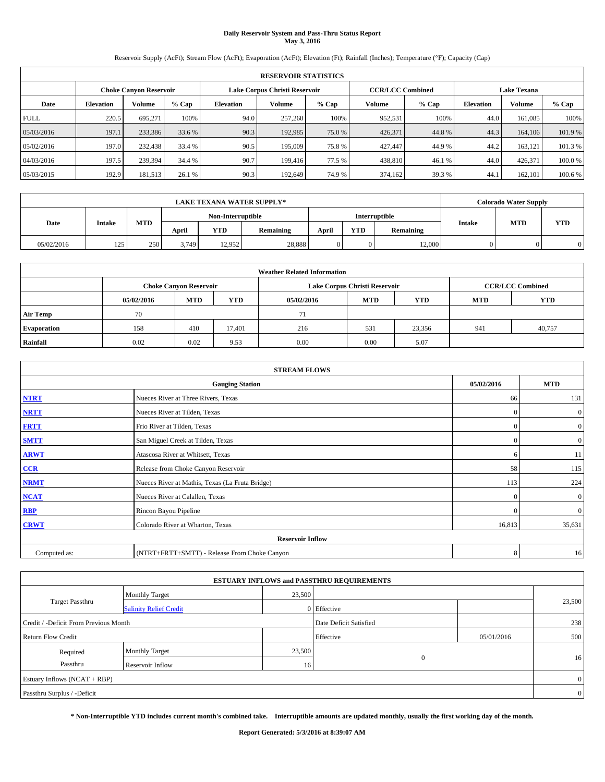# **Daily Reservoir System and Pass-Thru Status Report May 3, 2016**

Reservoir Supply (AcFt); Stream Flow (AcFt); Evaporation (AcFt); Elevation (Ft); Rainfall (Inches); Temperature (°F); Capacity (Cap)

|             | <b>RESERVOIR STATISTICS</b> |                               |         |                  |                               |         |                         |         |                    |         |        |
|-------------|-----------------------------|-------------------------------|---------|------------------|-------------------------------|---------|-------------------------|---------|--------------------|---------|--------|
|             |                             | <b>Choke Canvon Reservoir</b> |         |                  | Lake Corpus Christi Reservoir |         | <b>CCR/LCC Combined</b> |         | <b>Lake Texana</b> |         |        |
| Date        | <b>Elevation</b>            | Volume                        | $%$ Cap | <b>Elevation</b> | Volume                        | $%$ Cap | Volume                  | $%$ Cap | <b>Elevation</b>   | Volume  | % Cap  |
| <b>FULL</b> | 220.5                       | 695.271                       | 100%    | 94.0             | 257,260                       | 100%    | 952,531                 | 100%    | 44.0               | 161,085 | 100%   |
| 05/03/2016  | 197.1                       | 233,386                       | 33.6 %  | 90.3             | 192,985                       | 75.0 %  | 426,371                 | 44.8%   | 44.3               | 164,106 | 101.9% |
| 05/02/2016  | 197.0                       | 232,438                       | 33.4 %  | 90.5             | 195,009                       | 75.8%   | 427,447                 | 44.9%   | 44.2               | 163,121 | 101.3% |
| 04/03/2016  | 197.5                       | 239.394                       | 34.4 %  | 90.7             | 199,416                       | 77.5 %  | 438,810                 | 46.1 %  | 44.0               | 426.371 | 100.0% |
| 05/03/2015  | 192.9                       | 181,513                       | 26.1 %  | 90.3             | 192,649                       | 74.9 %  | 374,162                 | 39.3 %  | 44.1               | 162,101 | 100.6% |

|            | <b>LAKE TEXANA WATER SUPPLY*</b> |     |       |                   |           |               |            |           |        |            | <b>Colorado Water Supply</b> |  |  |
|------------|----------------------------------|-----|-------|-------------------|-----------|---------------|------------|-----------|--------|------------|------------------------------|--|--|
|            |                                  |     |       | Non-Interruptible |           | Interruptible |            |           |        |            |                              |  |  |
| Date       | <b>Intake</b>                    | MTD | April | YTD               | Remaining | April         | <b>YTD</b> | Remaining | Intake | <b>MTD</b> | <b>YTD</b>                   |  |  |
| 05/02/2016 | 125                              | 250 | 3,749 | 12.952            | 28,888    |               |            | 12,000    |        |            |                              |  |  |

| <b>Weather Related Information</b> |            |                               |            |            |                               |                         |            |            |  |
|------------------------------------|------------|-------------------------------|------------|------------|-------------------------------|-------------------------|------------|------------|--|
|                                    |            | <b>Choke Canvon Reservoir</b> |            |            | Lake Corpus Christi Reservoir | <b>CCR/LCC Combined</b> |            |            |  |
|                                    | 05/02/2016 | <b>MTD</b>                    | <b>YTD</b> | 05/02/2016 | <b>MTD</b>                    | <b>YTD</b>              | <b>MTD</b> | <b>YTD</b> |  |
| <b>Air Temp</b>                    | 70         |                               |            | 71         |                               |                         |            |            |  |
| <b>Evaporation</b>                 | 158        | 410                           | 17.401     | 216        | 531                           | 23,356                  | 941        | 40,757     |  |
| Rainfall                           | 0.02       | 0.02                          | 9.53       | 0.00       | 0.00                          | 5.07                    |            |            |  |

| <b>STREAM FLOWS</b> |                                                 |              |                  |  |  |  |  |  |  |
|---------------------|-------------------------------------------------|--------------|------------------|--|--|--|--|--|--|
|                     | 05/02/2016                                      | <b>MTD</b>   |                  |  |  |  |  |  |  |
| <b>NTRT</b>         | Nueces River at Three Rivers, Texas             | 66           | 131              |  |  |  |  |  |  |
| <b>NRTT</b>         | Nueces River at Tilden, Texas                   | $\mathbf{0}$ | $\boldsymbol{0}$ |  |  |  |  |  |  |
| <b>FRTT</b>         | Frio River at Tilden, Texas                     | $\mathbf{0}$ | $\boldsymbol{0}$ |  |  |  |  |  |  |
| <b>SMTT</b>         | San Miguel Creek at Tilden, Texas               | $\mathbf{0}$ | $\overline{0}$   |  |  |  |  |  |  |
| <b>ARWT</b>         | Atascosa River at Whitsett, Texas               | 6            | 11               |  |  |  |  |  |  |
| $CCR$               | Release from Choke Canyon Reservoir             | 58           | 115              |  |  |  |  |  |  |
| <b>NRMT</b>         | Nueces River at Mathis, Texas (La Fruta Bridge) | 113          | 224              |  |  |  |  |  |  |
| <b>NCAT</b>         | Nueces River at Calallen, Texas                 | $\mathbf{0}$ | $\mathbf{0}$     |  |  |  |  |  |  |
| RBP                 | Rincon Bayou Pipeline                           | $\Omega$     | $\mathbf{0}$     |  |  |  |  |  |  |
| <b>CRWT</b>         | Colorado River at Wharton, Texas                | 16,813       | 35,631           |  |  |  |  |  |  |
|                     | <b>Reservoir Inflow</b>                         |              |                  |  |  |  |  |  |  |
| Computed as:        | (NTRT+FRTT+SMTT) - Release From Choke Canyon    | 8            | 16               |  |  |  |  |  |  |

|                                       |                               |        | <b>ESTUARY INFLOWS and PASSTHRU REQUIREMENTS</b> |            |        |  |  |  |
|---------------------------------------|-------------------------------|--------|--------------------------------------------------|------------|--------|--|--|--|
| <b>Monthly Target</b>                 |                               | 23,500 |                                                  |            |        |  |  |  |
| Target Passthru                       | <b>Salinity Relief Credit</b> |        | 0 Effective                                      |            | 23,500 |  |  |  |
| Credit / -Deficit From Previous Month |                               |        | Date Deficit Satisfied                           |            | 238    |  |  |  |
| <b>Return Flow Credit</b>             |                               |        | Effective                                        | 05/01/2016 | 500    |  |  |  |
| Required                              | Monthly Target                | 23,500 |                                                  |            |        |  |  |  |
| Passthru                              | <b>Reservoir Inflow</b>       | 16     | $\Omega$                                         |            | 16     |  |  |  |
| Estuary Inflows (NCAT + RBP)          |                               |        |                                                  |            |        |  |  |  |
| Passthru Surplus / -Deficit           |                               |        |                                                  |            |        |  |  |  |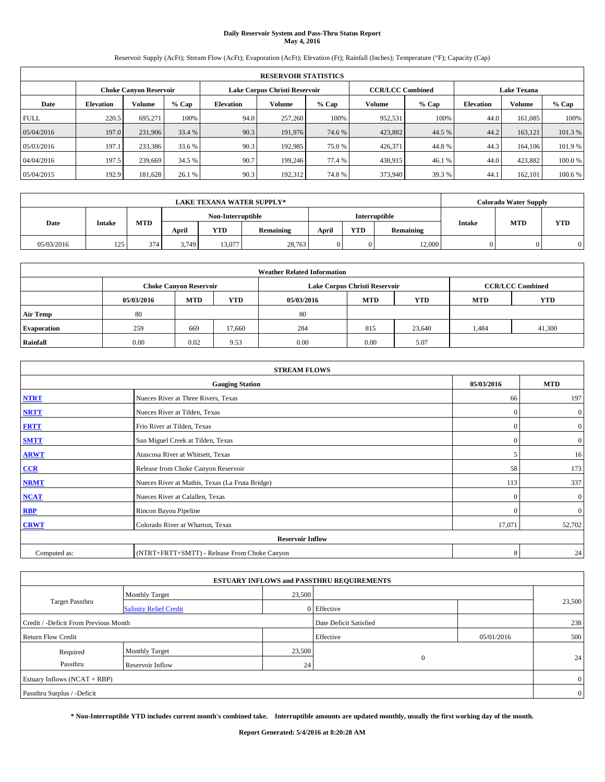# **Daily Reservoir System and Pass-Thru Status Report May 4, 2016**

Reservoir Supply (AcFt); Stream Flow (AcFt); Evaporation (AcFt); Elevation (Ft); Rainfall (Inches); Temperature (°F); Capacity (Cap)

|             | <b>RESERVOIR STATISTICS</b> |                               |         |                  |                               |         |                         |         |                  |                    |        |
|-------------|-----------------------------|-------------------------------|---------|------------------|-------------------------------|---------|-------------------------|---------|------------------|--------------------|--------|
|             |                             | <b>Choke Canvon Reservoir</b> |         |                  | Lake Corpus Christi Reservoir |         | <b>CCR/LCC Combined</b> |         |                  | <b>Lake Texana</b> |        |
| Date        | <b>Elevation</b>            | Volume                        | $%$ Cap | <b>Elevation</b> | Volume                        | $%$ Cap | Volume                  | $%$ Cap | <b>Elevation</b> | Volume             | % Cap  |
| <b>FULL</b> | 220.5                       | 695.271                       | 100%    | 94.0             | 257,260                       | 100%    | 952,531                 | 100%    | 44.0             | 161,085            | 100%   |
| 05/04/2016  | 197.0                       | 231,906                       | 33.4 %  | 90.3             | 191,976                       | 74.6 %  | 423,882                 | 44.5 %  | 44.2             | 163,121            | 101.3% |
| 05/03/2016  | 197.1                       | 233,386                       | 33.6 %  | 90.3             | 192.985                       | 75.0 %  | 426,371                 | 44.8%   | 44.3             | 164,106            | 101.9% |
| 04/04/2016  | 197.5                       | 239,669                       | 34.5 %  | 90.7             | 199,246                       | 77.4 %  | 438,915                 | 46.1 %  | 44.0             | 423,882            | 100.0% |
| 05/04/2015  | 192.9                       | 181,628                       | 26.1 %  | 90.3             | 192,312                       | 74.8%   | 373,940                 | 39.3 %  | 44.1             | 162,101            | 100.6% |

| <b>LAKE TEXANA WATER SUPPLY*</b> |               |     |       |                   |           |       |            |               |               | <b>Colorado Water Supply</b> |            |
|----------------------------------|---------------|-----|-------|-------------------|-----------|-------|------------|---------------|---------------|------------------------------|------------|
|                                  |               |     |       | Non-Interruptible |           |       |            | Interruptible |               |                              |            |
| Date                             | <b>Intake</b> | MTD | April | YTD               | Remaining | April | <b>YTD</b> | Remaining     | <b>Intake</b> | <b>MTD</b>                   | <b>YTD</b> |
| 05/03/2016                       | 125           | 374 | 3,749 | 13,077            | 28,763    |       |            | 12,000        |               |                              |            |

| <b>Weather Related Information</b> |            |                               |            |            |                               |                         |            |            |  |
|------------------------------------|------------|-------------------------------|------------|------------|-------------------------------|-------------------------|------------|------------|--|
|                                    |            | <b>Choke Canvon Reservoir</b> |            |            | Lake Corpus Christi Reservoir | <b>CCR/LCC Combined</b> |            |            |  |
|                                    | 05/03/2016 | <b>MTD</b>                    | <b>YTD</b> | 05/03/2016 | <b>MTD</b>                    | <b>YTD</b>              | <b>MTD</b> | <b>YTD</b> |  |
| <b>Air Temp</b>                    | 80         |                               |            | 80         |                               |                         |            |            |  |
| <b>Evaporation</b>                 | 259        | 669                           | 17.660     | 284        | 815                           | 23,640                  | 1,484      | 41,300     |  |
| Rainfall                           | 0.00       | 0.02                          | 9.53       | 0.00       | 0.00                          | 5.07                    |            |            |  |

| <b>STREAM FLOWS</b> |                                                 |                          |                  |  |  |  |  |  |
|---------------------|-------------------------------------------------|--------------------------|------------------|--|--|--|--|--|
|                     | 05/03/2016                                      | <b>MTD</b>               |                  |  |  |  |  |  |
| <b>NTRT</b>         | Nueces River at Three Rivers, Texas             | 66                       | 197              |  |  |  |  |  |
| <b>NRTT</b>         | Nueces River at Tilden, Texas                   | $\Omega$                 | $\mathbf{0}$     |  |  |  |  |  |
| <b>FRTT</b>         | Frio River at Tilden, Texas                     | $\mathbf{0}$             | $\overline{0}$   |  |  |  |  |  |
| <b>SMTT</b>         | San Miguel Creek at Tilden, Texas               | $\mathbf{0}$             | $\boldsymbol{0}$ |  |  |  |  |  |
| <b>ARWT</b>         | Atascosa River at Whitsett, Texas               | $\overline{\phantom{0}}$ | 16               |  |  |  |  |  |
| $CCR$               | Release from Choke Canyon Reservoir             | 58                       | 173              |  |  |  |  |  |
| <b>NRMT</b>         | Nueces River at Mathis, Texas (La Fruta Bridge) | 113                      | 337              |  |  |  |  |  |
| <b>NCAT</b>         | Nueces River at Calallen, Texas                 | $\Omega$                 | $\mathbf{0}$     |  |  |  |  |  |
| RBP                 | Rincon Bayou Pipeline                           | $\mathbf{0}$             | $\mathbf{0}$     |  |  |  |  |  |
| <b>CRWT</b>         | Colorado River at Wharton, Texas                | 17,071                   | 52,702           |  |  |  |  |  |
|                     | <b>Reservoir Inflow</b>                         |                          |                  |  |  |  |  |  |
| Computed as:        | 8                                               | 24                       |                  |  |  |  |  |  |

|                                       |                               |                 | <b>ESTUARY INFLOWS and PASSTHRU REQUIREMENTS</b> |            |        |  |  |  |
|---------------------------------------|-------------------------------|-----------------|--------------------------------------------------|------------|--------|--|--|--|
|                                       | <b>Monthly Target</b>         | 23,500          |                                                  |            |        |  |  |  |
| Target Passthru                       | <b>Salinity Relief Credit</b> |                 | 0 Effective                                      |            | 23,500 |  |  |  |
| Credit / -Deficit From Previous Month |                               |                 | Date Deficit Satisfied                           |            | 238    |  |  |  |
| <b>Return Flow Credit</b>             |                               |                 | Effective                                        | 05/01/2016 | 500    |  |  |  |
| Required                              | <b>Monthly Target</b>         | 23,500          |                                                  |            |        |  |  |  |
| Passthru                              | <b>Reservoir Inflow</b>       | 24 <sub>1</sub> | $\Omega$                                         |            | 24     |  |  |  |
| Estuary Inflows (NCAT + RBP)          |                               |                 |                                                  |            |        |  |  |  |
| Passthru Surplus / -Deficit           |                               |                 |                                                  |            |        |  |  |  |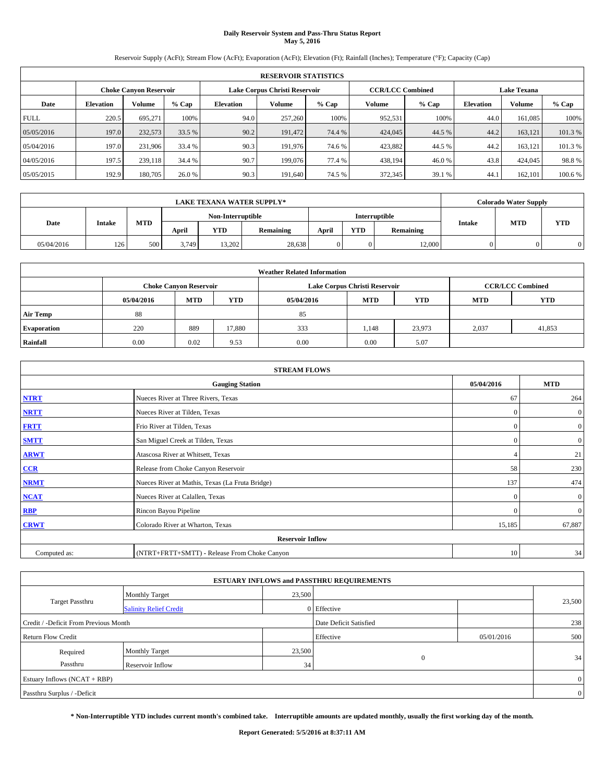# **Daily Reservoir System and Pass-Thru Status Report May 5, 2016**

Reservoir Supply (AcFt); Stream Flow (AcFt); Evaporation (AcFt); Elevation (Ft); Rainfall (Inches); Temperature (°F); Capacity (Cap)

| <b>RESERVOIR STATISTICS</b> |                  |                        |         |                  |                               |         |                         |         |                  |                    |         |
|-----------------------------|------------------|------------------------|---------|------------------|-------------------------------|---------|-------------------------|---------|------------------|--------------------|---------|
|                             |                  | Choke Canvon Reservoir |         |                  | Lake Corpus Christi Reservoir |         | <b>CCR/LCC Combined</b> |         |                  | <b>Lake Texana</b> |         |
| Date                        | <b>Elevation</b> | Volume                 | $%$ Cap | <b>Elevation</b> | Volume                        | $%$ Cap | <b>Volume</b>           | $%$ Cap | <b>Elevation</b> | <b>Volume</b>      | % Cap   |
| <b>FULL</b>                 | 220.5            | 695.271                | 100%    | 94.0             | 257,260                       | 100%    | 952,531                 | 100%    | 44.0             | 161.085            | 100%    |
| 05/05/2016                  | 197.0            | 232,573                | 33.5 %  | 90.2             | 191,472                       | 74.4 %  | 424,045                 | 44.5 %  | 44.2             | 163,121            | 101.3%  |
| 05/04/2016                  | 197.0            | 231,906                | 33.4 %  | 90.3             | 191.976                       | 74.6 %  | 423,882                 | 44.5 %  | 44.2             | 163,121            | 101.3%  |
| 04/05/2016                  | 197.5            | 239.118                | 34.4 %  | 90.7             | 199,076                       | 77.4 %  | 438.194                 | 46.0%   | 43.8             | 424,045            | 98.8%   |
| 05/05/2015                  | 192.9            | 180,705                | 26.0 %  | 90.3             | 191.640                       | 74.5 %  | 372,345                 | 39.1 %  | 44.              | 162,101            | 100.6 % |

| <b>LAKE TEXANA WATER SUPPLY*</b> |               |     |                   |        |           |       |            |               |        | <b>Colorado Water Supply</b> |            |
|----------------------------------|---------------|-----|-------------------|--------|-----------|-------|------------|---------------|--------|------------------------------|------------|
|                                  |               |     | Non-Interruptible |        |           |       |            | Interruptible |        |                              |            |
| Date                             | <b>Intake</b> | MTD | April             | YTD    | Remaining | April | <b>YTD</b> | Remaining     | Intake | <b>MTD</b>                   | <b>YTD</b> |
| 05/04/2016                       | 126           | 500 | 3,749             | 13.202 | 28,638    |       |            | 12,000        |        |                              |            |

| <b>Weather Related Information</b> |            |                               |            |            |                               |                         |            |            |  |
|------------------------------------|------------|-------------------------------|------------|------------|-------------------------------|-------------------------|------------|------------|--|
|                                    |            | <b>Choke Canvon Reservoir</b> |            |            | Lake Corpus Christi Reservoir | <b>CCR/LCC Combined</b> |            |            |  |
|                                    | 05/04/2016 | <b>MTD</b>                    | <b>YTD</b> | 05/04/2016 | <b>MTD</b>                    | <b>YTD</b>              | <b>MTD</b> | <b>YTD</b> |  |
| <b>Air Temp</b>                    | 88         |                               |            | 85         |                               |                         |            |            |  |
| <b>Evaporation</b>                 | 220        | 889                           | 17.880     | 333        | 1.148                         | 23,973                  | 2,037      | 41,853     |  |
| Rainfall                           | 0.00       | 0.02                          | 9.53       | 0.00       | 0.00                          | 5.07                    |            |            |  |

| <b>STREAM FLOWS</b> |                                                 |              |                  |  |  |  |  |  |
|---------------------|-------------------------------------------------|--------------|------------------|--|--|--|--|--|
|                     | 05/04/2016                                      | <b>MTD</b>   |                  |  |  |  |  |  |
| <b>NTRT</b>         | Nueces River at Three Rivers, Texas             | 67           | 264              |  |  |  |  |  |
| <b>NRTT</b>         | Nueces River at Tilden, Texas                   | $\mathbf{0}$ | $\boldsymbol{0}$ |  |  |  |  |  |
| <b>FRTT</b>         | Frio River at Tilden, Texas                     | $\mathbf{0}$ | $\boldsymbol{0}$ |  |  |  |  |  |
| <b>SMTT</b>         | San Miguel Creek at Tilden, Texas               | $\mathbf{0}$ | $\overline{0}$   |  |  |  |  |  |
| <b>ARWT</b>         | Atascosa River at Whitsett, Texas               |              | 21               |  |  |  |  |  |
| $CCR$               | Release from Choke Canyon Reservoir             | 58           | 230              |  |  |  |  |  |
| <b>NRMT</b>         | Nueces River at Mathis, Texas (La Fruta Bridge) | 137          | 474              |  |  |  |  |  |
| <b>NCAT</b>         | Nueces River at Calallen, Texas                 | $\mathbf{0}$ | $\mathbf{0}$     |  |  |  |  |  |
| RBP                 | Rincon Bayou Pipeline                           | $\Omega$     | $\mathbf{0}$     |  |  |  |  |  |
| <b>CRWT</b>         | Colorado River at Wharton, Texas                | 15,185       | 67,887           |  |  |  |  |  |
|                     | <b>Reservoir Inflow</b>                         |              |                  |  |  |  |  |  |
| Computed as:        | (NTRT+FRTT+SMTT) - Release From Choke Canyon    | 10           | 34               |  |  |  |  |  |

| <b>ESTUARY INFLOWS and PASSTHRU REQUIREMENTS</b> |                               |                 |                        |            |        |  |  |  |  |  |
|--------------------------------------------------|-------------------------------|-----------------|------------------------|------------|--------|--|--|--|--|--|
|                                                  | <b>Monthly Target</b>         | 23,500          |                        |            |        |  |  |  |  |  |
| Target Passthru                                  | <b>Salinity Relief Credit</b> |                 | 0 Effective            |            | 23,500 |  |  |  |  |  |
| Credit / -Deficit From Previous Month            |                               |                 | Date Deficit Satisfied |            | 238    |  |  |  |  |  |
| <b>Return Flow Credit</b>                        |                               |                 | Effective              | 05/01/2016 | 500    |  |  |  |  |  |
| Required                                         | Monthly Target                | 23,500          |                        |            |        |  |  |  |  |  |
| Passthru                                         | <b>Reservoir Inflow</b>       | 34 <sub>1</sub> | $\Omega$               |            | 34     |  |  |  |  |  |
| Estuary Inflows (NCAT + RBP)                     |                               |                 |                        |            |        |  |  |  |  |  |
| Passthru Surplus / -Deficit                      |                               |                 |                        |            |        |  |  |  |  |  |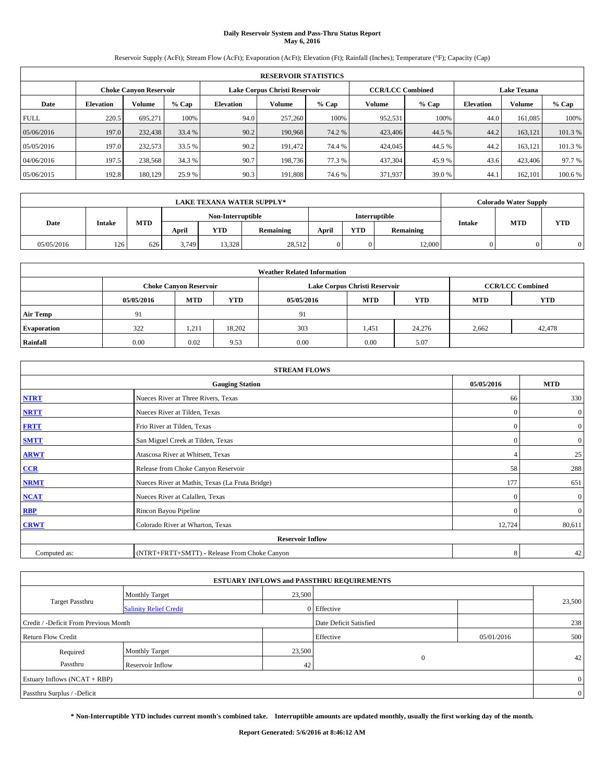# **Daily Reservoir System and Pass-Thru Status Report May 6, 2016**

Reservoir Supply (AcFt); Stream Flow (AcFt); Evaporation (AcFt); Elevation (Ft); Rainfall (Inches); Temperature (°F); Capacity (Cap)

|             | <b>RESERVOIR STATISTICS</b> |                        |         |                  |                               |         |                                               |         |                  |               |         |  |
|-------------|-----------------------------|------------------------|---------|------------------|-------------------------------|---------|-----------------------------------------------|---------|------------------|---------------|---------|--|
|             |                             | Choke Canvon Reservoir |         |                  | Lake Corpus Christi Reservoir |         | <b>CCR/LCC Combined</b><br><b>Lake Texana</b> |         |                  |               |         |  |
| Date        | <b>Elevation</b>            | Volume                 | $%$ Cap | <b>Elevation</b> | Volume                        | $%$ Cap | <b>Volume</b>                                 | $%$ Cap | <b>Elevation</b> | <b>Volume</b> | % Cap   |  |
| <b>FULL</b> | 220.5                       | 695.271                | 100%    | 94.0             | 257,260                       | 100%    | 952,531                                       | 100%    | 44.0             | 161.085       | 100%    |  |
| 05/06/2016  | 197.0                       | 232,438                | 33.4 %  | 90.2             | 190,968                       | 74.2 %  | 423,406                                       | 44.5 %  | 44.2             | 163,121       | 101.3%  |  |
| 05/05/2016  | 197.0                       | 232,573                | 33.5 %  | 90.2             | 191.472                       | 74.4 %  | 424,045                                       | 44.5 %  | 44.2             | 163,121       | 101.3 % |  |
| 04/06/2016  | 197.5                       | 238,568                | 34.3 %  | 90.7             | 198.736                       | 77.3 %  | 437.304                                       | 45.9 %  | 43.6             | 423,406       | 97.7 %  |  |
| 05/06/2015  | 192.8                       | 180,129                | 25.9 %  | 90.3             | 191.808                       | 74.6 %  | 371,937                                       | 39.0 %  | 44.              | 162,101       | 100.6 % |  |

|            |               |            |                   |                                                                                     | <b>LAKE TEXANA WATER SUPPLY*</b> |               |  |        | <b>Colorado Water Supply</b> |  |
|------------|---------------|------------|-------------------|-------------------------------------------------------------------------------------|----------------------------------|---------------|--|--------|------------------------------|--|
|            |               |            | Non-Interruptible |                                                                                     |                                  | Interruptible |  |        |                              |  |
| Date       | <b>Intake</b> | <b>MTD</b> | April             | <b>MTD</b><br>Intake<br>YTD<br><b>YTD</b><br>Remaining<br><b>Remaining</b><br>April | <b>YTD</b>                       |               |  |        |                              |  |
| 05/05/2016 | 126           | 626        | 3.749             | 13.328                                                                              | 28,512                           |               |  | 12,000 |                              |  |

| <b>Weather Related Information</b> |            |                                                                                  |        |      |                               |        |                         |        |  |  |
|------------------------------------|------------|----------------------------------------------------------------------------------|--------|------|-------------------------------|--------|-------------------------|--------|--|--|
|                                    |            | <b>Choke Canyon Reservoir</b>                                                    |        |      | Lake Corpus Christi Reservoir |        | <b>CCR/LCC Combined</b> |        |  |  |
|                                    | 05/05/2016 | <b>YTD</b><br><b>MTD</b><br><b>MTD</b><br>05/05/2016<br><b>YTD</b><br><b>MTD</b> |        |      |                               |        |                         |        |  |  |
| <b>Air Temp</b>                    | 91         |                                                                                  |        | 91   |                               |        |                         |        |  |  |
| <b>Evaporation</b>                 | 322        | 1,211                                                                            | 18,202 | 303  | 1,451                         | 24,276 | 2,662                   | 42,478 |  |  |
| Rainfall                           | 0.00       | 0.02                                                                             | 9.53   | 0.00 | 0.00                          | 5.07   |                         |        |  |  |

|              | <b>STREAM FLOWS</b>                             |              |                  |
|--------------|-------------------------------------------------|--------------|------------------|
|              | <b>Gauging Station</b>                          | 05/05/2016   | <b>MTD</b>       |
| <b>NTRT</b>  | Nueces River at Three Rivers, Texas             | 66           | 330              |
| <b>NRTT</b>  | Nueces River at Tilden, Texas                   | $\mathbf{0}$ | $\mathbf{0}$     |
| <b>FRTT</b>  | Frio River at Tilden, Texas                     | $\mathbf{0}$ | $\boldsymbol{0}$ |
| <b>SMTT</b>  | San Miguel Creek at Tilden, Texas               | $\mathbf{0}$ | $\boldsymbol{0}$ |
| <b>ARWT</b>  | Atascosa River at Whitsett, Texas               |              | 25               |
| $CCR$        | Release from Choke Canyon Reservoir             | 58           | 288              |
| <b>NRMT</b>  | Nueces River at Mathis, Texas (La Fruta Bridge) | 177          | 651              |
| <b>NCAT</b>  | Nueces River at Calallen, Texas                 | $\mathbf{0}$ | $\mathbf{0}$     |
| RBP          | Rincon Bayou Pipeline                           | $\Omega$     | $\mathbf{0}$     |
| <b>CRWT</b>  | Colorado River at Wharton, Texas                | 12,724       | 80,611           |
|              | <b>Reservoir Inflow</b>                         |              |                  |
| Computed as: | (NTRT+FRTT+SMTT) - Release From Choke Canyon    | 8            | 42               |

| <b>ESTUARY INFLOWS and PASSTHRU REQUIREMENTS</b> |                               |        |                        |            |                 |  |  |  |  |  |
|--------------------------------------------------|-------------------------------|--------|------------------------|------------|-----------------|--|--|--|--|--|
|                                                  | <b>Monthly Target</b>         | 23,500 |                        |            |                 |  |  |  |  |  |
| Target Passthru                                  | <b>Salinity Relief Credit</b> |        | 0 Effective            |            | 23,500          |  |  |  |  |  |
| Credit / -Deficit From Previous Month            |                               |        | Date Deficit Satisfied |            | 238             |  |  |  |  |  |
| <b>Return Flow Credit</b>                        |                               |        | Effective              | 05/01/2016 | 500             |  |  |  |  |  |
| Required                                         | Monthly Target                | 23,500 |                        |            |                 |  |  |  |  |  |
| Passthru                                         | <b>Reservoir Inflow</b>       | 42     | $\Omega$               |            | 42 <sub>1</sub> |  |  |  |  |  |
| Estuary Inflows (NCAT + RBP)                     |                               |        |                        |            |                 |  |  |  |  |  |
| Passthru Surplus / -Deficit                      |                               |        |                        |            |                 |  |  |  |  |  |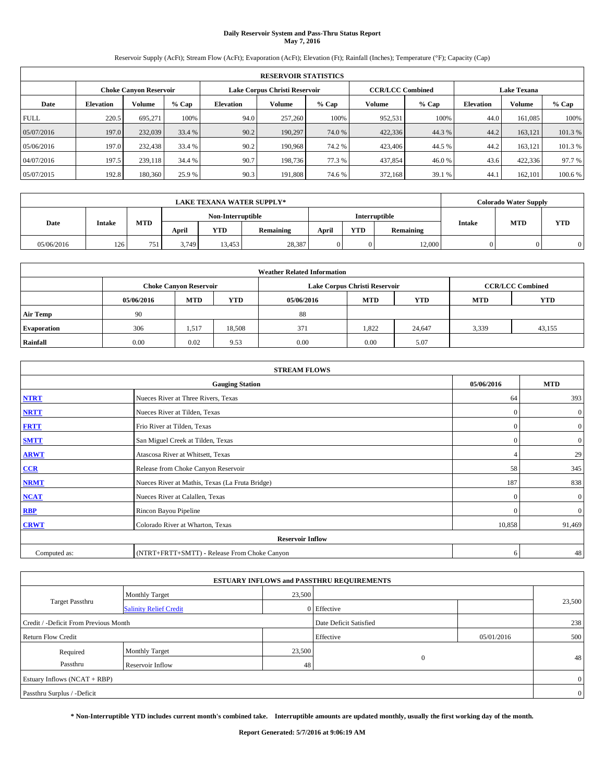# **Daily Reservoir System and Pass-Thru Status Report May 7, 2016**

Reservoir Supply (AcFt); Stream Flow (AcFt); Evaporation (AcFt); Elevation (Ft); Rainfall (Inches); Temperature (°F); Capacity (Cap)

|             | <b>RESERVOIR STATISTICS</b> |                               |         |           |                               |         |                                               |         |                  |               |         |  |
|-------------|-----------------------------|-------------------------------|---------|-----------|-------------------------------|---------|-----------------------------------------------|---------|------------------|---------------|---------|--|
|             |                             | <b>Choke Canyon Reservoir</b> |         |           | Lake Corpus Christi Reservoir |         | <b>CCR/LCC Combined</b><br><b>Lake Texana</b> |         |                  |               |         |  |
| Date        | <b>Elevation</b>            | Volume                        | $%$ Cap | Elevation | Volume                        | $%$ Cap | Volume                                        | $%$ Cap | <b>Elevation</b> | <b>Volume</b> | % Cap   |  |
| <b>FULL</b> | 220.5                       | 695.271                       | 100%    | 94.0      | 257,260                       | 100%    | 952,531                                       | 100%    | 44.0             | 161.085       | 100%    |  |
| 05/07/2016  | 197.0                       | 232,039                       | 33.4 %  | 90.2      | 190.297                       | 74.0 %  | 422,336                                       | 44.3 %  | 44.2             | 163.121       | 101.3%  |  |
| 05/06/2016  | 197.0                       | 232,438                       | 33.4 %  | 90.2      | 190.968                       | 74.2 %  | 423,406                                       | 44.5 %  | 44.2             | 163.121       | 101.3 % |  |
| 04/07/2016  | 197.5                       | 239,118                       | 34.4 %  | 90.7      | 198,736                       | 77.3 %  | 437,854                                       | 46.0%   | 43.6             | 422,336       | 97.7 %  |  |
| 05/07/2015  | 192.8                       | 180,360                       | 25.9 %  | 90.3      | 191,808                       | 74.6 %  | 372,168                                       | 39.1 %  | 44.              | 162,101       | 100.6 % |  |

|            |               |            |                   |        | <b>LAKE TEXANA WATER SUPPLY*</b> |                                                          |            |        | <b>Colorado Water Supply</b> |  |
|------------|---------------|------------|-------------------|--------|----------------------------------|----------------------------------------------------------|------------|--------|------------------------------|--|
|            |               |            | Non-Interruptible |        |                                  | Interruptible                                            |            |        |                              |  |
| Date       | <b>Intake</b> | <b>MTD</b> | April             | YTD    | Remaining                        | <b>MTD</b><br>Intake<br><b>YTD</b><br>Remaining<br>April | <b>YTD</b> |        |                              |  |
| 05/06/2016 | 126           | 751        | 3.749             | 13.453 | 28,387                           |                                                          |            | 12,000 |                              |  |

| <b>Weather Related Information</b> |            |                                                                                  |        |      |                               |        |       |                         |  |  |
|------------------------------------|------------|----------------------------------------------------------------------------------|--------|------|-------------------------------|--------|-------|-------------------------|--|--|
|                                    |            | <b>Choke Canyon Reservoir</b>                                                    |        |      | Lake Corpus Christi Reservoir |        |       | <b>CCR/LCC Combined</b> |  |  |
|                                    | 05/06/2016 | <b>YTD</b><br><b>MTD</b><br>05/06/2016<br><b>MTD</b><br><b>YTD</b><br><b>MTD</b> |        |      |                               |        |       |                         |  |  |
| <b>Air Temp</b>                    | -90        |                                                                                  |        | 88   |                               |        |       |                         |  |  |
| <b>Evaporation</b>                 | 306        | 1,517                                                                            | 18.508 | 371  | 1.822                         | 24.647 | 3,339 | 43,155                  |  |  |
| Rainfall                           | 0.00       | 0.02                                                                             | 9.53   | 0.00 | 0.00                          | 5.07   |       |                         |  |  |

|              | <b>STREAM FLOWS</b>                                                                                                                                                                                                                                                                                                                                                                               |              |                  |  |  |
|--------------|---------------------------------------------------------------------------------------------------------------------------------------------------------------------------------------------------------------------------------------------------------------------------------------------------------------------------------------------------------------------------------------------------|--------------|------------------|--|--|
|              | <b>Gauging Station</b><br>Nueces River at Three Rivers, Texas<br>Nueces River at Tilden, Texas<br>Frio River at Tilden, Texas<br>San Miguel Creek at Tilden, Texas<br>Atascosa River at Whitsett, Texas<br>Release from Choke Canyon Reservoir<br>Nueces River at Mathis, Texas (La Fruta Bridge)<br>Nueces River at Calallen, Texas<br>Rincon Bayou Pipeline<br>Colorado River at Wharton, Texas |              |                  |  |  |
| <b>NTRT</b>  |                                                                                                                                                                                                                                                                                                                                                                                                   | 64           | 393              |  |  |
| <b>NRTT</b>  |                                                                                                                                                                                                                                                                                                                                                                                                   | $\mathbf{0}$ | $\mathbf{0}$     |  |  |
| <b>FRTT</b>  | <b>Reservoir Inflow</b><br>(NTRT+FRTT+SMTT) - Release From Choke Canyon                                                                                                                                                                                                                                                                                                                           |              | $\boldsymbol{0}$ |  |  |
| <b>SMTT</b>  |                                                                                                                                                                                                                                                                                                                                                                                                   | $\mathbf{0}$ | $\overline{0}$   |  |  |
| <b>ARWT</b>  |                                                                                                                                                                                                                                                                                                                                                                                                   |              | 29               |  |  |
| $CCR$        |                                                                                                                                                                                                                                                                                                                                                                                                   | 58           | 345              |  |  |
| <b>NRMT</b>  |                                                                                                                                                                                                                                                                                                                                                                                                   | 187          | 838              |  |  |
| <b>NCAT</b>  |                                                                                                                                                                                                                                                                                                                                                                                                   | $\mathbf{0}$ | $\mathbf{0}$     |  |  |
| RBP          |                                                                                                                                                                                                                                                                                                                                                                                                   | $\Omega$     | $\mathbf{0}$     |  |  |
| <b>CRWT</b>  |                                                                                                                                                                                                                                                                                                                                                                                                   | 10,858       | 91,469           |  |  |
|              |                                                                                                                                                                                                                                                                                                                                                                                                   |              |                  |  |  |
| Computed as: |                                                                                                                                                                                                                                                                                                                                                                                                   | 6            | 48               |  |  |

| <b>ESTUARY INFLOWS and PASSTHRU REQUIREMENTS</b> |                               |        |                        |            |        |  |  |  |  |  |
|--------------------------------------------------|-------------------------------|--------|------------------------|------------|--------|--|--|--|--|--|
|                                                  | <b>Monthly Target</b>         | 23,500 |                        |            |        |  |  |  |  |  |
| Target Passthru                                  | <b>Salinity Relief Credit</b> |        | 0 Effective            |            | 23,500 |  |  |  |  |  |
| Credit / -Deficit From Previous Month            |                               |        | Date Deficit Satisfied |            | 238    |  |  |  |  |  |
| <b>Return Flow Credit</b>                        |                               |        | Effective              | 05/01/2016 | 500    |  |  |  |  |  |
| Required                                         | Monthly Target                | 23,500 |                        |            |        |  |  |  |  |  |
| Passthru                                         | <b>Reservoir Inflow</b>       | 48     | $\Omega$               |            | 48     |  |  |  |  |  |
| Estuary Inflows (NCAT + RBP)                     |                               |        |                        |            |        |  |  |  |  |  |
| Passthru Surplus / -Deficit                      |                               |        |                        |            |        |  |  |  |  |  |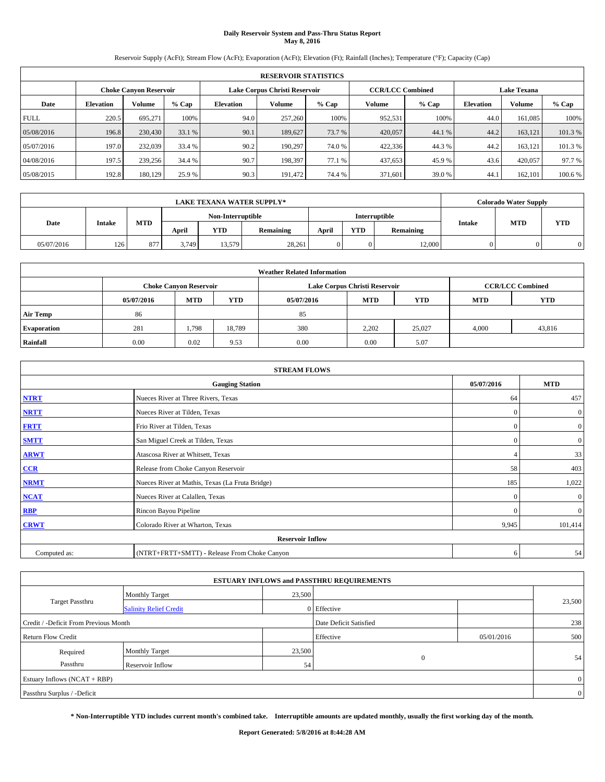# **Daily Reservoir System and Pass-Thru Status Report May 8, 2016**

Reservoir Supply (AcFt); Stream Flow (AcFt); Evaporation (AcFt); Elevation (Ft); Rainfall (Inches); Temperature (°F); Capacity (Cap)

|             | <b>RESERVOIR STATISTICS</b> |                               |         |           |                               |         |                                               |         |                  |               |         |  |
|-------------|-----------------------------|-------------------------------|---------|-----------|-------------------------------|---------|-----------------------------------------------|---------|------------------|---------------|---------|--|
|             |                             | <b>Choke Canyon Reservoir</b> |         |           | Lake Corpus Christi Reservoir |         | <b>CCR/LCC Combined</b><br><b>Lake Texana</b> |         |                  |               |         |  |
| Date        | <b>Elevation</b>            | Volume                        | $%$ Cap | Elevation | Volume                        | $%$ Cap | Volume                                        | $%$ Cap | <b>Elevation</b> | <b>Volume</b> | % Cap   |  |
| <b>FULL</b> | 220.5                       | 695.271                       | 100%    | 94.0      | 257,260                       | 100%    | 952,531                                       | 100%    | 44.0             | 161.085       | 100%    |  |
| 05/08/2016  | 196.8                       | 230,430                       | 33.1 %  | 90.1      | 189,627                       | 73.7 %  | 420,057                                       | 44.1 %  | 44.2             | 163.121       | 101.3%  |  |
| 05/07/2016  | 197.0                       | 232,039                       | 33.4 %  | 90.2      | 190.297                       | 74.0 %  | 422,336                                       | 44.3%   | 44.2             | 163.121       | 101.3%  |  |
| 04/08/2016  | 197.5                       | 239,256                       | 34.4 %  | 90.7      | 198.397                       | 77.1 %  | 437,653                                       | 45.9%   | 43.6             | 420.057       | 97.7 %  |  |
| 05/08/2015  | 192.8                       | 180,129                       | 25.9 %  | 90.3      | 191.472                       | 74.4 %  | 371,601                                       | 39.0%   | 44.              | 162,101       | 100.6 % |  |

|            | <b>LAKE TEXANA WATER SUPPLY*</b> |            |       |                   |           |       |            |               |        | <b>Colorado Water Supply</b> |            |
|------------|----------------------------------|------------|-------|-------------------|-----------|-------|------------|---------------|--------|------------------------------|------------|
|            |                                  |            |       | Non-Interruptible |           |       |            | Interruptible |        | <b>MTD</b>                   |            |
| Date       | <b>Intake</b>                    | <b>MTD</b> | April | YTD               | Remaining | April | <b>YTD</b> | Remaining     | Intake |                              | <b>YTD</b> |
| 05/07/2016 | 126                              | 877        | 3.749 | 13,579            | 28,261    |       |            | 12,000        |        |                              |            |

|                    | <b>Weather Related Information</b> |                               |            |            |                               |                         |       |        |  |  |  |  |
|--------------------|------------------------------------|-------------------------------|------------|------------|-------------------------------|-------------------------|-------|--------|--|--|--|--|
|                    |                                    | <b>Choke Canyon Reservoir</b> |            |            | Lake Corpus Christi Reservoir | <b>CCR/LCC Combined</b> |       |        |  |  |  |  |
|                    | 05/07/2016                         | <b>MTD</b>                    | <b>YTD</b> | 05/07/2016 | <b>MTD</b>                    | <b>YTD</b>              |       |        |  |  |  |  |
| <b>Air Temp</b>    | 86                                 |                               |            | 85         |                               |                         |       |        |  |  |  |  |
| <b>Evaporation</b> | 281                                | 1,798                         | 18.789     | 380        | 2.202                         | 25.027                  | 4,000 | 43,816 |  |  |  |  |
| Rainfall           | 0.00                               | 0.02                          | 9.53       | 0.00       | 0.00                          | 5.07                    |       |        |  |  |  |  |

| <b>STREAM FLOWS</b> |                                                 |            |                |  |  |  |  |  |
|---------------------|-------------------------------------------------|------------|----------------|--|--|--|--|--|
|                     | <b>Gauging Station</b>                          | 05/07/2016 | <b>MTD</b>     |  |  |  |  |  |
| <b>NTRT</b>         | Nueces River at Three Rivers, Texas             | 64         | 457            |  |  |  |  |  |
| <b>NRTT</b>         | Nueces River at Tilden, Texas                   | $\Omega$   | $\overline{0}$ |  |  |  |  |  |
| <b>FRTT</b>         | Frio River at Tilden, Texas                     | $\Omega$   | $\mathbf{0}$   |  |  |  |  |  |
| <b>SMTT</b>         | San Miguel Creek at Tilden, Texas               | $\Omega$   | $\overline{0}$ |  |  |  |  |  |
| <b>ARWT</b>         | Atascosa River at Whitsett, Texas               |            | 33             |  |  |  |  |  |
| $CCR$               | Release from Choke Canyon Reservoir             | 58         | 403            |  |  |  |  |  |
| <b>NRMT</b>         | Nueces River at Mathis, Texas (La Fruta Bridge) | 185        | 1,022          |  |  |  |  |  |
| <b>NCAT</b>         | Nueces River at Calallen, Texas                 | $\Omega$   | $\mathbf{0}$   |  |  |  |  |  |
| RBP                 | Rincon Bayou Pipeline                           | $\Omega$   | $\overline{0}$ |  |  |  |  |  |
| <b>CRWT</b>         | Colorado River at Wharton, Texas                | 9,945      | 101,414        |  |  |  |  |  |
|                     | <b>Reservoir Inflow</b>                         |            |                |  |  |  |  |  |
| Computed as:        | (NTRT+FRTT+SMTT) - Release From Choke Canyon    | 6          | 54             |  |  |  |  |  |

|                                       |                               |        | <b>ESTUARY INFLOWS and PASSTHRU REQUIREMENTS</b> |            |                |
|---------------------------------------|-------------------------------|--------|--------------------------------------------------|------------|----------------|
|                                       | <b>Monthly Target</b>         | 23,500 |                                                  |            |                |
| Target Passthru                       | <b>Salinity Relief Credit</b> |        | 0 Effective                                      |            | 23,500         |
| Credit / -Deficit From Previous Month |                               |        | Date Deficit Satisfied                           |            | 238            |
| <b>Return Flow Credit</b>             |                               |        | Effective                                        | 05/01/2016 | 500            |
| Required                              | Monthly Target                | 23,500 |                                                  |            |                |
| Passthru                              | <b>Reservoir Inflow</b>       | 54     | $\Omega$                                         |            | 54             |
| Estuary Inflows (NCAT + RBP)          |                               |        |                                                  |            | $\overline{0}$ |
| Passthru Surplus / -Deficit           |                               |        |                                                  |            | $\overline{0}$ |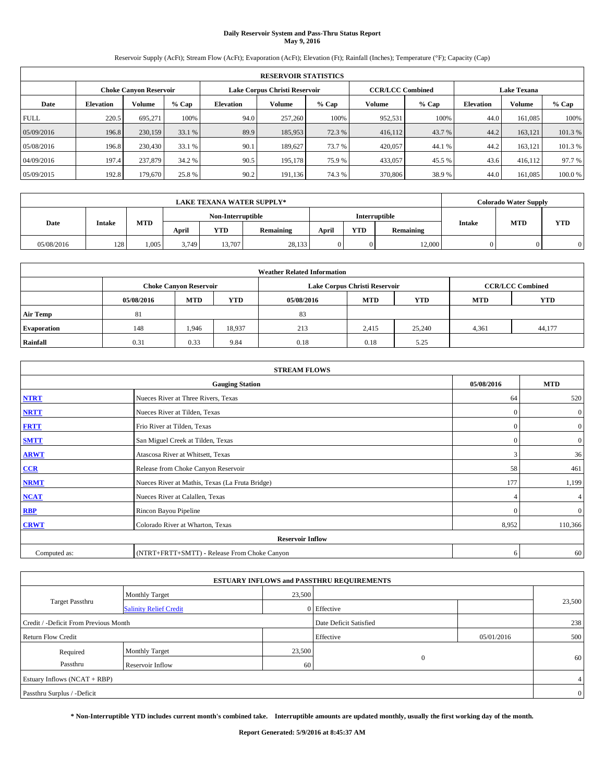# **Daily Reservoir System and Pass-Thru Status Report May 9, 2016**

Reservoir Supply (AcFt); Stream Flow (AcFt); Evaporation (AcFt); Elevation (Ft); Rainfall (Inches); Temperature (°F); Capacity (Cap)

|             | <b>RESERVOIR STATISTICS</b>                             |         |         |                  |         |         |                         |         |                    |               |         |  |  |
|-------------|---------------------------------------------------------|---------|---------|------------------|---------|---------|-------------------------|---------|--------------------|---------------|---------|--|--|
|             | Lake Corpus Christi Reservoir<br>Choke Canvon Reservoir |         |         |                  |         |         | <b>CCR/LCC Combined</b> |         | <b>Lake Texana</b> |               |         |  |  |
| Date        | <b>Elevation</b>                                        | Volume  | $%$ Cap | <b>Elevation</b> | Volume  | $%$ Cap | <b>Volume</b>           | $%$ Cap | <b>Elevation</b>   | <b>Volume</b> | % Cap   |  |  |
| <b>FULL</b> | 220.5                                                   | 695.271 | 100%    | 94.0             | 257,260 | 100%    | 952,531                 | 100%    | 44.0               | 161.085       | 100%    |  |  |
| 05/09/2016  | 196.8                                                   | 230,159 | 33.1 %  | 89.9             | 185,953 | 72.3 %  | 416,112                 | 43.7 %  | 44.2               | 163,121       | 101.3%  |  |  |
| 05/08/2016  | 196.8                                                   | 230,430 | 33.1 %  | 90.1             | 189,627 | 73.7 %  | 420,057                 | 44.1 %  | 44.2               | 163,121       | 101.3 % |  |  |
| 04/09/2016  | 197.4                                                   | 237,879 | 34.2 %  | 90.5             | 195.178 | 75.9 %  | 433,057                 | 45.5 %  | 43.6               | 416.112       | 97.7 %  |  |  |
| 05/09/2015  | 192.8                                                   | 179,670 | 25.8 %  | 90.2             | 191,136 | 74.3 %  | 370,806                 | 38.9%   | 44.0               | 161.085       | 100.0%  |  |  |

|            |               |            |       |                   | <b>LAKE TEXANA WATER SUPPLY*</b> |       |            |               |        | <b>Colorado Water Supply</b> |            |
|------------|---------------|------------|-------|-------------------|----------------------------------|-------|------------|---------------|--------|------------------------------|------------|
|            |               |            |       | Non-Interruptible |                                  |       |            | Interruptible |        | <b>MTD</b>                   |            |
| Date       | <b>Intake</b> | <b>MTD</b> | April | YTD               | <b>Remaining</b>                 | April | <b>YTD</b> | Remaining     | Intake |                              | <b>YTD</b> |
| 05/08/2016 | 128           | 1.005      | 3.749 | 13,707            | 28,133                           |       | $\Omega$   | 12,000        |        |                              |            |

|                    | <b>Weather Related Information</b> |                               |            |            |                               |                         |       |        |  |  |  |  |
|--------------------|------------------------------------|-------------------------------|------------|------------|-------------------------------|-------------------------|-------|--------|--|--|--|--|
|                    |                                    | <b>Choke Canyon Reservoir</b> |            |            | Lake Corpus Christi Reservoir | <b>CCR/LCC Combined</b> |       |        |  |  |  |  |
|                    | 05/08/2016                         | <b>MTD</b>                    | <b>YTD</b> | 05/08/2016 | <b>MTD</b>                    | <b>YTD</b>              |       |        |  |  |  |  |
| <b>Air Temp</b>    | 81                                 |                               |            | 83         |                               |                         |       |        |  |  |  |  |
| <b>Evaporation</b> | 148                                | 1,946                         | 18,937     | 213        | 2.415                         | 25,240                  | 4,361 | 44,177 |  |  |  |  |
| Rainfall           | 0.31                               | 0.33                          | 9.84       | 0.18       | 0.18                          | 5.25                    |       |        |  |  |  |  |

| <b>STREAM FLOWS</b> |                                                 |              |                  |  |  |  |  |  |
|---------------------|-------------------------------------------------|--------------|------------------|--|--|--|--|--|
|                     | <b>Gauging Station</b>                          | 05/08/2016   | <b>MTD</b>       |  |  |  |  |  |
| <b>NTRT</b>         | Nueces River at Three Rivers, Texas             | 64           | 520              |  |  |  |  |  |
| <b>NRTT</b>         | Nueces River at Tilden, Texas                   | $\mathbf{0}$ | $\mathbf{0}$     |  |  |  |  |  |
| <b>FRTT</b>         | Frio River at Tilden, Texas                     | $\mathbf{0}$ | $\boldsymbol{0}$ |  |  |  |  |  |
| <b>SMTT</b>         | San Miguel Creek at Tilden, Texas               | $\mathbf{0}$ | $\boldsymbol{0}$ |  |  |  |  |  |
| <b>ARWT</b>         | Atascosa River at Whitsett, Texas               | 3            | 36               |  |  |  |  |  |
| $CCR$               | Release from Choke Canyon Reservoir             | 58           | 461              |  |  |  |  |  |
| <b>NRMT</b>         | Nueces River at Mathis, Texas (La Fruta Bridge) | 177          | 1,199            |  |  |  |  |  |
| <b>NCAT</b>         | Nueces River at Calallen, Texas                 |              | 4 <sub>1</sub>   |  |  |  |  |  |
| RBP                 | Rincon Bayou Pipeline                           | $\Omega$     | $\mathbf{0}$     |  |  |  |  |  |
| <b>CRWT</b>         | Colorado River at Wharton, Texas                | 8,952        | 110,366          |  |  |  |  |  |
|                     | <b>Reservoir Inflow</b>                         |              |                  |  |  |  |  |  |
| Computed as:        | (NTRT+FRTT+SMTT) - Release From Choke Canyon    | 6            | 60               |  |  |  |  |  |

|                                       |                               |        | <b>ESTUARY INFLOWS and PASSTHRU REQUIREMENTS</b> |            |                |
|---------------------------------------|-------------------------------|--------|--------------------------------------------------|------------|----------------|
|                                       | <b>Monthly Target</b>         | 23,500 |                                                  |            |                |
| Target Passthru                       | <b>Salinity Relief Credit</b> |        | 0 Effective                                      |            | 23,500         |
| Credit / -Deficit From Previous Month |                               |        | Date Deficit Satisfied                           |            | 238            |
| <b>Return Flow Credit</b>             |                               |        | Effective                                        | 05/01/2016 | 500            |
| Required                              | Monthly Target                | 23,500 |                                                  |            |                |
| Passthru                              | <b>Reservoir Inflow</b>       | 60     | $\Omega$                                         |            | 60             |
| Estuary Inflows (NCAT + RBP)          |                               |        |                                                  |            | 4              |
| Passthru Surplus / -Deficit           |                               |        |                                                  |            | $\overline{0}$ |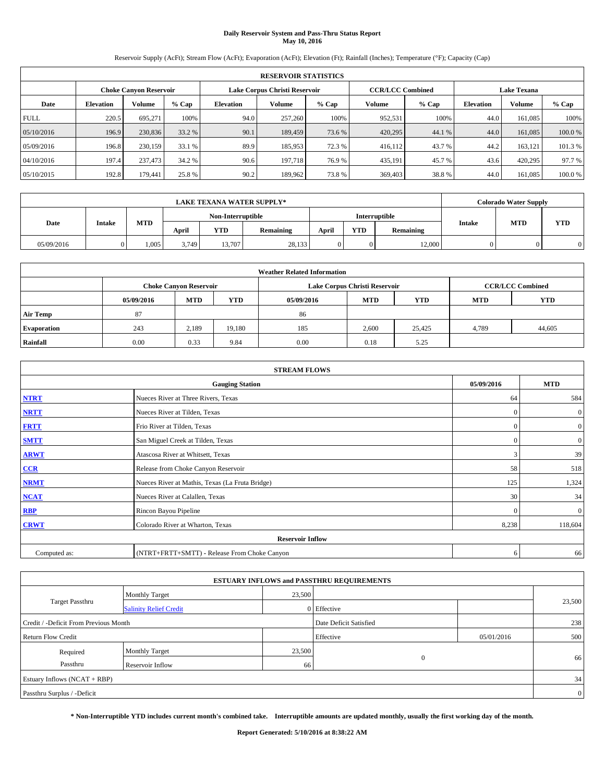# **Daily Reservoir System and Pass-Thru Status Report May 10, 2016**

Reservoir Supply (AcFt); Stream Flow (AcFt); Evaporation (AcFt); Elevation (Ft); Rainfall (Inches); Temperature (°F); Capacity (Cap)

|             | <b>RESERVOIR STATISTICS</b>                             |         |         |                  |         |         |                         |         |                    |               |         |  |  |
|-------------|---------------------------------------------------------|---------|---------|------------------|---------|---------|-------------------------|---------|--------------------|---------------|---------|--|--|
|             | Lake Corpus Christi Reservoir<br>Choke Canvon Reservoir |         |         |                  |         |         | <b>CCR/LCC Combined</b> |         | <b>Lake Texana</b> |               |         |  |  |
| Date        | <b>Elevation</b>                                        | Volume  | $%$ Cap | <b>Elevation</b> | Volume  | $%$ Cap | <b>Volume</b>           | $%$ Cap | <b>Elevation</b>   | <b>Volume</b> | % Cap   |  |  |
| <b>FULL</b> | 220.5                                                   | 695.271 | 100%    | 94.0             | 257,260 | 100%    | 952,531                 | 100%    | 44.0               | 161.085       | 100%    |  |  |
| 05/10/2016  | 196.9                                                   | 230,836 | 33.2 %  | 90.1             | 189,459 | 73.6 %  | 420,295                 | 44.1 %  | 44.0               | 161,085       | 100.0%  |  |  |
| 05/09/2016  | 196.8                                                   | 230,159 | 33.1 %  | 89.9             | 185,953 | 72.3 %  | 416,112                 | 43.7 %  | 44.2               | 163,121       | 101.3 % |  |  |
| 04/10/2016  | 197.4                                                   | 237,473 | 34.2 %  | 90.6             | 197.718 | 76.9 %  | 435,191                 | 45.7 %  | 43.6               | 420,295       | 97.7 %  |  |  |
| 05/10/2015  | 192.8                                                   | 179,441 | 25.8%   | 90.2             | 189,962 | 73.8%   | 369,403                 | 38.8%   | 44.0               | 161.085       | 100.0%  |  |  |

|            | <b>LAKE TEXANA WATER SUPPLY*</b> |            |       |                   |                  |       |            |               |        | <b>Colorado Water Supply</b> |            |
|------------|----------------------------------|------------|-------|-------------------|------------------|-------|------------|---------------|--------|------------------------------|------------|
|            |                                  |            |       | Non-Interruptible |                  |       |            | Interruptible |        | <b>MTD</b>                   |            |
| Date       | <b>Intake</b>                    | <b>MTD</b> | April | YTD               | <b>Remaining</b> | April | <b>YTD</b> | Remaining     | Intake |                              | <b>YTD</b> |
| 05/09/2016 |                                  | 1.005      | 3.749 | 13,707            | 28,133           |       | $\Omega$   | 12,000        |        |                              |            |

|                    | <b>Weather Related Information</b> |                               |            |            |                               |                         |       |        |  |  |  |  |
|--------------------|------------------------------------|-------------------------------|------------|------------|-------------------------------|-------------------------|-------|--------|--|--|--|--|
|                    |                                    | <b>Choke Canyon Reservoir</b> |            |            | Lake Corpus Christi Reservoir | <b>CCR/LCC Combined</b> |       |        |  |  |  |  |
|                    | 05/09/2016                         | <b>MTD</b>                    | <b>YTD</b> | 05/09/2016 | <b>MTD</b>                    | <b>YTD</b>              |       |        |  |  |  |  |
| <b>Air Temp</b>    | 87                                 |                               |            | 86         |                               |                         |       |        |  |  |  |  |
| <b>Evaporation</b> | 243                                | 2,189                         | 19.180     | 185        | 2,600                         | 25,425                  | 4,789 | 44,605 |  |  |  |  |
| Rainfall           | 0.00                               | 0.33                          | 9.84       | 0.00       | 0.18                          | 5.25                    |       |        |  |  |  |  |

|              | <b>STREAM FLOWS</b>                             |              |                  |  |  |  |  |  |  |
|--------------|-------------------------------------------------|--------------|------------------|--|--|--|--|--|--|
|              | <b>Gauging Station</b>                          | 05/09/2016   | <b>MTD</b>       |  |  |  |  |  |  |
| <b>NTRT</b>  | Nueces River at Three Rivers, Texas             | 64           | 584              |  |  |  |  |  |  |
| <b>NRTT</b>  | Nueces River at Tilden, Texas                   | $\mathbf{0}$ | $\boldsymbol{0}$ |  |  |  |  |  |  |
| <b>FRTT</b>  | Frio River at Tilden, Texas                     | $\mathbf{0}$ | $\boldsymbol{0}$ |  |  |  |  |  |  |
| <b>SMTT</b>  | San Miguel Creek at Tilden, Texas               | $\mathbf{0}$ | $\boldsymbol{0}$ |  |  |  |  |  |  |
| <b>ARWT</b>  | Atascosa River at Whitsett, Texas               | 3            | 39               |  |  |  |  |  |  |
| $CCR$        | Release from Choke Canyon Reservoir             | 58           | 518              |  |  |  |  |  |  |
| <b>NRMT</b>  | Nueces River at Mathis, Texas (La Fruta Bridge) | 125          | 1,324            |  |  |  |  |  |  |
| <b>NCAT</b>  | Nueces River at Calallen, Texas                 | 30           | 34               |  |  |  |  |  |  |
| RBP          | Rincon Bayou Pipeline                           | $\Omega$     | $\mathbf{0}$     |  |  |  |  |  |  |
| <b>CRWT</b>  | Colorado River at Wharton, Texas                | 8,238        | 118,604          |  |  |  |  |  |  |
|              | <b>Reservoir Inflow</b>                         |              |                  |  |  |  |  |  |  |
| Computed as: | (NTRT+FRTT+SMTT) - Release From Choke Canyon    | 6            | 66               |  |  |  |  |  |  |

| <b>ESTUARY INFLOWS and PASSTHRU REQUIREMENTS</b> |                               |        |                        |            |                |  |  |  |  |  |
|--------------------------------------------------|-------------------------------|--------|------------------------|------------|----------------|--|--|--|--|--|
|                                                  | <b>Monthly Target</b>         | 23,500 |                        |            |                |  |  |  |  |  |
| Target Passthru                                  | <b>Salinity Relief Credit</b> |        | 0 Effective            |            | 23,500         |  |  |  |  |  |
| Credit / -Deficit From Previous Month            |                               |        | Date Deficit Satisfied |            | 238            |  |  |  |  |  |
| <b>Return Flow Credit</b>                        |                               |        | Effective              | 05/01/2016 | 500            |  |  |  |  |  |
| Required                                         | Monthly Target                | 23,500 |                        |            |                |  |  |  |  |  |
| Passthru                                         | <b>Reservoir Inflow</b>       | 66     | $\mathbf{0}$           |            | 66             |  |  |  |  |  |
| Estuary Inflows (NCAT + RBP)                     |                               |        |                        |            |                |  |  |  |  |  |
| Passthru Surplus / -Deficit                      |                               |        |                        |            | $\overline{0}$ |  |  |  |  |  |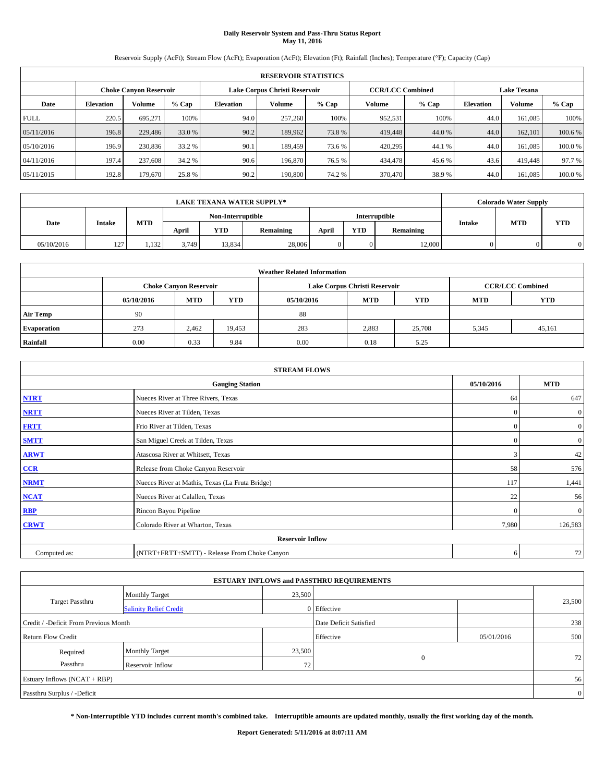# **Daily Reservoir System and Pass-Thru Status Report May 11, 2016**

Reservoir Supply (AcFt); Stream Flow (AcFt); Evaporation (AcFt); Elevation (Ft); Rainfall (Inches); Temperature (°F); Capacity (Cap)

|             | <b>RESERVOIR STATISTICS</b> |                               |        |           |                               |         |                         |         |                  |                    |        |  |
|-------------|-----------------------------|-------------------------------|--------|-----------|-------------------------------|---------|-------------------------|---------|------------------|--------------------|--------|--|
|             |                             | <b>Choke Canyon Reservoir</b> |        |           | Lake Corpus Christi Reservoir |         | <b>CCR/LCC Combined</b> |         |                  | <b>Lake Texana</b> |        |  |
| Date        | <b>Elevation</b>            | Volume                        | % Cap  | Elevation | Volume                        | $%$ Cap | Volume                  | $%$ Cap | <b>Elevation</b> | <b>Volume</b>      | % Cap  |  |
| <b>FULL</b> | 220.5                       | 695.271                       | 100%   | 94.0      | 257,260                       | 100%    | 952,531                 | 100%    | 44.0             | 161.085            | 100%   |  |
| 05/11/2016  | 196.8                       | 229,486                       | 33.0 % | 90.2      | 189,962                       | 73.8%   | 419,448                 | 44.0 %  | 44.0             | 162,101            | 100.6% |  |
| 05/10/2016  | 196.9                       | 230,836                       | 33.2 % | 90.1      | 189,459                       | 73.6 %  | 420,295                 | 44.1 %  | 44.0             | 161.085            | 100.0% |  |
| 04/11/2016  | 197.4                       | 237,608                       | 34.2 % | 90.6      | 196,870                       | 76.5 %  | 434,478                 | 45.6 %  | 43.6             | 419,448            | 97.7 % |  |
| 05/11/2015  | 192.8                       | 179.670                       | 25.8%  | 90.2      | 190,800                       | 74.2 %  | 370,470                 | 38.9 %  | 44.0             | 161.085            | 100.0% |  |

|            |               |       |            |                   | <b>LAKE TEXANA WATER SUPPLY*</b> |                  |          |                      |           | <b>Colorado Water Supply</b> |            |            |
|------------|---------------|-------|------------|-------------------|----------------------------------|------------------|----------|----------------------|-----------|------------------------------|------------|------------|
|            |               |       |            | Non-Interruptible |                                  |                  |          | <b>Interruptible</b> |           |                              |            |            |
| Date       | <b>Intake</b> |       | <b>MTD</b> | April             | <b>YTD</b>                       | <b>Remaining</b> | April    | <b>YTD</b>           | Remaining | Intake                       | <b>MTD</b> | <b>YTD</b> |
| 05/10/2016 | 127           | 1,132 | 3.749      | 13.834            | 28,006                           |                  | $\theta$ | 12,000               |           |                              |            |            |

| <b>Weather Related Information</b> |            |                               |            |            |                               |                         |            |            |  |  |
|------------------------------------|------------|-------------------------------|------------|------------|-------------------------------|-------------------------|------------|------------|--|--|
|                                    |            | <b>Choke Canyon Reservoir</b> |            |            | Lake Corpus Christi Reservoir | <b>CCR/LCC Combined</b> |            |            |  |  |
|                                    | 05/10/2016 | <b>MTD</b>                    | <b>YTD</b> | 05/10/2016 | <b>MTD</b>                    | <b>YTD</b>              | <b>MTD</b> | <b>YTD</b> |  |  |
| <b>Air Temp</b>                    | 90         |                               |            | 88         |                               |                         |            |            |  |  |
| <b>Evaporation</b>                 | 273        | 2.462                         | 19,453     | 283        | 2,883                         | 25,708                  | 5,345      | 45,161     |  |  |
| Rainfall                           | 0.00       | 0.33                          | 9.84       | 0.00       | 0.18                          | 5.25                    |            |            |  |  |

| <b>STREAM FLOWS</b> |                                                 |              |                  |  |  |  |  |  |
|---------------------|-------------------------------------------------|--------------|------------------|--|--|--|--|--|
|                     | <b>Gauging Station</b>                          | 05/10/2016   | <b>MTD</b>       |  |  |  |  |  |
| <b>NTRT</b>         | Nueces River at Three Rivers, Texas             | 64           | 647              |  |  |  |  |  |
| <b>NRTT</b>         | Nueces River at Tilden, Texas                   | $\mathbf{0}$ | $\boldsymbol{0}$ |  |  |  |  |  |
| <b>FRTT</b>         | Frio River at Tilden, Texas                     | $\mathbf{0}$ | $\boldsymbol{0}$ |  |  |  |  |  |
| <b>SMTT</b>         | San Miguel Creek at Tilden, Texas               | $\mathbf{0}$ | $\overline{0}$   |  |  |  |  |  |
| <b>ARWT</b>         | Atascosa River at Whitsett, Texas               | 3            | 42               |  |  |  |  |  |
| $CCR$               | Release from Choke Canyon Reservoir             | 58           | 576              |  |  |  |  |  |
| <b>NRMT</b>         | Nueces River at Mathis, Texas (La Fruta Bridge) | 117          | 1,441            |  |  |  |  |  |
| <b>NCAT</b>         | Nueces River at Calallen, Texas                 | 22           | 56               |  |  |  |  |  |
| RBP                 | Rincon Bayou Pipeline                           | $\Omega$     | $\mathbf{0}$     |  |  |  |  |  |
| <b>CRWT</b>         | Colorado River at Wharton, Texas                | 7,980        | 126,583          |  |  |  |  |  |
|                     | <b>Reservoir Inflow</b>                         |              |                  |  |  |  |  |  |
| Computed as:        | (NTRT+FRTT+SMTT) - Release From Choke Canyon    | 6            | 72               |  |  |  |  |  |

| <b>ESTUARY INFLOWS and PASSTHRU REQUIREMENTS</b> |                               |        |                        |            |                |  |  |  |  |  |
|--------------------------------------------------|-------------------------------|--------|------------------------|------------|----------------|--|--|--|--|--|
|                                                  | <b>Monthly Target</b>         | 23,500 |                        |            |                |  |  |  |  |  |
| Target Passthru                                  | <b>Salinity Relief Credit</b> |        | 0 Effective            |            | 23,500         |  |  |  |  |  |
| Credit / -Deficit From Previous Month            |                               |        | Date Deficit Satisfied |            | 238            |  |  |  |  |  |
| <b>Return Flow Credit</b>                        |                               |        | Effective              | 05/01/2016 | 500            |  |  |  |  |  |
| Required                                         | Monthly Target                | 23,500 |                        |            |                |  |  |  |  |  |
| Passthru                                         | <b>Reservoir Inflow</b>       | 72     | $\mathbf{0}$           |            | 72             |  |  |  |  |  |
| Estuary Inflows (NCAT + RBP)                     |                               |        |                        |            |                |  |  |  |  |  |
| Passthru Surplus / -Deficit                      |                               |        |                        |            | $\overline{0}$ |  |  |  |  |  |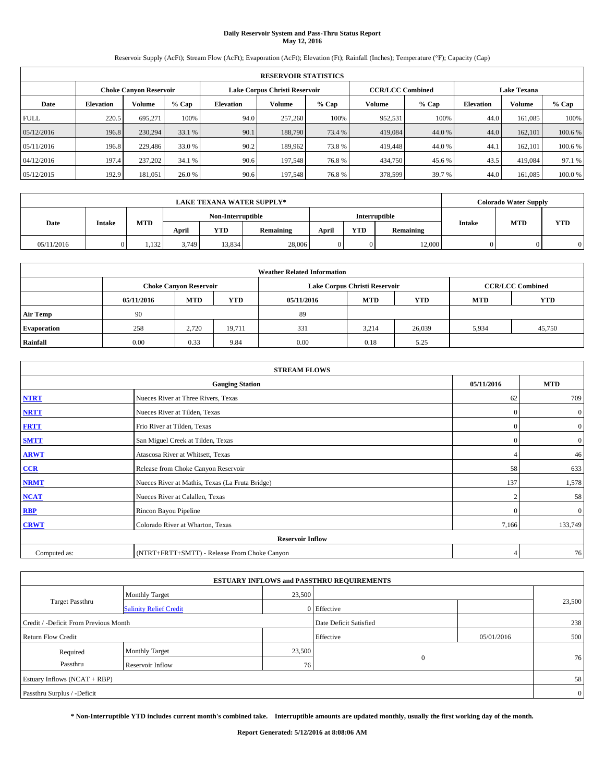# **Daily Reservoir System and Pass-Thru Status Report May 12, 2016**

Reservoir Supply (AcFt); Stream Flow (AcFt); Evaporation (AcFt); Elevation (Ft); Rainfall (Inches); Temperature (°F); Capacity (Cap)

|             | <b>RESERVOIR STATISTICS</b> |                        |         |                  |                               |         |                         |         |                  |                    |         |  |
|-------------|-----------------------------|------------------------|---------|------------------|-------------------------------|---------|-------------------------|---------|------------------|--------------------|---------|--|
|             |                             | Choke Canvon Reservoir |         |                  | Lake Corpus Christi Reservoir |         | <b>CCR/LCC Combined</b> |         |                  | <b>Lake Texana</b> |         |  |
| Date        | <b>Elevation</b>            | Volume                 | $%$ Cap | <b>Elevation</b> | Volume                        | $%$ Cap | <b>Volume</b>           | $%$ Cap | <b>Elevation</b> | <b>Volume</b>      | % Cap   |  |
| <b>FULL</b> | 220.5                       | 695.271                | 100%    | 94.0             | 257,260                       | 100%    | 952,531                 | 100%    | 44.0             | 161.085            | 100%    |  |
| 05/12/2016  | 196.8                       | 230,294                | 33.1 %  | 90.1             | 188,790                       | 73.4 %  | 419,084                 | 44.0%   | 44.0             | 162,101            | 100.6%  |  |
| 05/11/2016  | 196.8                       | 229,486                | 33.0 %  | 90.2             | 189.962                       | 73.8%   | 419,448                 | 44.0 %  | 44.              | 162,101            | 100.6 % |  |
| 04/12/2016  | 197.4                       | 237,202                | 34.1 %  | 90.6             | 197.548                       | 76.8%   | 434,750                 | 45.6 %  | 43.5             | 419.084            | 97.1 %  |  |
| 05/12/2015  | 192.9                       | 181,051                | 26.0 %  | 90.6             | 197,548                       | 76.8%   | 378,599                 | 39.7 %  | 44.0             | 161.085            | 100.0%  |  |

| <b>LAKE TEXANA WATER SUPPLY*</b> |  |       |               |                   |            |  | <b>Colorado Water Supply</b> |               |                  |       |            |           |        |            |            |
|----------------------------------|--|-------|---------------|-------------------|------------|--|------------------------------|---------------|------------------|-------|------------|-----------|--------|------------|------------|
|                                  |  |       |               | Non-Interruptible |            |  |                              | Interruptible |                  |       |            |           |        |            |            |
| Date                             |  |       | <b>Intake</b> |                   | <b>MTD</b> |  | April                        | YTD           | <b>Remaining</b> | April | <b>YTD</b> | Remaining | Intake | <b>MTD</b> | <b>YTD</b> |
| 05/11/2016                       |  | 1,132 | 3.749         | 13.834            | 28,006     |  | $\Omega$                     | 12,000        |                  |       |            |           |        |            |            |

| <b>Weather Related Information</b> |            |                               |            |            |                               |                         |            |            |  |  |
|------------------------------------|------------|-------------------------------|------------|------------|-------------------------------|-------------------------|------------|------------|--|--|
|                                    |            | <b>Choke Canyon Reservoir</b> |            |            | Lake Corpus Christi Reservoir | <b>CCR/LCC Combined</b> |            |            |  |  |
|                                    | 05/11/2016 | <b>MTD</b>                    | <b>YTD</b> | 05/11/2016 | <b>MTD</b>                    | <b>YTD</b>              | <b>MTD</b> | <b>YTD</b> |  |  |
| <b>Air Temp</b>                    | 90         |                               |            | 89         |                               |                         |            |            |  |  |
| <b>Evaporation</b>                 | 258        | 2.720                         | 19,711     | 331        | 3.214                         | 26,039                  | 5,934      | 45,750     |  |  |
| Rainfall                           | 0.00       | 0.33                          | 9.84       | 0.00       | 0.18                          | 5.25                    |            |            |  |  |

|              | <b>STREAM FLOWS</b>                             |                |                |  |  |  |  |  |  |
|--------------|-------------------------------------------------|----------------|----------------|--|--|--|--|--|--|
|              | <b>Gauging Station</b>                          | 05/11/2016     | <b>MTD</b>     |  |  |  |  |  |  |
| <b>NTRT</b>  | Nueces River at Three Rivers, Texas             | 62             | 709            |  |  |  |  |  |  |
| <b>NRTT</b>  | Nueces River at Tilden, Texas                   | $\Omega$       | $\overline{0}$ |  |  |  |  |  |  |
| <b>FRTT</b>  | Frio River at Tilden, Texas                     | $\Omega$       | $\mathbf{0}$   |  |  |  |  |  |  |
| <b>SMTT</b>  | San Miguel Creek at Tilden, Texas               | $\Omega$       | $\overline{0}$ |  |  |  |  |  |  |
| <b>ARWT</b>  | Atascosa River at Whitsett, Texas               |                | 46             |  |  |  |  |  |  |
| $CCR$        | Release from Choke Canyon Reservoir             | 58             | 633            |  |  |  |  |  |  |
| <b>NRMT</b>  | Nueces River at Mathis, Texas (La Fruta Bridge) | 137            | 1,578          |  |  |  |  |  |  |
| <b>NCAT</b>  | Nueces River at Calallen, Texas                 |                | 58             |  |  |  |  |  |  |
| RBP          | Rincon Bayou Pipeline                           | $\Omega$       | $\overline{0}$ |  |  |  |  |  |  |
| <b>CRWT</b>  | Colorado River at Wharton, Texas                | 7,166          | 133,749        |  |  |  |  |  |  |
|              |                                                 |                |                |  |  |  |  |  |  |
| Computed as: | (NTRT+FRTT+SMTT) - Release From Choke Canyon    | $\overline{4}$ | 76             |  |  |  |  |  |  |

| <b>ESTUARY INFLOWS and PASSTHRU REQUIREMENTS</b> |                               |        |                        |            |                |  |  |  |  |  |
|--------------------------------------------------|-------------------------------|--------|------------------------|------------|----------------|--|--|--|--|--|
|                                                  | <b>Monthly Target</b>         | 23,500 |                        |            |                |  |  |  |  |  |
| Target Passthru                                  | <b>Salinity Relief Credit</b> |        | 0 Effective            |            | 23,500         |  |  |  |  |  |
| Credit / -Deficit From Previous Month            |                               |        | Date Deficit Satisfied |            | 238            |  |  |  |  |  |
| <b>Return Flow Credit</b>                        |                               |        | Effective              | 05/01/2016 | 500            |  |  |  |  |  |
| Required                                         | Monthly Target                | 23,500 |                        |            |                |  |  |  |  |  |
| Passthru                                         | <b>Reservoir Inflow</b>       | 76     | $\Omega$               |            | 76             |  |  |  |  |  |
| Estuary Inflows (NCAT + RBP)                     |                               |        |                        |            |                |  |  |  |  |  |
| Passthru Surplus / -Deficit                      |                               |        |                        |            | $\overline{0}$ |  |  |  |  |  |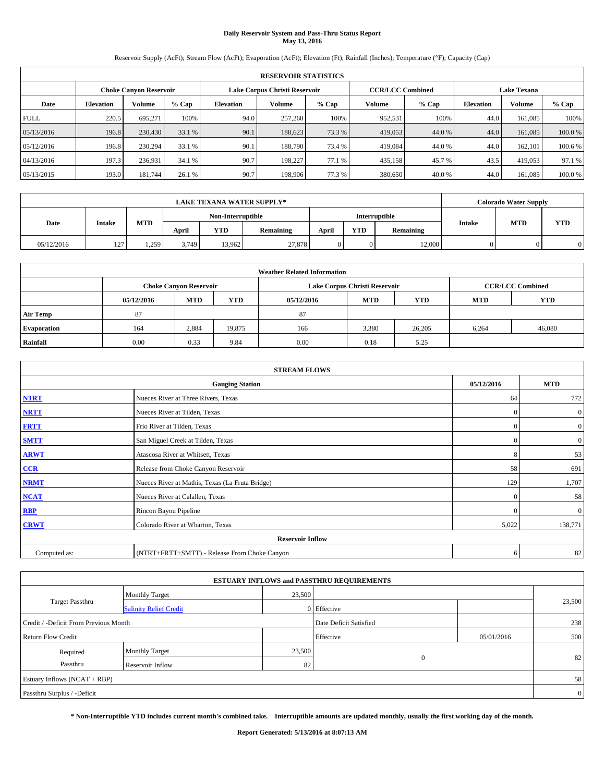# **Daily Reservoir System and Pass-Thru Status Report May 13, 2016**

Reservoir Supply (AcFt); Stream Flow (AcFt); Evaporation (AcFt); Elevation (Ft); Rainfall (Inches); Temperature (°F); Capacity (Cap)

|             | <b>RESERVOIR STATISTICS</b> |                        |         |                  |                                                          |         |               |         |                    |               |         |
|-------------|-----------------------------|------------------------|---------|------------------|----------------------------------------------------------|---------|---------------|---------|--------------------|---------------|---------|
|             |                             | Choke Canvon Reservoir |         |                  | <b>CCR/LCC Combined</b><br>Lake Corpus Christi Reservoir |         |               |         | <b>Lake Texana</b> |               |         |
| Date        | <b>Elevation</b>            | Volume                 | $%$ Cap | <b>Elevation</b> | Volume                                                   | $%$ Cap | <b>Volume</b> | $%$ Cap | <b>Elevation</b>   | <b>Volume</b> | % Cap   |
| <b>FULL</b> | 220.5                       | 695.271                | 100%    | 94.0             | 257,260                                                  | 100%    | 952,531       | 100%    | 44.0               | 161.085       | 100%    |
| 05/13/2016  | 196.8                       | 230,430                | 33.1 %  | 90.1             | 188,623                                                  | 73.3 %  | 419,053       | 44.0%   | 44.0               | 161,085       | 100.0%  |
| 05/12/2016  | 196.8                       | 230,294                | 33.1 %  | 90.1             | 188,790                                                  | 73.4 %  | 419,084       | 44.0 %  | 44.0               | 162,101       | 100.6 % |
| 04/13/2016  | 197.3                       | 236,931                | 34.1 %  | 90.7             | 198.227                                                  | 77.1 %  | 435,158       | 45.7 %  | 43.5               | 419,053       | 97.1 %  |
| 05/13/2015  | 193.0                       | 181,744                | 26.1 %  | 90.7             | 198,906                                                  | 77.3 %  | 380,650       | 40.0%   | 44.0               | 161.085       | 100.0%  |

|            | <b>LAKE TEXANA WATER SUPPLY*</b> |            |       |                   |                  |       |            |               |        |            | <b>Colorado Water Supply</b> |  |  |
|------------|----------------------------------|------------|-------|-------------------|------------------|-------|------------|---------------|--------|------------|------------------------------|--|--|
|            |                                  |            |       | Non-Interruptible |                  |       |            | Interruptible |        |            |                              |  |  |
| Date       | Intake                           | <b>MTD</b> | April | YTD               | <b>Remaining</b> | April | <b>YTD</b> | Remaining     | Intake | <b>MTD</b> | <b>YTD</b>                   |  |  |
| 05/12/2016 | 127<br>1/2                       | 1.259      | 3.749 | 13.962            | 27,878           |       | $\Omega$   | 12,000        |        |            |                              |  |  |

| <b>Weather Related Information</b> |                               |                                                                                  |        |      |                               |                         |       |            |  |  |
|------------------------------------|-------------------------------|----------------------------------------------------------------------------------|--------|------|-------------------------------|-------------------------|-------|------------|--|--|
|                                    | <b>Choke Canyon Reservoir</b> |                                                                                  |        |      | Lake Corpus Christi Reservoir | <b>CCR/LCC Combined</b> |       |            |  |  |
|                                    | 05/12/2016                    | <b>YTD</b><br><b>MTD</b><br><b>MTD</b><br><b>YTD</b><br>05/12/2016<br><b>MTD</b> |        |      |                               |                         |       | <b>YTD</b> |  |  |
| <b>Air Temp</b>                    | 87                            |                                                                                  |        | 87   |                               |                         |       |            |  |  |
| <b>Evaporation</b>                 | 164                           | 2,884                                                                            | 19,875 | 166  | 3,380                         | 26,205                  | 6,264 | 46,080     |  |  |
| Rainfall                           | 0.00                          | 0.33                                                                             | 9.84   | 0.00 | 0.18                          | 5.25                    |       |            |  |  |

| <b>STREAM FLOWS</b> |                                                 |              |                  |  |  |  |  |  |  |
|---------------------|-------------------------------------------------|--------------|------------------|--|--|--|--|--|--|
|                     | <b>Gauging Station</b>                          | 05/12/2016   | <b>MTD</b>       |  |  |  |  |  |  |
| <b>NTRT</b>         | Nueces River at Three Rivers, Texas             | 64           | 772              |  |  |  |  |  |  |
| <b>NRTT</b>         | Nueces River at Tilden, Texas                   | $\mathbf{0}$ | $\boldsymbol{0}$ |  |  |  |  |  |  |
| <b>FRTT</b>         | Frio River at Tilden, Texas                     | $\mathbf{0}$ | $\boldsymbol{0}$ |  |  |  |  |  |  |
| <b>SMTT</b>         | San Miguel Creek at Tilden, Texas               | $\mathbf{0}$ | $\overline{0}$   |  |  |  |  |  |  |
| <b>ARWT</b>         | Atascosa River at Whitsett, Texas               | 8            | 53               |  |  |  |  |  |  |
| CCR                 | Release from Choke Canyon Reservoir             | 58           | 691              |  |  |  |  |  |  |
| <b>NRMT</b>         | Nueces River at Mathis, Texas (La Fruta Bridge) | 129          | 1,707            |  |  |  |  |  |  |
| <b>NCAT</b>         | Nueces River at Calallen, Texas                 | $\mathbf{0}$ | 58               |  |  |  |  |  |  |
| RBP                 | Rincon Bayou Pipeline                           | $\Omega$     | $\mathbf{0}$     |  |  |  |  |  |  |
| <b>CRWT</b>         | Colorado River at Wharton, Texas                | 5,022        | 138,771          |  |  |  |  |  |  |
|                     | <b>Reservoir Inflow</b>                         |              |                  |  |  |  |  |  |  |
| Computed as:        | (NTRT+FRTT+SMTT) - Release From Choke Canyon    | 6            | 82               |  |  |  |  |  |  |

| <b>ESTUARY INFLOWS and PASSTHRU REQUIREMENTS</b> |                               |        |                        |            |        |  |  |  |  |  |
|--------------------------------------------------|-------------------------------|--------|------------------------|------------|--------|--|--|--|--|--|
|                                                  | <b>Monthly Target</b>         | 23,500 |                        |            |        |  |  |  |  |  |
| Target Passthru                                  | <b>Salinity Relief Credit</b> |        | 0 Effective            |            | 23,500 |  |  |  |  |  |
| Credit / -Deficit From Previous Month            |                               |        | Date Deficit Satisfied |            | 238    |  |  |  |  |  |
| <b>Return Flow Credit</b>                        |                               |        | Effective              | 05/01/2016 | 500    |  |  |  |  |  |
| Required                                         | Monthly Target                | 23,500 |                        |            |        |  |  |  |  |  |
| Passthru                                         | <b>Reservoir Inflow</b>       | 82     | $\Omega$               |            | 82     |  |  |  |  |  |
| Estuary Inflows (NCAT + RBP)                     |                               |        |                        |            |        |  |  |  |  |  |
| Passthru Surplus / -Deficit                      |                               |        |                        |            |        |  |  |  |  |  |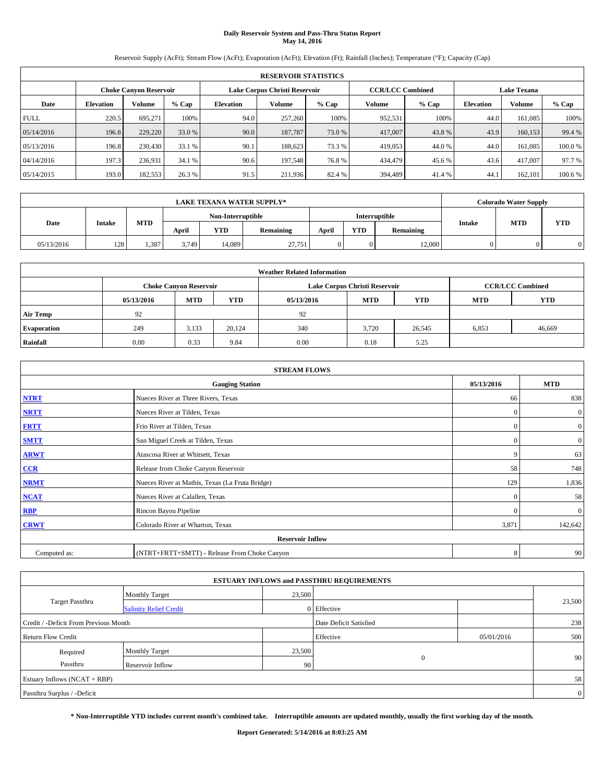# **Daily Reservoir System and Pass-Thru Status Report May 14, 2016**

Reservoir Supply (AcFt); Stream Flow (AcFt); Evaporation (AcFt); Elevation (Ft); Rainfall (Inches); Temperature (°F); Capacity (Cap)

|             | <b>RESERVOIR STATISTICS</b> |                        |         |                               |         |         |         |                         |                    |               |         |  |
|-------------|-----------------------------|------------------------|---------|-------------------------------|---------|---------|---------|-------------------------|--------------------|---------------|---------|--|
|             |                             | Choke Canvon Reservoir |         | Lake Corpus Christi Reservoir |         |         |         | <b>CCR/LCC Combined</b> | <b>Lake Texana</b> |               |         |  |
| Date        | <b>Elevation</b>            | Volume                 | $%$ Cap | <b>Elevation</b>              | Volume  | $%$ Cap | Volume  | $%$ Cap                 | <b>Elevation</b>   | <b>Volume</b> | % Cap   |  |
| <b>FULL</b> | 220.5                       | 695.271                | 100%    | 94.0                          | 257,260 | 100%    | 952,531 | 100%                    | 44.0               | 161.085       | 100%    |  |
| 05/14/2016  | 196.8                       | 229,220                | 33.0 %  | 90.0                          | 187,787 | 73.0 %  | 417,007 | 43.8%                   | 43.9               | 160,153       | 99.4 %  |  |
| 05/13/2016  | 196.8                       | 230,430                | 33.1 %  | 90.1                          | 188,623 | 73.3 %  | 419,053 | 44.0 %                  | 44.0               | 161.085       | 100.0%  |  |
| 04/14/2016  | 197.3                       | 236,931                | 34.1 %  | 90.6                          | 197.548 | 76.8%   | 434,479 | 45.6 %                  | 43.6               | 417,007       | 97.7 %  |  |
| 05/14/2015  | 193.0                       | 182,553                | 26.3%   | 91.5                          | 211,936 | 82.4 %  | 394,489 | 41.4 %                  | 44.                | 162,101       | 100.6 % |  |

|            | <b>LAKE TEXANA WATER SUPPLY*</b> |            |       |                   |                  |                                  |          |               |            | <b>Colorado Water Supply</b> |  |  |
|------------|----------------------------------|------------|-------|-------------------|------------------|----------------------------------|----------|---------------|------------|------------------------------|--|--|
|            |                                  |            |       | Non-Interruptible |                  |                                  |          | Interruptible |            |                              |  |  |
| Date       | <b>Intake</b>                    | <b>MTD</b> | April | YTD               | <b>Remaining</b> | <b>YTD</b><br>Remaining<br>April |          | Intake        | <b>MTD</b> | <b>YTD</b>                   |  |  |
| 05/13/2016 | 128                              | 1.387      | 3.749 | 14.089            | 27.751           |                                  | $\Omega$ | 12,000        |            |                              |  |  |

| <b>Weather Related Information</b> |                                                                                                |                               |        |      |                               |                         |       |            |  |  |
|------------------------------------|------------------------------------------------------------------------------------------------|-------------------------------|--------|------|-------------------------------|-------------------------|-------|------------|--|--|
|                                    |                                                                                                | <b>Choke Canyon Reservoir</b> |        |      | Lake Corpus Christi Reservoir | <b>CCR/LCC Combined</b> |       |            |  |  |
|                                    | <b>YTD</b><br><b>MTD</b><br><b>MTD</b><br><b>YTD</b><br>05/13/2016<br>05/13/2016<br><b>MTD</b> |                               |        |      |                               |                         |       | <b>YTD</b> |  |  |
| <b>Air Temp</b>                    | 92                                                                                             |                               |        | 92   |                               |                         |       |            |  |  |
| <b>Evaporation</b>                 | 249                                                                                            | 3,133                         | 20.124 | 340  | 3.720                         | 26,545                  | 6,853 | 46,669     |  |  |
| Rainfall                           | 0.00                                                                                           | 0.33                          | 9.84   | 0.00 | 0.18                          | 5.25                    |       |            |  |  |

| <b>STREAM FLOWS</b> |                                                 |              |                  |  |  |  |  |  |  |
|---------------------|-------------------------------------------------|--------------|------------------|--|--|--|--|--|--|
|                     | <b>Gauging Station</b>                          | 05/13/2016   | <b>MTD</b>       |  |  |  |  |  |  |
| <b>NTRT</b>         | Nueces River at Three Rivers, Texas             | 66           | 838              |  |  |  |  |  |  |
| <b>NRTT</b>         | Nueces River at Tilden, Texas                   | $\mathbf{0}$ | $\boldsymbol{0}$ |  |  |  |  |  |  |
| <b>FRTT</b>         | Frio River at Tilden, Texas                     | $\mathbf{0}$ | $\boldsymbol{0}$ |  |  |  |  |  |  |
| <b>SMTT</b>         | San Miguel Creek at Tilden, Texas               | $\mathbf{0}$ | $\overline{0}$   |  |  |  |  |  |  |
| <b>ARWT</b>         | Atascosa River at Whitsett, Texas               | 9            | 63               |  |  |  |  |  |  |
| CCR                 | Release from Choke Canyon Reservoir             | 58           | 748              |  |  |  |  |  |  |
| <b>NRMT</b>         | Nueces River at Mathis, Texas (La Fruta Bridge) | 129          | 1,836            |  |  |  |  |  |  |
| <b>NCAT</b>         | Nueces River at Calallen, Texas                 | $\mathbf{0}$ | 58               |  |  |  |  |  |  |
| RBP                 | Rincon Bayou Pipeline                           | $\Omega$     | $\mathbf{0}$     |  |  |  |  |  |  |
| <b>CRWT</b>         | Colorado River at Wharton, Texas                | 3,871        | 142,642          |  |  |  |  |  |  |
|                     | <b>Reservoir Inflow</b>                         |              |                  |  |  |  |  |  |  |
| Computed as:        | (NTRT+FRTT+SMTT) - Release From Choke Canyon    | 8            | 90               |  |  |  |  |  |  |

| <b>ESTUARY INFLOWS and PASSTHRU REQUIREMENTS</b> |                               |                 |                        |            |                 |  |  |  |  |  |
|--------------------------------------------------|-------------------------------|-----------------|------------------------|------------|-----------------|--|--|--|--|--|
|                                                  | <b>Monthly Target</b>         | 23,500          |                        |            |                 |  |  |  |  |  |
| Target Passthru                                  | <b>Salinity Relief Credit</b> |                 | 0 Effective            |            | 23,500          |  |  |  |  |  |
| Credit / -Deficit From Previous Month            |                               |                 | Date Deficit Satisfied |            | 238             |  |  |  |  |  |
| <b>Return Flow Credit</b>                        |                               |                 | Effective              | 05/01/2016 | 500             |  |  |  |  |  |
| Required                                         | Monthly Target                | 23,500          |                        |            |                 |  |  |  |  |  |
| Passthru                                         | <b>Reservoir Inflow</b>       | 90 <sub>1</sub> | $\Omega$               |            | 90 <sub>1</sub> |  |  |  |  |  |
| Estuary Inflows (NCAT + RBP)                     |                               |                 |                        |            |                 |  |  |  |  |  |
| Passthru Surplus / -Deficit                      |                               |                 |                        |            |                 |  |  |  |  |  |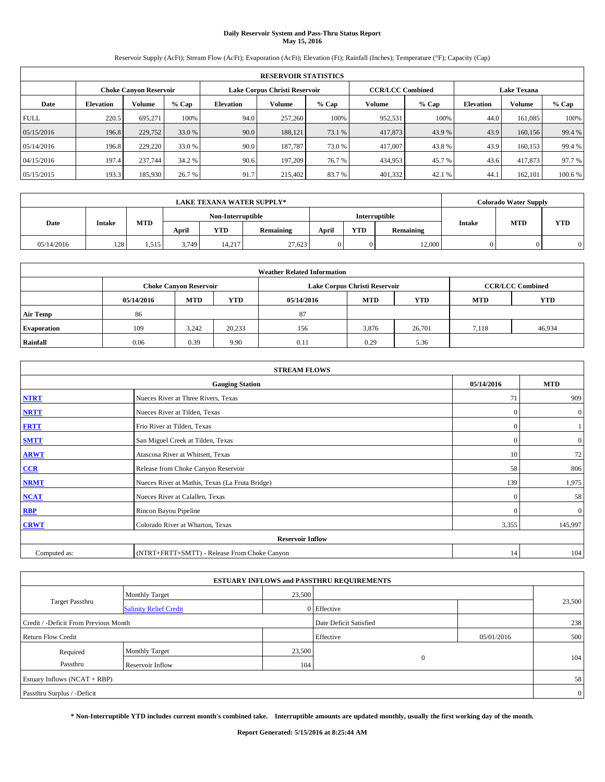# **Daily Reservoir System and Pass-Thru Status Report May 15, 2016**

Reservoir Supply (AcFt); Stream Flow (AcFt); Evaporation (AcFt); Elevation (Ft); Rainfall (Inches); Temperature (°F); Capacity (Cap)

|             | <b>RESERVOIR STATISTICS</b> |                               |         |                  |                               |         |                         |         |                  |                    |         |  |
|-------------|-----------------------------|-------------------------------|---------|------------------|-------------------------------|---------|-------------------------|---------|------------------|--------------------|---------|--|
|             |                             | <b>Choke Canyon Reservoir</b> |         |                  | Lake Corpus Christi Reservoir |         | <b>CCR/LCC Combined</b> |         |                  | <b>Lake Texana</b> |         |  |
| Date        | <b>Elevation</b>            | Volume                        | $%$ Cap | <b>Elevation</b> | Volume                        | $%$ Cap | Volume                  | $%$ Cap | <b>Elevation</b> | <b>Volume</b>      | % Cap   |  |
| <b>FULL</b> | 220.5                       | 695.271                       | 100%    | 94.0             | 257,260                       | 100%    | 952,531                 | 100%    | 44.0             | 161.085            | 100%    |  |
| 05/15/2016  | 196.8                       | 229,752                       | 33.0 %  | 90.0             | 188.121                       | 73.1 %  | 417,873                 | 43.9 %  | 43.9             | 160,156            | 99.4 %  |  |
| 05/14/2016  | 196.8                       | 229,220                       | 33.0 %  | 90.0             | 187.787                       | 73.0 %  | 417,007                 | 43.8%   | 43.9             | 160.153            | 99.4 %  |  |
| 04/15/2016  | 197.4                       | 237,744                       | 34.2 %  | 90.6             | 197.209                       | 76.7 %  | 434,953                 | 45.7 %  | 43.6             | 417,873            | 97.7 %  |  |
| 05/15/2015  | 193.3                       | 185,930                       | 26.7 %  | 91.7             | 215,402                       | 83.7%   | 401,332                 | 42.1 %  | 44.              | 162,101            | 100.6 % |  |

|            | <b>LAKE TEXANA WATER SUPPLY*</b> |            |       |                   |                  |                                  |          |               |            |            | <b>Colorado Water Supply</b> |  |  |
|------------|----------------------------------|------------|-------|-------------------|------------------|----------------------------------|----------|---------------|------------|------------|------------------------------|--|--|
|            |                                  |            |       | Non-Interruptible |                  |                                  |          | Interruptible |            |            |                              |  |  |
| Date       | <b>Intake</b>                    | <b>MTD</b> | April | YTD               | <b>Remaining</b> | <b>YTD</b><br>Remaining<br>April |          | Intake        | <b>MTD</b> | <b>YTD</b> |                              |  |  |
| 05/14/2016 | 128                              | 1.515      | 3.749 | 14.217            | 27,623           |                                  | $\Omega$ | 12,000        |            |            |                              |  |  |

| <b>Weather Related Information</b> |            |                               |            |            |                               |                         |            |            |  |
|------------------------------------|------------|-------------------------------|------------|------------|-------------------------------|-------------------------|------------|------------|--|
|                                    |            | <b>Choke Canyon Reservoir</b> |            |            | Lake Corpus Christi Reservoir | <b>CCR/LCC Combined</b> |            |            |  |
|                                    | 05/14/2016 | <b>MTD</b>                    | <b>YTD</b> | 05/14/2016 | <b>MTD</b>                    | <b>YTD</b>              | <b>MTD</b> | <b>YTD</b> |  |
| <b>Air Temp</b>                    | 86         |                               |            | 87         |                               |                         |            |            |  |
| <b>Evaporation</b>                 | 109        | 3.242                         | 20,233     | 156        | 3,876                         | 26,701                  | 7.118      | 46,934     |  |
| Rainfall                           | 0.06       | 0.39                          | 9.90       | 0.11       | 0.29                          | 5.36                    |            |            |  |

| <b>STREAM FLOWS</b> |                                                 |              |                  |  |  |  |  |  |
|---------------------|-------------------------------------------------|--------------|------------------|--|--|--|--|--|
|                     | 05/14/2016                                      | <b>MTD</b>   |                  |  |  |  |  |  |
| <b>NTRT</b>         | Nueces River at Three Rivers, Texas             | 71           | 909              |  |  |  |  |  |
| <b>NRTT</b>         | Nueces River at Tilden, Texas                   | $\mathbf{0}$ | $\mathbf{0}$     |  |  |  |  |  |
| <b>FRTT</b>         | Frio River at Tilden, Texas                     | $\mathbf{0}$ |                  |  |  |  |  |  |
| <b>SMTT</b>         | San Miguel Creek at Tilden, Texas               | $\mathbf{0}$ | $\boldsymbol{0}$ |  |  |  |  |  |
| <b>ARWT</b>         | Atascosa River at Whitsett, Texas               | 10           | 72               |  |  |  |  |  |
| CCR                 | Release from Choke Canyon Reservoir             | 58           | 806              |  |  |  |  |  |
| <b>NRMT</b>         | Nueces River at Mathis, Texas (La Fruta Bridge) | 139          | 1,975            |  |  |  |  |  |
| <b>NCAT</b>         | Nueces River at Calallen, Texas                 | $\mathbf{0}$ | 58               |  |  |  |  |  |
| RBP                 | Rincon Bayou Pipeline                           | $\Omega$     | $\mathbf{0}$     |  |  |  |  |  |
| <b>CRWT</b>         | Colorado River at Wharton, Texas                | 3,355        | 145,997          |  |  |  |  |  |
|                     | <b>Reservoir Inflow</b>                         |              |                  |  |  |  |  |  |
| Computed as:        | (NTRT+FRTT+SMTT) - Release From Choke Canyon    | 14           | 104              |  |  |  |  |  |

| <b>ESTUARY INFLOWS and PASSTHRU REQUIREMENTS</b> |                               |        |                        |            |        |  |  |  |  |  |
|--------------------------------------------------|-------------------------------|--------|------------------------|------------|--------|--|--|--|--|--|
|                                                  | <b>Monthly Target</b>         | 23,500 |                        |            |        |  |  |  |  |  |
| Target Passthru                                  | <b>Salinity Relief Credit</b> |        | 0 Effective            |            | 23,500 |  |  |  |  |  |
| Credit / -Deficit From Previous Month            |                               |        | Date Deficit Satisfied |            | 238    |  |  |  |  |  |
| <b>Return Flow Credit</b>                        |                               |        | Effective              | 05/01/2016 | 500    |  |  |  |  |  |
| Required                                         | Monthly Target                | 23,500 |                        |            |        |  |  |  |  |  |
| Passthru                                         | <b>Reservoir Inflow</b>       | 104    | $\Omega$               |            | 104    |  |  |  |  |  |
| Estuary Inflows (NCAT + RBP)                     |                               |        |                        |            |        |  |  |  |  |  |
| Passthru Surplus / -Deficit                      |                               |        |                        |            |        |  |  |  |  |  |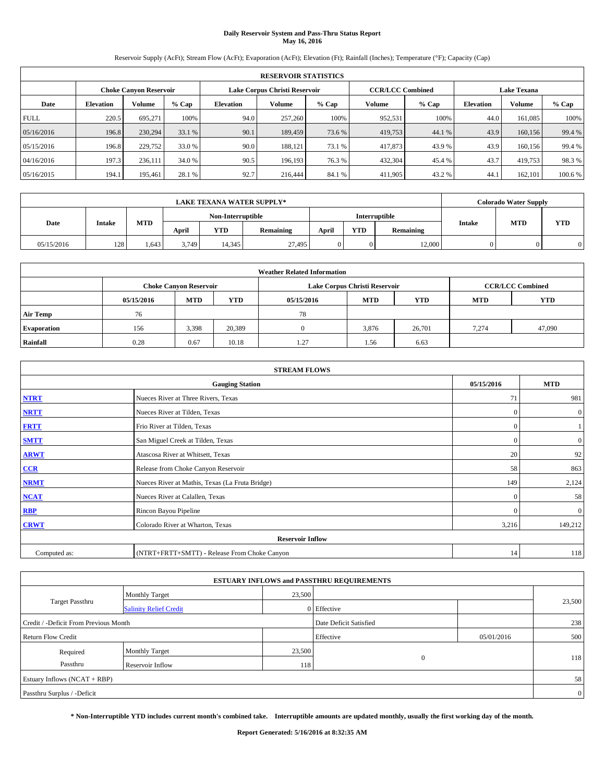# **Daily Reservoir System and Pass-Thru Status Report May 16, 2016**

Reservoir Supply (AcFt); Stream Flow (AcFt); Evaporation (AcFt); Elevation (Ft); Rainfall (Inches); Temperature (°F); Capacity (Cap)

|             | <b>RESERVOIR STATISTICS</b> |                        |         |                  |                               |         |                         |         |                  |                    |         |  |
|-------------|-----------------------------|------------------------|---------|------------------|-------------------------------|---------|-------------------------|---------|------------------|--------------------|---------|--|
|             |                             | Choke Canvon Reservoir |         |                  | Lake Corpus Christi Reservoir |         | <b>CCR/LCC Combined</b> |         |                  | <b>Lake Texana</b> |         |  |
| Date        | <b>Elevation</b>            | Volume                 | $%$ Cap | <b>Elevation</b> | Volume                        | $%$ Cap | Volume                  | $%$ Cap | <b>Elevation</b> | <b>Volume</b>      | % Cap   |  |
| <b>FULL</b> | 220.5                       | 695.271                | 100%    | 94.0             | 257,260                       | 100%    | 952,531                 | 100%    | 44.0             | 161.085            | 100%    |  |
| 05/16/2016  | 196.8                       | 230,294                | 33.1 %  | 90.1             | 189,459                       | 73.6 %  | 419,753                 | 44.1 %  | 43.9             | 160,156            | 99.4 %  |  |
| 05/15/2016  | 196.8                       | 229,752                | 33.0 %  | 90.0             | 188.121                       | 73.1 %  | 417,873                 | 43.9 %  | 43.9             | 160,156            | 99.4 %  |  |
| 04/16/2016  | 197.3                       | 236,111                | 34.0 %  | 90.5             | 196.193                       | 76.3 %  | 432.304                 | 45.4 %  | 43.7             | 419,753            | 98.3%   |  |
| 05/16/2015  | 194.1                       | 195,461                | 28.1 %  | 92.7             | 216,444                       | 84.1 %  | 411,905                 | 43.2%   | 44.              | 162,101            | 100.6 % |  |

| <b>LAKE TEXANA WATER SUPPLY*</b> |               |            |       |                   |                  |       |            |               | <b>Colorado Water Supply</b> |            |            |
|----------------------------------|---------------|------------|-------|-------------------|------------------|-------|------------|---------------|------------------------------|------------|------------|
|                                  |               |            |       | Non-Interruptible |                  |       |            | Interruptible |                              |            |            |
| Date                             | <b>Intake</b> | <b>MTD</b> | April | YTD               | <b>Remaining</b> | April | <b>YTD</b> | Remaining     | Intake                       | <b>MTD</b> | <b>YTD</b> |
| 05/15/2016                       | 128           | .643       | 3.749 | 14.345            | 27,495           |       | $\Omega$   | 12,000        |                              |            |            |

| <b>Weather Related Information</b> |            |                               |            |            |                               |                         |            |            |  |
|------------------------------------|------------|-------------------------------|------------|------------|-------------------------------|-------------------------|------------|------------|--|
|                                    |            | <b>Choke Canvon Reservoir</b> |            |            | Lake Corpus Christi Reservoir | <b>CCR/LCC Combined</b> |            |            |  |
|                                    | 05/15/2016 | <b>MTD</b>                    | <b>YTD</b> | 05/15/2016 | <b>MTD</b>                    | <b>YTD</b>              | <b>MTD</b> | <b>YTD</b> |  |
| <b>Air Temp</b>                    | 76         |                               |            | 78         |                               |                         |            |            |  |
| <b>Evaporation</b>                 | 156        | 3,398                         | 20,389     |            | 3,876                         | 26,701                  | 7.274      | 47,090     |  |
| Rainfall                           | 0.28       | 0.67                          | 10.18      | 1.27       | 1.56                          | 6.63                    |            |            |  |

| <b>STREAM FLOWS</b> |                                                 |              |                  |  |  |  |  |  |  |
|---------------------|-------------------------------------------------|--------------|------------------|--|--|--|--|--|--|
|                     | <b>Gauging Station</b>                          | 05/15/2016   | <b>MTD</b>       |  |  |  |  |  |  |
| <b>NTRT</b>         | Nueces River at Three Rivers, Texas             | 71           | 981              |  |  |  |  |  |  |
| <b>NRTT</b>         | Nueces River at Tilden, Texas                   | $\mathbf{0}$ | $\mathbf{0}$     |  |  |  |  |  |  |
| <b>FRTT</b>         | Frio River at Tilden, Texas                     | $\mathbf{0}$ |                  |  |  |  |  |  |  |
| <b>SMTT</b>         | San Miguel Creek at Tilden, Texas               | $\mathbf{0}$ | $\boldsymbol{0}$ |  |  |  |  |  |  |
| <b>ARWT</b>         | Atascosa River at Whitsett, Texas               | 20           | 92               |  |  |  |  |  |  |
| CCR                 | Release from Choke Canyon Reservoir             | 58           | 863              |  |  |  |  |  |  |
| <b>NRMT</b>         | Nueces River at Mathis, Texas (La Fruta Bridge) | 149          | 2,124            |  |  |  |  |  |  |
| <b>NCAT</b>         | Nueces River at Calallen, Texas                 | $\mathbf{0}$ | 58               |  |  |  |  |  |  |
| RBP                 | Rincon Bayou Pipeline                           | $\Omega$     | $\mathbf{0}$     |  |  |  |  |  |  |
| <b>CRWT</b>         | Colorado River at Wharton, Texas                | 3,216        | 149,212          |  |  |  |  |  |  |
|                     | <b>Reservoir Inflow</b>                         |              |                  |  |  |  |  |  |  |
| Computed as:        | (NTRT+FRTT+SMTT) - Release From Choke Canyon    | 14           | 118              |  |  |  |  |  |  |

|                                       |                               |        | <b>ESTUARY INFLOWS and PASSTHRU REQUIREMENTS</b> |            |        |  |  |  |  |
|---------------------------------------|-------------------------------|--------|--------------------------------------------------|------------|--------|--|--|--|--|
|                                       | <b>Monthly Target</b>         | 23,500 |                                                  |            |        |  |  |  |  |
| Target Passthru                       | <b>Salinity Relief Credit</b> |        | 0 Effective                                      |            | 23,500 |  |  |  |  |
| Credit / -Deficit From Previous Month |                               |        | Date Deficit Satisfied                           |            | 238    |  |  |  |  |
| <b>Return Flow Credit</b>             |                               |        | Effective                                        | 05/01/2016 | 500    |  |  |  |  |
| Required                              | Monthly Target                | 23,500 |                                                  |            |        |  |  |  |  |
| Passthru                              | <b>Reservoir Inflow</b>       | 118    | $\Omega$                                         |            | 118    |  |  |  |  |
| Estuary Inflows (NCAT + RBP)          |                               |        |                                                  |            |        |  |  |  |  |
| Passthru Surplus / -Deficit           |                               |        |                                                  |            |        |  |  |  |  |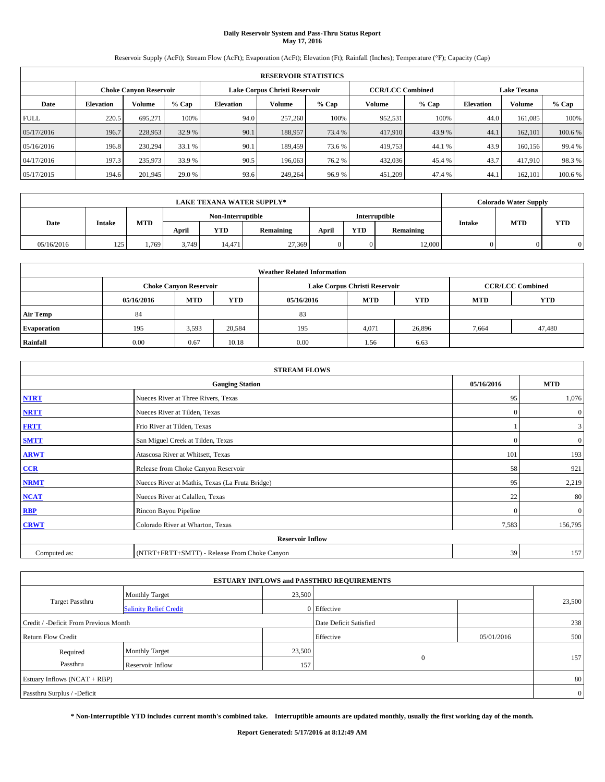# **Daily Reservoir System and Pass-Thru Status Report May 17, 2016**

Reservoir Supply (AcFt); Stream Flow (AcFt); Evaporation (AcFt); Elevation (Ft); Rainfall (Inches); Temperature (°F); Capacity (Cap)

|             | <b>RESERVOIR STATISTICS</b> |                        |         |                  |                               |         |                         |         |                  |                    |         |  |
|-------------|-----------------------------|------------------------|---------|------------------|-------------------------------|---------|-------------------------|---------|------------------|--------------------|---------|--|
|             |                             | Choke Canvon Reservoir |         |                  | Lake Corpus Christi Reservoir |         | <b>CCR/LCC Combined</b> |         |                  | <b>Lake Texana</b> |         |  |
| Date        | <b>Elevation</b>            | Volume                 | $%$ Cap | <b>Elevation</b> | Volume                        | $%$ Cap | Volume                  | $%$ Cap | <b>Elevation</b> | <b>Volume</b>      | % Cap   |  |
| <b>FULL</b> | 220.5                       | 695.271                | 100%    | 94.0             | 257,260                       | 100%    | 952,531                 | 100%    | 44.0             | 161.085            | 100%    |  |
| 05/17/2016  | 196.7                       | 228,953                | 32.9 %  | 90.1             | 188,957                       | 73.4 %  | 417,910                 | 43.9%   | 44.1             | 162,101            | 100.6 % |  |
| 05/16/2016  | 196.8                       | 230,294                | 33.1 %  | 90.1             | 189,459                       | 73.6 %  | 419,753                 | 44.1 %  | 43.9             | 160,156            | 99.4 %  |  |
| 04/17/2016  | 197.3                       | 235,973                | 33.9 %  | 90.5             | 196,063                       | 76.2 %  | 432,036                 | 45.4 %  | 43.7             | 417,910            | 98.3%   |  |
| 05/17/2015  | 194.6                       | 201,945                | 29.0 %  | 93.6             | 249,264                       | 96.9%   | 451,209                 | 47.4 %  | 44.              | 162,101            | 100.6 % |  |

| <b>LAKE TEXANA WATER SUPPLY*</b> |               |            |                                    |        |                  |       |            |           |        | <b>Colorado Water Supply</b> |            |
|----------------------------------|---------------|------------|------------------------------------|--------|------------------|-------|------------|-----------|--------|------------------------------|------------|
|                                  |               |            | Non-Interruptible<br>Interruptible |        |                  |       |            |           |        |                              |            |
| Date                             | <b>Intake</b> | <b>MTD</b> | April                              | YTD    | <b>Remaining</b> | April | <b>YTD</b> | Remaining | Intake | <b>MTD</b>                   | <b>YTD</b> |
| 05/16/2016                       | 125           | 1,769      | 3.749                              | 14.471 | 27.369           |       | $\Omega$   | 12,000    |        |                              | 0          |

| <b>Weather Related Information</b> |            |                               |            |            |                               |                         |            |            |  |
|------------------------------------|------------|-------------------------------|------------|------------|-------------------------------|-------------------------|------------|------------|--|
|                                    |            | <b>Choke Canvon Reservoir</b> |            |            | Lake Corpus Christi Reservoir | <b>CCR/LCC Combined</b> |            |            |  |
|                                    | 05/16/2016 | <b>MTD</b>                    | <b>YTD</b> | 05/16/2016 | <b>MTD</b>                    | <b>YTD</b>              | <b>MTD</b> | <b>YTD</b> |  |
| <b>Air Temp</b>                    | 84         |                               |            | 83         |                               |                         |            |            |  |
| <b>Evaporation</b>                 | 195        | 3,593                         | 20,584     | 195        | 4,071                         | 26,896                  | 7,664      | 47,480     |  |
| Rainfall                           | 0.00       | 0.67                          | 10.18      | 0.00       | 1.56                          | 6.63                    |            |            |  |

| <b>STREAM FLOWS</b> |                                                 |              |                |  |  |  |  |  |  |
|---------------------|-------------------------------------------------|--------------|----------------|--|--|--|--|--|--|
|                     | 05/16/2016                                      | <b>MTD</b>   |                |  |  |  |  |  |  |
| <b>NTRT</b>         | Nueces River at Three Rivers, Texas             | 95           | 1,076          |  |  |  |  |  |  |
| <b>NRTT</b>         | Nueces River at Tilden, Texas                   | $\Omega$     | $\mathbf{0}$   |  |  |  |  |  |  |
| <b>FRTT</b>         | Frio River at Tilden, Texas                     |              | 3              |  |  |  |  |  |  |
| <b>SMTT</b>         | San Miguel Creek at Tilden, Texas               | $\mathbf{0}$ | $\overline{0}$ |  |  |  |  |  |  |
| <b>ARWT</b>         | Atascosa River at Whitsett, Texas               | 101          | 193            |  |  |  |  |  |  |
| CCR                 | Release from Choke Canyon Reservoir             | 58           | 921            |  |  |  |  |  |  |
| <b>NRMT</b>         | Nueces River at Mathis, Texas (La Fruta Bridge) | 95           | 2,219          |  |  |  |  |  |  |
| <b>NCAT</b>         | Nueces River at Calallen, Texas                 | 22           | 80             |  |  |  |  |  |  |
| RBP                 | Rincon Bayou Pipeline                           | $\mathbf{0}$ | $\mathbf{0}$   |  |  |  |  |  |  |
| <b>CRWT</b>         | Colorado River at Wharton, Texas                | 7,583        | 156,795        |  |  |  |  |  |  |
|                     | <b>Reservoir Inflow</b>                         |              |                |  |  |  |  |  |  |
| Computed as:        | (NTRT+FRTT+SMTT) - Release From Choke Canyon    | 39           | 157            |  |  |  |  |  |  |

| <b>ESTUARY INFLOWS and PASSTHRU REQUIREMENTS</b> |                               |           |                        |     |        |  |  |  |  |  |
|--------------------------------------------------|-------------------------------|-----------|------------------------|-----|--------|--|--|--|--|--|
|                                                  | <b>Monthly Target</b>         | 23,500    |                        |     |        |  |  |  |  |  |
| <b>Target Passthru</b>                           | <b>Salinity Relief Credit</b> |           | 0 Effective            |     | 23,500 |  |  |  |  |  |
| Credit / -Deficit From Previous Month            |                               |           | Date Deficit Satisfied |     | 238    |  |  |  |  |  |
| <b>Return Flow Credit</b>                        |                               | Effective | 05/01/2016             | 500 |        |  |  |  |  |  |
| Required                                         | <b>Monthly Target</b>         | 23,500    |                        |     |        |  |  |  |  |  |
| Passthru                                         | Reservoir Inflow              | 157       | $\Omega$               |     | 157    |  |  |  |  |  |
| Estuary Inflows (NCAT + RBP)                     |                               |           |                        |     |        |  |  |  |  |  |
| Passthru Surplus / -Deficit                      |                               |           |                        |     |        |  |  |  |  |  |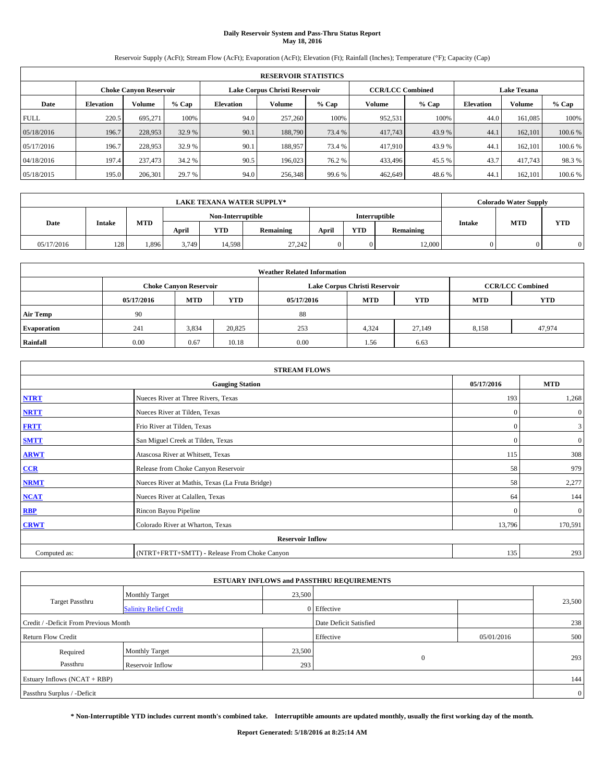# **Daily Reservoir System and Pass-Thru Status Report May 18, 2016**

Reservoir Supply (AcFt); Stream Flow (AcFt); Evaporation (AcFt); Elevation (Ft); Rainfall (Inches); Temperature (°F); Capacity (Cap)

|                                                         | <b>RESERVOIR STATISTICS</b> |         |         |                  |         |         |                         |         |                  |                    |         |  |
|---------------------------------------------------------|-----------------------------|---------|---------|------------------|---------|---------|-------------------------|---------|------------------|--------------------|---------|--|
| Lake Corpus Christi Reservoir<br>Choke Canvon Reservoir |                             |         |         |                  |         |         | <b>CCR/LCC Combined</b> |         |                  | <b>Lake Texana</b> |         |  |
| Date                                                    | <b>Elevation</b>            | Volume  | $%$ Cap | <b>Elevation</b> | Volume  | $%$ Cap | Volume                  | $%$ Cap | <b>Elevation</b> | <b>Volume</b>      | % Cap   |  |
| <b>FULL</b>                                             | 220.5                       | 695.271 | 100%    | 94.0             | 257,260 | 100%    | 952,531                 | 100%    | 44.0             | 161.085            | 100%    |  |
| 05/18/2016                                              | 196.7                       | 228,953 | 32.9 %  | 90.1             | 188,790 | 73.4 %  | 417,743                 | 43.9%   | 44.1             | 162,101            | 100.6 % |  |
| 05/17/2016                                              | 196.7                       | 228,953 | 32.9 %  | 90.1             | 188,957 | 73.4 %  | 417,910                 | 43.9 %  | 44.              | 162,101            | 100.6 % |  |
| 04/18/2016                                              | 197.4                       | 237,473 | 34.2 %  | 90.5             | 196,023 | 76.2 %  | 433,496                 | 45.5 %  | 43.7             | 417,743            | 98.3%   |  |
| 05/18/2015                                              | 195.0                       | 206,301 | 29.7 %  | 94.0             | 256,348 | 99.6 %  | 462,649                 | 48.6%   | 44.              | 162,101            | 100.6 % |  |

|            |               |            |                   |        | <b>LAKE TEXANA WATER SUPPLY*</b> |                                                          |          |        |            | <b>Colorado Water Supply</b> |   |
|------------|---------------|------------|-------------------|--------|----------------------------------|----------------------------------------------------------|----------|--------|------------|------------------------------|---|
|            |               |            | Non-Interruptible |        |                                  | Interruptible                                            |          |        |            |                              |   |
| Date       | <b>Intake</b> | <b>MTD</b> | April             | YTD    | <b>Remaining</b>                 | <b>MTD</b><br>Intake<br><b>YTD</b><br>Remaining<br>April |          |        | <b>YTD</b> |                              |   |
| 05/17/2016 | 128           | 1.896      | 3.749             | 14,598 | 27.242                           |                                                          | $\Omega$ | 12,000 |            |                              | 0 |

| <b>Weather Related Information</b> |            |                                                                                  |        |      |                               |        |                         |        |  |  |
|------------------------------------|------------|----------------------------------------------------------------------------------|--------|------|-------------------------------|--------|-------------------------|--------|--|--|
|                                    |            | <b>Choke Canvon Reservoir</b>                                                    |        |      | Lake Corpus Christi Reservoir |        | <b>CCR/LCC Combined</b> |        |  |  |
|                                    | 05/17/2016 | <b>YTD</b><br><b>MTD</b><br><b>MTD</b><br><b>YTD</b><br>05/17/2016<br><b>MTD</b> |        |      |                               |        |                         |        |  |  |
| <b>Air Temp</b>                    | 90         |                                                                                  |        | 88   |                               |        |                         |        |  |  |
| <b>Evaporation</b>                 | 241        | 3,834                                                                            | 20,825 | 253  | 4,324                         | 27,149 | 8,158                   | 47,974 |  |  |
| Rainfall                           | 0.00       | 0.67                                                                             | 10.18  | 0.00 | 1.56                          | 6.63   |                         |        |  |  |

|              | <b>STREAM FLOWS</b>                             |              |              |  |  |  |  |  |  |  |
|--------------|-------------------------------------------------|--------------|--------------|--|--|--|--|--|--|--|
|              | <b>Gauging Station</b>                          | 05/17/2016   | <b>MTD</b>   |  |  |  |  |  |  |  |
| <b>NTRT</b>  | Nueces River at Three Rivers, Texas             | 193          | 1,268        |  |  |  |  |  |  |  |
| <b>NRTT</b>  | Nueces River at Tilden, Texas                   | $\mathbf{0}$ | $\mathbf{0}$ |  |  |  |  |  |  |  |
| <b>FRTT</b>  | Frio River at Tilden, Texas                     | $\mathbf{0}$ | 3            |  |  |  |  |  |  |  |
| <b>SMTT</b>  | San Miguel Creek at Tilden, Texas               | $\mathbf{0}$ | $\mathbf{0}$ |  |  |  |  |  |  |  |
| <b>ARWT</b>  | Atascosa River at Whitsett, Texas               | 115          | 308          |  |  |  |  |  |  |  |
| $CCR$        | Release from Choke Canyon Reservoir             | 58           | 979          |  |  |  |  |  |  |  |
| <b>NRMT</b>  | Nueces River at Mathis, Texas (La Fruta Bridge) | 58           | 2,277        |  |  |  |  |  |  |  |
| <b>NCAT</b>  | Nueces River at Calallen, Texas                 | 64           | 144          |  |  |  |  |  |  |  |
| <b>RBP</b>   | Rincon Bayou Pipeline                           | $\Omega$     | $\mathbf{0}$ |  |  |  |  |  |  |  |
| <b>CRWT</b>  | Colorado River at Wharton, Texas                | 13,796       | 170,591      |  |  |  |  |  |  |  |
|              | <b>Reservoir Inflow</b>                         |              |              |  |  |  |  |  |  |  |
| Computed as: | (NTRT+FRTT+SMTT) - Release From Choke Canyon    | 135          | 293          |  |  |  |  |  |  |  |

| <b>ESTUARY INFLOWS and PASSTHRU REQUIREMENTS</b> |                               |        |                        |            |        |  |  |  |  |  |
|--------------------------------------------------|-------------------------------|--------|------------------------|------------|--------|--|--|--|--|--|
|                                                  | <b>Monthly Target</b>         | 23,500 |                        |            |        |  |  |  |  |  |
| Target Passthru                                  | <b>Salinity Relief Credit</b> |        | 0 Effective            |            | 23,500 |  |  |  |  |  |
| Credit / -Deficit From Previous Month            |                               |        | Date Deficit Satisfied |            | 238    |  |  |  |  |  |
| <b>Return Flow Credit</b>                        |                               |        | Effective              | 05/01/2016 | 500    |  |  |  |  |  |
| Required                                         | Monthly Target                | 23,500 |                        |            |        |  |  |  |  |  |
| Passthru                                         | <b>Reservoir Inflow</b>       | 293    | $\Omega$               |            | 293    |  |  |  |  |  |
| Estuary Inflows (NCAT + RBP)                     |                               |        |                        |            |        |  |  |  |  |  |
| Passthru Surplus / -Deficit                      |                               |        |                        |            |        |  |  |  |  |  |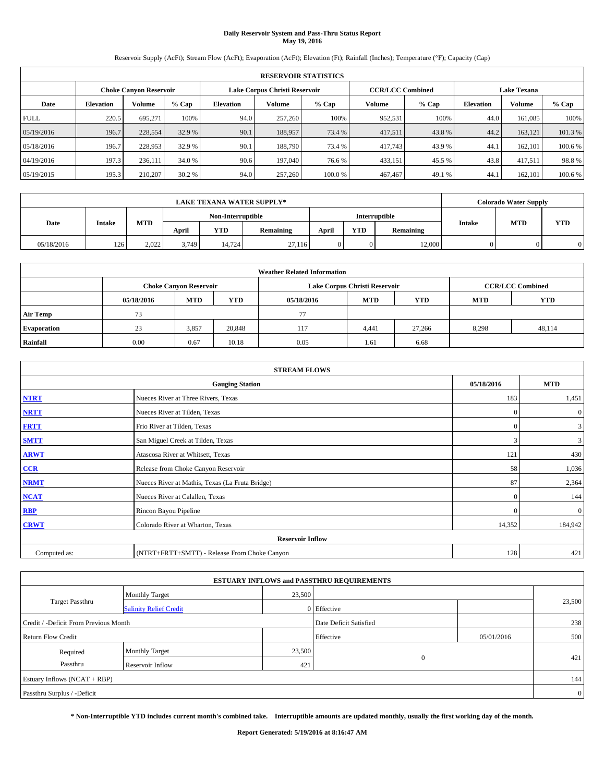# **Daily Reservoir System and Pass-Thru Status Report May 19, 2016**

Reservoir Supply (AcFt); Stream Flow (AcFt); Evaporation (AcFt); Elevation (Ft); Rainfall (Inches); Temperature (°F); Capacity (Cap)

|                                                                | <b>RESERVOIR STATISTICS</b> |         |         |                  |         |         |                         |         |                  |                    |        |  |
|----------------------------------------------------------------|-----------------------------|---------|---------|------------------|---------|---------|-------------------------|---------|------------------|--------------------|--------|--|
| Lake Corpus Christi Reservoir<br><b>Choke Canvon Reservoir</b> |                             |         |         |                  |         |         | <b>CCR/LCC Combined</b> |         |                  | <b>Lake Texana</b> |        |  |
| Date                                                           | <b>Elevation</b>            | Volume  | $%$ Cap | <b>Elevation</b> | Volume  | $%$ Cap | Volume                  | $%$ Cap | <b>Elevation</b> | Volume             | % Cap  |  |
| <b>FULL</b>                                                    | 220.5                       | 695.271 | 100%    | 94.0             | 257,260 | 100%    | 952,531                 | 100%    | 44.0             | 161,085            | 100%   |  |
| 05/19/2016                                                     | 196.7                       | 228,554 | 32.9 %  | 90.1             | 188,957 | 73.4 %  | 417,511                 | 43.8%   | 44.2             | 163,121            | 101.3% |  |
| 05/18/2016                                                     | 196.7                       | 228,953 | 32.9 %  | 90.1             | 188,790 | 73.4 %  | 417,743                 | 43.9 %  | 44.1             | 162,101            | 100.6% |  |
| 04/19/2016                                                     | 197.3                       | 236,111 | 34.0 %  | 90.6             | 197,040 | 76.6 %  | 433,151                 | 45.5 %  | 43.8             | 417.511            | 98.8%  |  |
| 05/19/2015                                                     | 195.3                       | 210,207 | 30.2 %  | 94.0             | 257,260 | 100.0%  | 467,467                 | 49.1 %  | 44.1             | 162,101            | 100.6% |  |

|            |               |            |                   |        | <b>LAKE TEXANA WATER SUPPLY*</b> |               |            |           |        | <b>Colorado Water Supply</b> |            |
|------------|---------------|------------|-------------------|--------|----------------------------------|---------------|------------|-----------|--------|------------------------------|------------|
|            |               |            | Non-Interruptible |        |                                  | Interruptible |            |           |        |                              |            |
| Date       | <b>Intake</b> | <b>MTD</b> | April             | YTD    | <b>Remaining</b>                 | April         | <b>YTD</b> | Remaining | Intake | <b>MTD</b>                   | <b>YTD</b> |
| 05/18/2016 | 126           | 2.022      | 3.749             | 14.724 | 27.116                           |               | $\Omega$   | 12,000    |        |                              |            |

| <b>Weather Related Information</b> |            |                                                                                  |        |      |                               |        |                         |        |  |  |
|------------------------------------|------------|----------------------------------------------------------------------------------|--------|------|-------------------------------|--------|-------------------------|--------|--|--|
|                                    |            | <b>Choke Canvon Reservoir</b>                                                    |        |      | Lake Corpus Christi Reservoir |        | <b>CCR/LCC Combined</b> |        |  |  |
|                                    | 05/18/2016 | <b>YTD</b><br><b>MTD</b><br><b>MTD</b><br><b>YTD</b><br><b>MTD</b><br>05/18/2016 |        |      |                               |        |                         |        |  |  |
| <b>Air Temp</b>                    | 73         |                                                                                  |        | 77   |                               |        |                         |        |  |  |
| <b>Evaporation</b>                 | 23         | 3,857                                                                            | 20,848 | 117  | 4,441                         | 27,266 | 8,298                   | 48,114 |  |  |
| Rainfall                           | 0.00       | 0.67                                                                             | 10.18  | 0.05 | 1.61                          | 6.68   |                         |        |  |  |

|              | <b>STREAM FLOWS</b>                             |              |              |  |  |  |  |  |  |  |
|--------------|-------------------------------------------------|--------------|--------------|--|--|--|--|--|--|--|
|              | <b>Gauging Station</b>                          | 05/18/2016   | <b>MTD</b>   |  |  |  |  |  |  |  |
| <b>NTRT</b>  | Nueces River at Three Rivers, Texas             | 183          | 1,451        |  |  |  |  |  |  |  |
| <b>NRTT</b>  | Nueces River at Tilden, Texas                   | $\mathbf{0}$ | $\mathbf{0}$ |  |  |  |  |  |  |  |
| <b>FRTT</b>  | Frio River at Tilden, Texas                     | $\mathbf{0}$ | 3            |  |  |  |  |  |  |  |
| <b>SMTT</b>  | San Miguel Creek at Tilden, Texas               | 3            | 3            |  |  |  |  |  |  |  |
| <b>ARWT</b>  | Atascosa River at Whitsett, Texas               | 121          | 430          |  |  |  |  |  |  |  |
| CCR          | Release from Choke Canyon Reservoir             | 58           | 1,036        |  |  |  |  |  |  |  |
| <b>NRMT</b>  | Nueces River at Mathis, Texas (La Fruta Bridge) | 87           | 2,364        |  |  |  |  |  |  |  |
| <b>NCAT</b>  | Nueces River at Calallen, Texas                 | $\mathbf{0}$ | 144          |  |  |  |  |  |  |  |
| RBP          | Rincon Bayou Pipeline                           | $\Omega$     | $\mathbf{0}$ |  |  |  |  |  |  |  |
| <b>CRWT</b>  | Colorado River at Wharton, Texas                | 14,352       | 184,942      |  |  |  |  |  |  |  |
|              |                                                 |              |              |  |  |  |  |  |  |  |
| Computed as: | (NTRT+FRTT+SMTT) - Release From Choke Canyon    | 128          | 421          |  |  |  |  |  |  |  |

| <b>ESTUARY INFLOWS and PASSTHRU REQUIREMENTS</b> |                               |        |                        |            |        |  |  |  |  |  |
|--------------------------------------------------|-------------------------------|--------|------------------------|------------|--------|--|--|--|--|--|
|                                                  | <b>Monthly Target</b>         | 23,500 |                        |            |        |  |  |  |  |  |
| Target Passthru                                  | <b>Salinity Relief Credit</b> |        | 0 Effective            |            | 23,500 |  |  |  |  |  |
| Credit / -Deficit From Previous Month            |                               |        | Date Deficit Satisfied |            | 238    |  |  |  |  |  |
| <b>Return Flow Credit</b>                        |                               |        | Effective              | 05/01/2016 | 500    |  |  |  |  |  |
| Required                                         | Monthly Target                | 23,500 |                        |            |        |  |  |  |  |  |
| Passthru                                         | <b>Reservoir Inflow</b>       | 421    | $\Omega$               |            | 421    |  |  |  |  |  |
| Estuary Inflows (NCAT + RBP)                     |                               |        |                        |            |        |  |  |  |  |  |
| Passthru Surplus / -Deficit                      |                               |        |                        |            |        |  |  |  |  |  |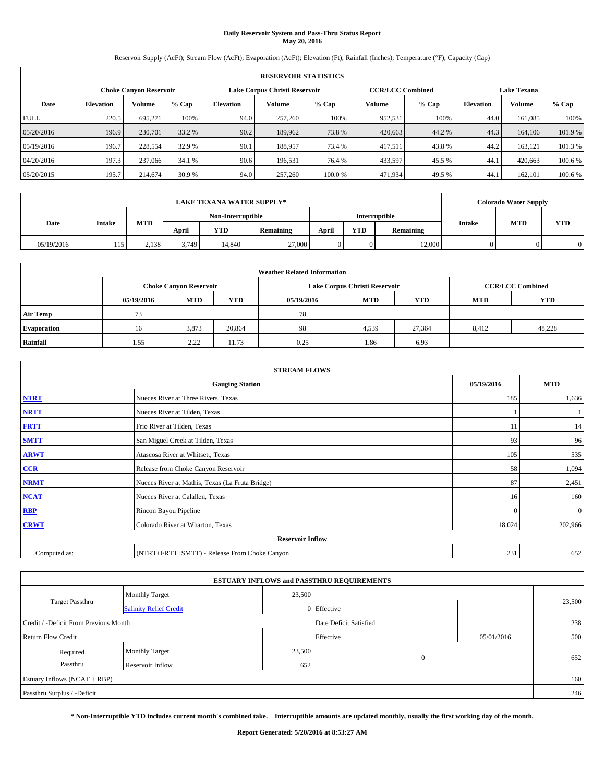# **Daily Reservoir System and Pass-Thru Status Report May 20, 2016**

Reservoir Supply (AcFt); Stream Flow (AcFt); Evaporation (AcFt); Elevation (Ft); Rainfall (Inches); Temperature (°F); Capacity (Cap)

|                                                                | <b>RESERVOIR STATISTICS</b> |         |         |                  |         |         |                         |         |                  |                    |         |  |
|----------------------------------------------------------------|-----------------------------|---------|---------|------------------|---------|---------|-------------------------|---------|------------------|--------------------|---------|--|
| Lake Corpus Christi Reservoir<br><b>Choke Canvon Reservoir</b> |                             |         |         |                  |         |         | <b>CCR/LCC Combined</b> |         |                  | <b>Lake Texana</b> |         |  |
| Date                                                           | <b>Elevation</b>            | Volume  | $%$ Cap | <b>Elevation</b> | Volume  | $%$ Cap | Volume                  | $%$ Cap | <b>Elevation</b> | Volume             | % Cap   |  |
| <b>FULL</b>                                                    | 220.5                       | 695.271 | 100%    | 94.0             | 257,260 | 100%    | 952,531                 | 100%    | 44.0             | 161,085            | 100%    |  |
| 05/20/2016                                                     | 196.9                       | 230,701 | 33.2 %  | 90.2             | 189,962 | 73.8%   | 420,663                 | 44.2 %  | 44.3             | 164,106            | 101.9%  |  |
| 05/19/2016                                                     | 196.7                       | 228,554 | 32.9 %  | 90.1             | 188,957 | 73.4 %  | 417,511                 | 43.8%   | 44.2             | 163,121            | 101.3%  |  |
| 04/20/2016                                                     | 197.3                       | 237,066 | 34.1 %  | 90.6             | 196.531 | 76.4 %  | 433,597                 | 45.5 %  | 44.1             | 420,663            | 100.6 % |  |
| 05/20/2015                                                     | 195.7                       | 214,674 | 30.9 %  | 94.0             | 257,260 | 100.0%  | 471,934                 | 49.5 %  | 44.1             | 162,101            | 100.6%  |  |

|            | <b>LAKE TEXANA WATER SUPPLY*</b> |            |       |                   |                  |       |            |               |        | <b>Colorado Water Supply</b> |            |
|------------|----------------------------------|------------|-------|-------------------|------------------|-------|------------|---------------|--------|------------------------------|------------|
|            |                                  |            |       | Non-Interruptible |                  |       |            | Interruptible |        | <b>MTD</b>                   |            |
| Date       | <b>Intake</b>                    | <b>MTD</b> | April | YTD               | <b>Remaining</b> | April | <b>YTD</b> | Remaining     | Intake |                              | <b>YTD</b> |
| 05/19/2016 | 115                              | 2,138      | 3.749 | 14.840            | 27,000           |       | $\Omega$   | 12,000        |        |                              |            |

|                    | <b>Weather Related Information</b> |                               |            |            |                               |                         |       |        |  |  |  |  |
|--------------------|------------------------------------|-------------------------------|------------|------------|-------------------------------|-------------------------|-------|--------|--|--|--|--|
|                    |                                    | <b>Choke Canvon Reservoir</b> |            |            | Lake Corpus Christi Reservoir | <b>CCR/LCC Combined</b> |       |        |  |  |  |  |
|                    | 05/19/2016                         | <b>MTD</b>                    | <b>YTD</b> | 05/19/2016 | <b>MTD</b>                    | <b>YTD</b>              |       |        |  |  |  |  |
| <b>Air Temp</b>    | 73                                 |                               |            | 78         |                               |                         |       |        |  |  |  |  |
| <b>Evaporation</b> | 16                                 | 3,873                         | 20.864     | 98         | 4,539                         | 27.364                  | 8,412 | 48,228 |  |  |  |  |
| Rainfall           | 1.55                               | 2.22                          | 11.73      | 0.25       | 1.86                          | 6.93                    |       |        |  |  |  |  |

| <b>STREAM FLOWS</b> |                                                 |              |              |  |  |  |  |  |
|---------------------|-------------------------------------------------|--------------|--------------|--|--|--|--|--|
|                     | <b>Gauging Station</b>                          | 05/19/2016   | <b>MTD</b>   |  |  |  |  |  |
| <b>NTRT</b>         | Nueces River at Three Rivers, Texas             | 185          | 1,636        |  |  |  |  |  |
| <b>NRTT</b>         | Nueces River at Tilden, Texas                   |              |              |  |  |  |  |  |
| <b>FRTT</b>         | Frio River at Tilden, Texas                     | 11           | 14           |  |  |  |  |  |
| <b>SMTT</b>         | San Miguel Creek at Tilden, Texas               | 93           | 96           |  |  |  |  |  |
| <b>ARWT</b>         | Atascosa River at Whitsett, Texas               | 105          | 535          |  |  |  |  |  |
| CCR                 | Release from Choke Canyon Reservoir             | 58           | 1,094        |  |  |  |  |  |
| <b>NRMT</b>         | Nueces River at Mathis, Texas (La Fruta Bridge) | 87           | 2,451        |  |  |  |  |  |
| <b>NCAT</b>         | Nueces River at Calallen, Texas                 | 16           | 160          |  |  |  |  |  |
| RBP                 | Rincon Bayou Pipeline                           | $\mathbf{0}$ | $\mathbf{0}$ |  |  |  |  |  |
| <b>CRWT</b>         | Colorado River at Wharton, Texas                | 18,024       | 202,966      |  |  |  |  |  |
|                     | <b>Reservoir Inflow</b>                         |              |              |  |  |  |  |  |
| Computed as:        | (NTRT+FRTT+SMTT) - Release From Choke Canyon    | 231          | 652          |  |  |  |  |  |

|                                       |                               |        | <b>ESTUARY INFLOWS and PASSTHRU REQUIREMENTS</b> |            |        |  |
|---------------------------------------|-------------------------------|--------|--------------------------------------------------|------------|--------|--|
|                                       | <b>Monthly Target</b>         | 23,500 |                                                  |            |        |  |
| <b>Target Passthru</b>                | <b>Salinity Relief Credit</b> |        | 0 Effective                                      |            | 23,500 |  |
| Credit / -Deficit From Previous Month |                               |        | Date Deficit Satisfied                           |            | 238    |  |
| <b>Return Flow Credit</b>             |                               |        | Effective                                        | 05/01/2016 | 500    |  |
| Required                              | <b>Monthly Target</b>         | 23,500 |                                                  |            |        |  |
| Passthru                              | Reservoir Inflow              | 652    | $\Omega$                                         |            | 652    |  |
| Estuary Inflows (NCAT + RBP)          |                               |        |                                                  |            | 160    |  |
| Passthru Surplus / -Deficit           |                               |        |                                                  |            | 246    |  |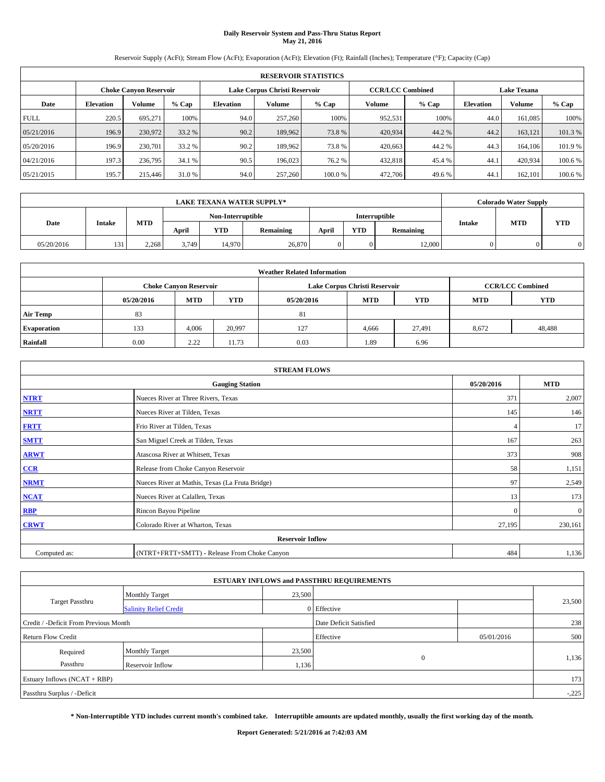# **Daily Reservoir System and Pass-Thru Status Report May 21, 2016**

Reservoir Supply (AcFt); Stream Flow (AcFt); Evaporation (AcFt); Elevation (Ft); Rainfall (Inches); Temperature (°F); Capacity (Cap)

|             | <b>RESERVOIR STATISTICS</b>                             |         |         |                  |         |        |         |                         |                    |               |         |  |  |
|-------------|---------------------------------------------------------|---------|---------|------------------|---------|--------|---------|-------------------------|--------------------|---------------|---------|--|--|
|             | Lake Corpus Christi Reservoir<br>Choke Canvon Reservoir |         |         |                  |         |        |         | <b>CCR/LCC Combined</b> | <b>Lake Texana</b> |               |         |  |  |
| Date        | <b>Elevation</b>                                        | Volume  | $%$ Cap | <b>Elevation</b> | Volume  | % Cap  | Volume  | $%$ Cap                 | <b>Elevation</b>   | <b>Volume</b> | % Cap   |  |  |
| <b>FULL</b> | 220.5                                                   | 695.271 | 100%    | 94.0             | 257,260 | 100%   | 952,531 | 100%                    | 44.0               | 161.085       | 100%    |  |  |
| 05/21/2016  | 196.9                                                   | 230,972 | 33.2 %  | 90.2             | 189,962 | 73.8%  | 420,934 | 44.2 %                  | 44.2               | 163,121       | 101.3%  |  |  |
| 05/20/2016  | 196.9                                                   | 230,701 | 33.2 %  | 90.2             | 189,962 | 73.8%  | 420,663 | 44.2%                   | 44.3               | 164,106       | 101.9%  |  |  |
| 04/21/2016  | 197.3                                                   | 236,795 | 34.1 %  | 90.5             | 196,023 | 76.2 % | 432.818 | 45.4 %                  | 44.1               | 420.934       | 100.6 % |  |  |
| 05/21/2015  | 195.7                                                   | 215,446 | 31.0 %  | 94.0             | 257,260 | 100.0% | 472,706 | 49.6 %                  | 44.                | 162,101       | 100.6 % |  |  |

|            | <b>LAKE TEXANA WATER SUPPLY*</b> |       |       |                   |           |       |            |               |               | <b>Colorado Water Supply</b> |            |
|------------|----------------------------------|-------|-------|-------------------|-----------|-------|------------|---------------|---------------|------------------------------|------------|
|            |                                  |       |       | Non-Interruptible |           |       |            | Interruptible |               |                              |            |
| Date       | Intake                           | MTD   | April | YTD               | Remaining | April | <b>YTD</b> | Remaining     | <b>Intake</b> | <b>MTD</b>                   | <b>YTD</b> |
| 05/20/2016 | 131                              | 2.268 | 3.749 | 14.970            | 26,870    |       | $\Omega$   | 12,000        | $\Omega$      |                              |            |

|                    | <b>Weather Related Information</b> |                               |            |            |                               |                         |       |        |  |  |  |  |
|--------------------|------------------------------------|-------------------------------|------------|------------|-------------------------------|-------------------------|-------|--------|--|--|--|--|
|                    |                                    | <b>Choke Canyon Reservoir</b> |            |            | Lake Corpus Christi Reservoir | <b>CCR/LCC Combined</b> |       |        |  |  |  |  |
|                    | 05/20/2016                         | <b>MTD</b>                    | <b>YTD</b> | <b>MTD</b> | <b>YTD</b>                    |                         |       |        |  |  |  |  |
| <b>Air Temp</b>    | 83                                 |                               |            | 81         |                               |                         |       |        |  |  |  |  |
| <b>Evaporation</b> | 133                                | 4,006                         | 20,997     | 127        | 4,666                         | 27.491                  | 8,672 | 48,488 |  |  |  |  |
| Rainfall           | 0.00                               | 2.22                          | 11.73      | 0.03       | 1.89                          | 6.96                    |       |        |  |  |  |  |

| <b>STREAM FLOWS</b> |                                                 |              |              |  |  |  |  |  |
|---------------------|-------------------------------------------------|--------------|--------------|--|--|--|--|--|
|                     | <b>Gauging Station</b>                          | 05/20/2016   | <b>MTD</b>   |  |  |  |  |  |
| <b>NTRT</b>         | Nueces River at Three Rivers, Texas             | 371          | 2,007        |  |  |  |  |  |
| <b>NRTT</b>         | Nueces River at Tilden, Texas                   | 145          | 146          |  |  |  |  |  |
| <b>FRTT</b>         | Frio River at Tilden, Texas                     |              | 17           |  |  |  |  |  |
| <b>SMTT</b>         | San Miguel Creek at Tilden, Texas               | 167          | 263          |  |  |  |  |  |
| <b>ARWT</b>         | Atascosa River at Whitsett, Texas               | 373          | 908          |  |  |  |  |  |
| CCR                 | Release from Choke Canyon Reservoir             | 58           | 1,151        |  |  |  |  |  |
| <b>NRMT</b>         | Nueces River at Mathis, Texas (La Fruta Bridge) | 97           | 2,549        |  |  |  |  |  |
| <b>NCAT</b>         | Nueces River at Calallen, Texas                 | 13           | 173          |  |  |  |  |  |
| RBP                 | Rincon Bayou Pipeline                           | $\mathbf{0}$ | $\mathbf{0}$ |  |  |  |  |  |
| <b>CRWT</b>         | Colorado River at Wharton, Texas                | 27,195       | 230,161      |  |  |  |  |  |
|                     | <b>Reservoir Inflow</b>                         |              |              |  |  |  |  |  |
| Computed as:        | (NTRT+FRTT+SMTT) - Release From Choke Canyon    | 484          | 1,136        |  |  |  |  |  |

|                                       |                               |        | <b>ESTUARY INFLOWS and PASSTHRU REQUIREMENTS</b> |            |         |
|---------------------------------------|-------------------------------|--------|--------------------------------------------------|------------|---------|
|                                       | <b>Monthly Target</b>         | 23,500 |                                                  |            |         |
| Target Passthru                       | <b>Salinity Relief Credit</b> |        | 0 Effective                                      |            | 23,500  |
| Credit / -Deficit From Previous Month |                               |        | Date Deficit Satisfied                           |            | 238     |
| <b>Return Flow Credit</b>             |                               |        | Effective                                        | 05/01/2016 | 500     |
| Required                              | <b>Monthly Target</b>         | 23,500 |                                                  |            |         |
| Passthru                              | <b>Reservoir Inflow</b>       | 1,136  | $\Omega$                                         |            | 1,136   |
| Estuary Inflows (NCAT + RBP)          |                               |        |                                                  |            | 173     |
| Passthru Surplus / -Deficit           |                               |        |                                                  |            | $-.225$ |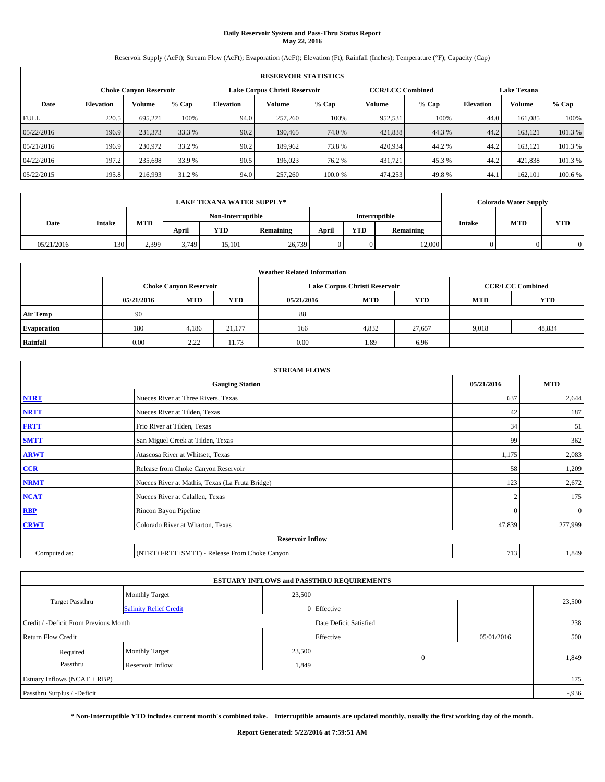# **Daily Reservoir System and Pass-Thru Status Report May 22, 2016**

Reservoir Supply (AcFt); Stream Flow (AcFt); Evaporation (AcFt); Elevation (Ft); Rainfall (Inches); Temperature (°F); Capacity (Cap)

|             | <b>RESERVOIR STATISTICS</b>                                    |         |         |           |         |        |         |                         |                    |               |         |  |  |
|-------------|----------------------------------------------------------------|---------|---------|-----------|---------|--------|---------|-------------------------|--------------------|---------------|---------|--|--|
|             | Lake Corpus Christi Reservoir<br><b>Choke Canyon Reservoir</b> |         |         |           |         |        |         | <b>CCR/LCC Combined</b> | <b>Lake Texana</b> |               |         |  |  |
| Date        | <b>Elevation</b>                                               | Volume  | $%$ Cap | Elevation | Volume  | % Cap  | Volume  | $%$ Cap                 | <b>Elevation</b>   | <b>Volume</b> | % Cap   |  |  |
| <b>FULL</b> | 220.5                                                          | 695,271 | 100%    | 94.0      | 257,260 | 100%   | 952,531 | 100%                    | 44.0               | 161.085       | 100%    |  |  |
| 05/22/2016  | 196.9                                                          | 231,373 | 33.3 %  | 90.2      | 190,465 | 74.0 % | 421,838 | 44.3 %                  | 44.2               | 163.121       | 101.3%  |  |  |
| 05/21/2016  | 196.9                                                          | 230,972 | 33.2 %  | 90.2      | 189.962 | 73.8%  | 420,934 | 44.2%                   | 44.2               | 163.121       | 101.3 % |  |  |
| 04/22/2016  | 197.2                                                          | 235,698 | 33.9 %  | 90.5      | 196,023 | 76.2 % | 431,721 | 45.3%                   | 44.2               | 421,838       | 101.3 % |  |  |
| 05/22/2015  | 195.8                                                          | 216,993 | 31.2 %  | 94.0      | 257,260 | 100.0% | 474,253 | 49.8%                   | 44.                | 162,101       | 100.6 % |  |  |

|            | <b>LAKE TEXANA WATER SUPPLY*</b> |            |       |                   |                  |       |            |               |        | <b>Colorado Water Supply</b> |            |
|------------|----------------------------------|------------|-------|-------------------|------------------|-------|------------|---------------|--------|------------------------------|------------|
|            |                                  |            |       | Non-Interruptible |                  |       |            | Interruptible |        | <b>MTD</b>                   |            |
| Date       | <b>Intake</b>                    | <b>MTD</b> | April | YTD               | <b>Remaining</b> | April | <b>YTD</b> | Remaining     | Intake |                              | <b>YTD</b> |
| 05/21/2016 | 130                              | 2.399      | 3.749 | 15.101            | 26,739           |       | $\Omega$   | 12,000        |        |                              |            |

|                    | <b>Weather Related Information</b> |                               |            |                                                      |                               |                         |       |        |  |  |  |  |
|--------------------|------------------------------------|-------------------------------|------------|------------------------------------------------------|-------------------------------|-------------------------|-------|--------|--|--|--|--|
|                    |                                    | <b>Choke Canvon Reservoir</b> |            |                                                      | Lake Corpus Christi Reservoir | <b>CCR/LCC Combined</b> |       |        |  |  |  |  |
|                    | 05/21/2016                         | <b>MTD</b>                    | <b>YTD</b> | <b>MTD</b><br><b>YTD</b><br><b>MTD</b><br>05/21/2016 |                               |                         |       |        |  |  |  |  |
| <b>Air Temp</b>    | 90                                 |                               |            | 88                                                   |                               |                         |       |        |  |  |  |  |
| <b>Evaporation</b> | 180                                | 4,186                         | 21.177     | 166                                                  | 4,832                         | 27,657                  | 9,018 | 48,834 |  |  |  |  |
| Rainfall           | 0.00                               | 2.22                          | 11.73      | 0.00                                                 | 1.89                          | 6.96                    |       |        |  |  |  |  |

| <b>STREAM FLOWS</b> |                                                 |              |              |  |  |  |  |  |  |
|---------------------|-------------------------------------------------|--------------|--------------|--|--|--|--|--|--|
|                     | <b>Gauging Station</b>                          |              |              |  |  |  |  |  |  |
| <b>NTRT</b>         | Nueces River at Three Rivers, Texas             | 637          | 2,644        |  |  |  |  |  |  |
| <b>NRTT</b>         | Nueces River at Tilden, Texas                   | 42           | 187          |  |  |  |  |  |  |
| <b>FRTT</b>         | Frio River at Tilden, Texas                     | 34           | 51           |  |  |  |  |  |  |
| <b>SMTT</b>         | San Miguel Creek at Tilden, Texas               | 99           | 362          |  |  |  |  |  |  |
| <b>ARWT</b>         | Atascosa River at Whitsett, Texas               | 1,175        | 2,083        |  |  |  |  |  |  |
| CCR                 | Release from Choke Canyon Reservoir             | 58           | 1,209        |  |  |  |  |  |  |
| <b>NRMT</b>         | Nueces River at Mathis, Texas (La Fruta Bridge) | 123          | 2,672        |  |  |  |  |  |  |
| <b>NCAT</b>         | Nueces River at Calallen, Texas                 | $\bigcap$    | 175          |  |  |  |  |  |  |
| RBP                 | Rincon Bayou Pipeline                           | $\mathbf{0}$ | $\mathbf{0}$ |  |  |  |  |  |  |
| <b>CRWT</b>         | Colorado River at Wharton, Texas                | 47,839       | 277,999      |  |  |  |  |  |  |
|                     | <b>Reservoir Inflow</b>                         |              |              |  |  |  |  |  |  |
| Computed as:        | (NTRT+FRTT+SMTT) - Release From Choke Canyon    | 713          | 1,849        |  |  |  |  |  |  |

| <b>ESTUARY INFLOWS and PASSTHRU REQUIREMENTS</b> |                               |        |                        |            |          |  |  |  |  |  |
|--------------------------------------------------|-------------------------------|--------|------------------------|------------|----------|--|--|--|--|--|
|                                                  | <b>Monthly Target</b>         | 23,500 |                        |            |          |  |  |  |  |  |
| Target Passthru                                  | <b>Salinity Relief Credit</b> |        | 0 Effective            |            | 23,500   |  |  |  |  |  |
| Credit / -Deficit From Previous Month            |                               |        | Date Deficit Satisfied |            | 238      |  |  |  |  |  |
| <b>Return Flow Credit</b>                        |                               |        | Effective              | 05/01/2016 | 500      |  |  |  |  |  |
| Required                                         | <b>Monthly Target</b>         | 23,500 |                        |            |          |  |  |  |  |  |
| Passthru                                         | <b>Reservoir Inflow</b>       | 1,849  | $\Omega$               |            | 1,849    |  |  |  |  |  |
| Estuary Inflows (NCAT + RBP)                     |                               |        |                        |            |          |  |  |  |  |  |
| Passthru Surplus / -Deficit                      |                               |        |                        |            | $-0.936$ |  |  |  |  |  |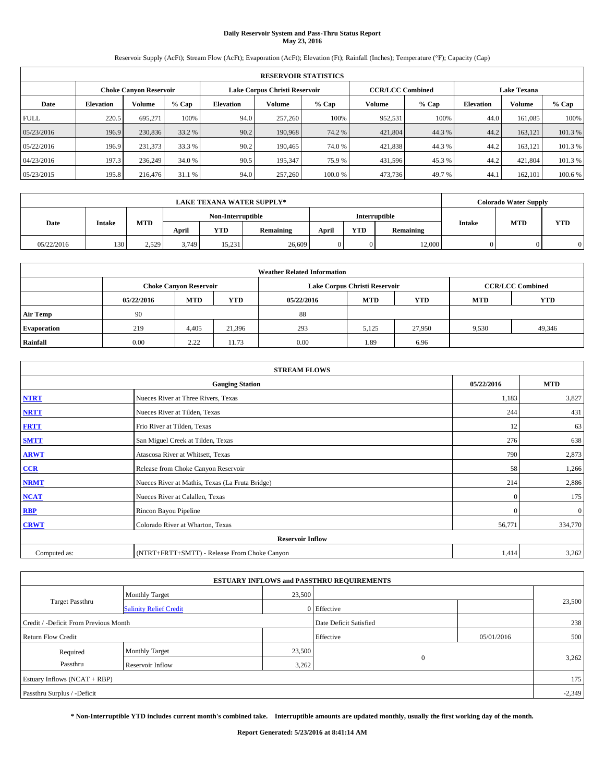# **Daily Reservoir System and Pass-Thru Status Report May 23, 2016**

Reservoir Supply (AcFt); Stream Flow (AcFt); Evaporation (AcFt); Elevation (Ft); Rainfall (Inches); Temperature (°F); Capacity (Cap)

|             | <b>RESERVOIR STATISTICS</b> |                               |         |           |                               |        |                         |         |                  |                    |         |  |
|-------------|-----------------------------|-------------------------------|---------|-----------|-------------------------------|--------|-------------------------|---------|------------------|--------------------|---------|--|
|             |                             | <b>Choke Canyon Reservoir</b> |         |           | Lake Corpus Christi Reservoir |        | <b>CCR/LCC Combined</b> |         |                  | <b>Lake Texana</b> |         |  |
| Date        | <b>Elevation</b>            | Volume                        | $%$ Cap | Elevation | Volume                        | % Cap  | Volume                  | $%$ Cap | <b>Elevation</b> | <b>Volume</b>      | % Cap   |  |
| <b>FULL</b> | 220.5                       | 695,271                       | 100%    | 94.0      | 257,260                       | 100%   | 952,531                 | 100%    | 44.0             | 161.085            | 100%    |  |
| 05/23/2016  | 196.9                       | 230,836                       | 33.2 %  | 90.2      | 190,968                       | 74.2 % | 421,804                 | 44.3 %  | 44.2             | 163.121            | 101.3%  |  |
| 05/22/2016  | 196.9                       | 231,373                       | 33.3 %  | 90.2      | 190.465                       | 74.0%  | 421,838                 | 44.3%   | 44.2             | 163.121            | 101.3 % |  |
| 04/23/2016  | 197.3                       | 236,249                       | 34.0 %  | 90.5      | 195,347                       | 75.9 % | 431,596                 | 45.3%   | 44.2             | 421.804            | 101.3 % |  |
| 05/23/2015  | 195.8                       | 216,476                       | 31.1 %  | 94.0      | 257,260                       | 100.0% | 473,736                 | 49.7%   | 44.              | 162,101            | 100.6 % |  |

| <b>LAKE TEXANA WATER SUPPLY*</b> |               |            |                   |        |                  |               | <b>Colorado Water Supply</b> |           |        |            |            |
|----------------------------------|---------------|------------|-------------------|--------|------------------|---------------|------------------------------|-----------|--------|------------|------------|
|                                  |               |            | Non-Interruptible |        |                  | Interruptible |                              |           |        |            |            |
| Date                             | <b>Intake</b> | <b>MTD</b> | April             | YTD    | <b>Remaining</b> | April         | <b>YTD</b>                   | Remaining | Intake | <b>MTD</b> | <b>YTD</b> |
| 05/22/2016                       | 130           | 2,529      | 3.749             | 15.231 | 26,609           |               | $\Omega$                     | 12,000    |        |            |            |

| <b>Weather Related Information</b> |            |                               |            |            |                               |                         |            |            |  |  |
|------------------------------------|------------|-------------------------------|------------|------------|-------------------------------|-------------------------|------------|------------|--|--|
|                                    |            | <b>Choke Canvon Reservoir</b> |            |            | Lake Corpus Christi Reservoir | <b>CCR/LCC Combined</b> |            |            |  |  |
|                                    | 05/22/2016 | <b>MTD</b>                    | <b>YTD</b> | 05/22/2016 | <b>MTD</b>                    | <b>YTD</b>              | <b>MTD</b> | <b>YTD</b> |  |  |
| <b>Air Temp</b>                    | 90         |                               |            | 88         |                               |                         |            |            |  |  |
| <b>Evaporation</b>                 | 219        | 4.405                         | 21,396     | 293        | 5,125                         | 27,950                  | 9,530      | 49,346     |  |  |
| Rainfall                           | 0.00       | 2.22                          | 11.73      | 0.00       | 1.89                          | 6.96                    |            |            |  |  |

| <b>STREAM FLOWS</b> |                                                 |              |              |  |  |  |  |  |  |
|---------------------|-------------------------------------------------|--------------|--------------|--|--|--|--|--|--|
|                     | <b>Gauging Station</b>                          |              |              |  |  |  |  |  |  |
| <b>NTRT</b>         | Nueces River at Three Rivers, Texas             | 1,183        | 3,827        |  |  |  |  |  |  |
| <b>NRTT</b>         | Nueces River at Tilden, Texas                   | 244          | 431          |  |  |  |  |  |  |
| <b>FRTT</b>         | Frio River at Tilden, Texas                     | 12           | 63           |  |  |  |  |  |  |
| <b>SMTT</b>         | San Miguel Creek at Tilden, Texas               | 276          | 638          |  |  |  |  |  |  |
| <b>ARWT</b>         | Atascosa River at Whitsett, Texas               | 790          | 2,873        |  |  |  |  |  |  |
| CCR                 | Release from Choke Canyon Reservoir             | 58           | 1,266        |  |  |  |  |  |  |
| <b>NRMT</b>         | Nueces River at Mathis, Texas (La Fruta Bridge) | 214          | 2,886        |  |  |  |  |  |  |
| <b>NCAT</b>         | Nueces River at Calallen, Texas                 | $\theta$     | 175          |  |  |  |  |  |  |
| RBP                 | Rincon Bayou Pipeline                           | $\mathbf{0}$ | $\mathbf{0}$ |  |  |  |  |  |  |
| <b>CRWT</b>         | Colorado River at Wharton, Texas                | 56,771       | 334,770      |  |  |  |  |  |  |
|                     | <b>Reservoir Inflow</b>                         |              |              |  |  |  |  |  |  |
| Computed as:        | (NTRT+FRTT+SMTT) - Release From Choke Canyon    | 1,414        | 3,262        |  |  |  |  |  |  |

| <b>ESTUARY INFLOWS and PASSTHRU REQUIREMENTS</b> |                               |        |                        |            |          |  |  |  |  |  |
|--------------------------------------------------|-------------------------------|--------|------------------------|------------|----------|--|--|--|--|--|
|                                                  | <b>Monthly Target</b>         | 23,500 |                        |            |          |  |  |  |  |  |
| Target Passthru                                  | <b>Salinity Relief Credit</b> |        | 0 Effective            |            | 23,500   |  |  |  |  |  |
| Credit / -Deficit From Previous Month            |                               |        | Date Deficit Satisfied |            | 238      |  |  |  |  |  |
| <b>Return Flow Credit</b>                        |                               |        | Effective              | 05/01/2016 | 500      |  |  |  |  |  |
| Required                                         | <b>Monthly Target</b>         | 23,500 |                        |            |          |  |  |  |  |  |
| Passthru                                         | <b>Reservoir Inflow</b>       | 3,262  | $\Omega$               |            | 3,262    |  |  |  |  |  |
| Estuary Inflows (NCAT + RBP)                     |                               |        |                        |            |          |  |  |  |  |  |
| Passthru Surplus / -Deficit                      |                               |        |                        |            | $-2,349$ |  |  |  |  |  |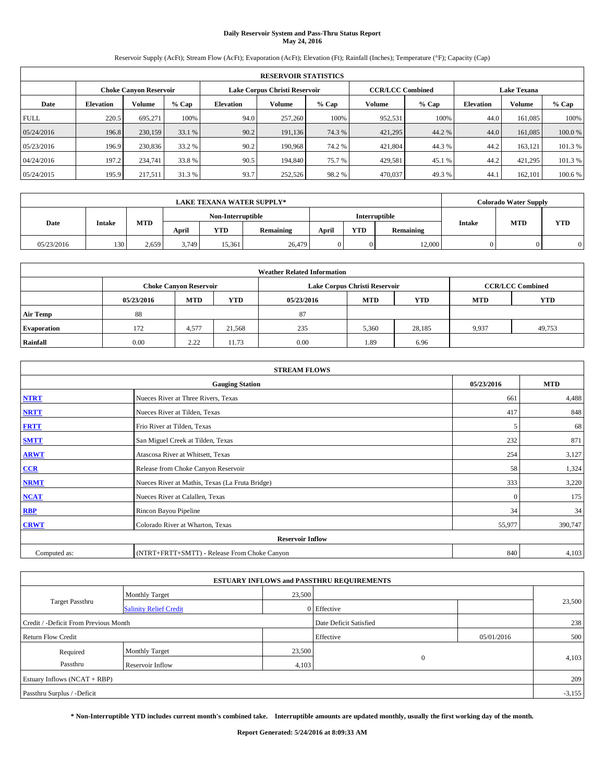# **Daily Reservoir System and Pass-Thru Status Report May 24, 2016**

Reservoir Supply (AcFt); Stream Flow (AcFt); Evaporation (AcFt); Elevation (Ft); Rainfall (Inches); Temperature (°F); Capacity (Cap)

|             | <b>RESERVOIR STATISTICS</b> |                        |         |                  |                               |         |                         |         |                  |                    |         |  |
|-------------|-----------------------------|------------------------|---------|------------------|-------------------------------|---------|-------------------------|---------|------------------|--------------------|---------|--|
|             |                             | Choke Canvon Reservoir |         |                  | Lake Corpus Christi Reservoir |         | <b>CCR/LCC Combined</b> |         |                  | <b>Lake Texana</b> |         |  |
| Date        | <b>Elevation</b>            | Volume                 | $%$ Cap | <b>Elevation</b> | Volume                        | $%$ Cap | Volume                  | $%$ Cap | <b>Elevation</b> | <b>Volume</b>      | % Cap   |  |
| <b>FULL</b> | 220.5                       | 695.271                | 100%    | 94.0             | 257,260                       | 100%    | 952,531                 | 100%    | 44.0             | 161.085            | 100%    |  |
| 05/24/2016  | 196.8                       | 230,159                | 33.1 %  | 90.2             | 191.136                       | 74.3 %  | 421,295                 | 44.2 %  | 44.0             | 161,085            | 100.0%  |  |
| 05/23/2016  | 196.9                       | 230,836                | 33.2 %  | 90.2             | 190.968                       | 74.2 %  | 421,804                 | 44.3 %  | 44.2             | 163,121            | 101.3 % |  |
| 04/24/2016  | 197.2                       | 234,741                | 33.8 %  | 90.5             | 194,840                       | 75.7 %  | 429,581                 | 45.1 %  | 44.2             | 421,295            | 101.3 % |  |
| 05/24/2015  | 195.9                       | 217,511                | 31.3%   | 93.7             | 252,526                       | 98.2%   | 470,037                 | 49.3%   | 44.              | 162,101            | 100.6 % |  |

|            |               |            |                   |        | <b>LAKE TEXANA WATER SUPPLY*</b> |               |            |           |        | <b>Colorado Water Supply</b> |            |
|------------|---------------|------------|-------------------|--------|----------------------------------|---------------|------------|-----------|--------|------------------------------|------------|
|            |               |            | Non-Interruptible |        |                                  | Interruptible |            |           |        |                              |            |
| Date       | <b>Intake</b> | <b>MTD</b> | April             | YTD    | <b>Remaining</b>                 | April         | <b>YTD</b> | Remaining | Intake | <b>MTD</b>                   | <b>YTD</b> |
| 05/23/2016 | 130           | 2.659      | 3.749             | 15.361 | 26,479                           |               | $\Omega$   | 12,000    |        |                              |            |

| <b>Weather Related Information</b> |            |                               |            |            |                               |                         |            |            |  |  |
|------------------------------------|------------|-------------------------------|------------|------------|-------------------------------|-------------------------|------------|------------|--|--|
|                                    |            | <b>Choke Canvon Reservoir</b> |            |            | Lake Corpus Christi Reservoir | <b>CCR/LCC Combined</b> |            |            |  |  |
|                                    | 05/23/2016 | <b>MTD</b>                    | <b>YTD</b> | 05/23/2016 | <b>MTD</b>                    | <b>YTD</b>              | <b>MTD</b> | <b>YTD</b> |  |  |
| <b>Air Temp</b>                    | 88         |                               |            | 87         |                               |                         |            |            |  |  |
| <b>Evaporation</b>                 | 172        | 4,577                         | 21,568     | 235        | 5,360                         | 28,185                  | 9,937      | 49,753     |  |  |
| Rainfall                           | 0.00       | 2.22                          | 11.73      | 0.00       | 1.89                          | 6.96                    |            |            |  |  |

| <b>STREAM FLOWS</b> |                                                 |          |         |  |  |  |  |  |  |
|---------------------|-------------------------------------------------|----------|---------|--|--|--|--|--|--|
|                     | <b>Gauging Station</b>                          |          |         |  |  |  |  |  |  |
| <b>NTRT</b>         | Nueces River at Three Rivers, Texas             | 661      | 4,488   |  |  |  |  |  |  |
| <b>NRTT</b>         | Nueces River at Tilden, Texas                   | 417      | 848     |  |  |  |  |  |  |
| <b>FRTT</b>         | Frio River at Tilden, Texas                     | 5        | 68      |  |  |  |  |  |  |
| <b>SMTT</b>         | San Miguel Creek at Tilden, Texas               | 232      | 871     |  |  |  |  |  |  |
| <b>ARWT</b>         | Atascosa River at Whitsett, Texas               | 254      | 3,127   |  |  |  |  |  |  |
| CCR                 | Release from Choke Canyon Reservoir             | 58       | 1,324   |  |  |  |  |  |  |
| <b>NRMT</b>         | Nueces River at Mathis, Texas (La Fruta Bridge) | 333      | 3,220   |  |  |  |  |  |  |
| <b>NCAT</b>         | Nueces River at Calallen, Texas                 | $\theta$ | 175     |  |  |  |  |  |  |
| RBP                 | Rincon Bayou Pipeline                           | 34       | 34      |  |  |  |  |  |  |
| <b>CRWT</b>         | Colorado River at Wharton, Texas                | 55,977   | 390,747 |  |  |  |  |  |  |
|                     | <b>Reservoir Inflow</b>                         |          |         |  |  |  |  |  |  |
| Computed as:        | (NTRT+FRTT+SMTT) - Release From Choke Canyon    | 840      | 4,103   |  |  |  |  |  |  |

|                                       |                               |        | <b>ESTUARY INFLOWS and PASSTHRU REQUIREMENTS</b> |            |          |  |
|---------------------------------------|-------------------------------|--------|--------------------------------------------------|------------|----------|--|
|                                       | <b>Monthly Target</b>         | 23,500 |                                                  |            |          |  |
| Target Passthru                       | <b>Salinity Relief Credit</b> |        | 0 Effective                                      |            | 23,500   |  |
| Credit / -Deficit From Previous Month |                               |        | Date Deficit Satisfied                           |            | 238      |  |
| <b>Return Flow Credit</b>             |                               |        | Effective                                        | 05/01/2016 | 500      |  |
| Required                              | <b>Monthly Target</b>         | 23,500 |                                                  |            |          |  |
| Passthru                              | Reservoir Inflow              | 4,103  | $\Omega$                                         |            | 4,103    |  |
| Estuary Inflows (NCAT + RBP)          |                               |        |                                                  |            | 209      |  |
| Passthru Surplus / -Deficit           |                               |        |                                                  |            | $-3,155$ |  |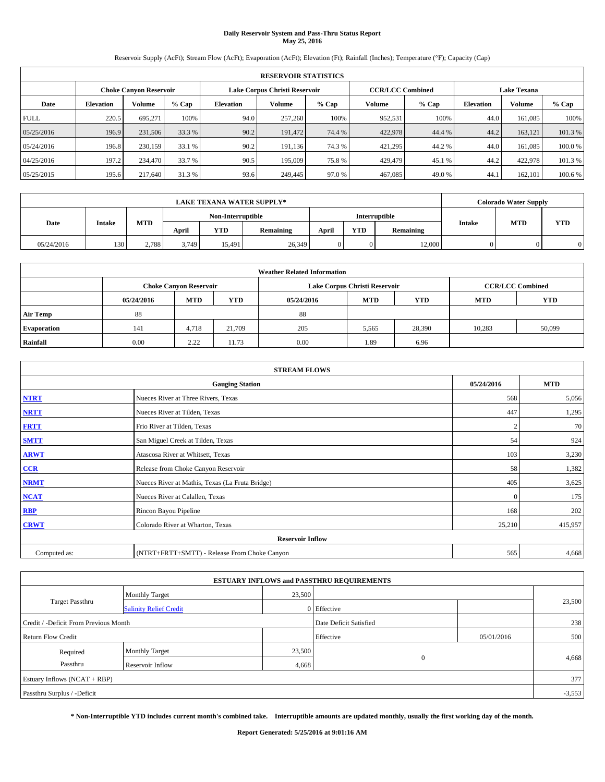# **Daily Reservoir System and Pass-Thru Status Report May 25, 2016**

Reservoir Supply (AcFt); Stream Flow (AcFt); Evaporation (AcFt); Elevation (Ft); Rainfall (Inches); Temperature (°F); Capacity (Cap)

|             | <b>RESERVOIR STATISTICS</b> |                        |         |                               |         |         |                         |         |                    |               |         |
|-------------|-----------------------------|------------------------|---------|-------------------------------|---------|---------|-------------------------|---------|--------------------|---------------|---------|
|             |                             | Choke Canvon Reservoir |         | Lake Corpus Christi Reservoir |         |         | <b>CCR/LCC Combined</b> |         | <b>Lake Texana</b> |               |         |
| Date        | <b>Elevation</b>            | Volume                 | $%$ Cap | <b>Elevation</b>              | Volume  | $%$ Cap | Volume                  | $%$ Cap | <b>Elevation</b>   | <b>Volume</b> | % Cap   |
| <b>FULL</b> | 220.5                       | 695.271                | 100%    | 94.0                          | 257,260 | 100%    | 952,531                 | 100%    | 44.0               | 161.085       | 100%    |
| 05/25/2016  | 196.9                       | 231,506                | 33.3 %  | 90.2                          | 191,472 | 74.4 %  | 422,978                 | 44.4 %  | 44.2               | 163,121       | 101.3%  |
| 05/24/2016  | 196.8                       | 230,159                | 33.1 %  | 90.2                          | 191.136 | 74.3 %  | 421,295                 | 44.2 %  | 44.0               | 161.085       | 100.0%  |
| 04/25/2016  | 197.2                       | 234,470                | 33.7 %  | 90.5                          | 195,009 | 75.8%   | 429,479                 | 45.1 %  | 44.2               | 422,978       | 101.3 % |
| 05/25/2015  | 195.6                       | 217,640                | 31.3%   | 93.6                          | 249,445 | 97.0%   | 467,085                 | 49.0%   | 44.                | 162,101       | 100.6 % |

|            | <b>LAKE TEXANA WATER SUPPLY*</b> |            |       |                   |                  |       |            |               |        |            | <b>Colorado Water Supply</b> |  |  |
|------------|----------------------------------|------------|-------|-------------------|------------------|-------|------------|---------------|--------|------------|------------------------------|--|--|
|            |                                  |            |       | Non-Interruptible |                  |       |            | Interruptible |        |            |                              |  |  |
| Date       | <b>Intake</b>                    | <b>MTD</b> | April | YTD               | <b>Remaining</b> | April | <b>YTD</b> | Remaining     | Intake | <b>MTD</b> | <b>YTD</b>                   |  |  |
| 05/24/2016 | 130                              | 2.788      | 3.749 | 15.491            | 26,349           |       | $\Omega$   | 12,000        |        |            |                              |  |  |

| <b>Weather Related Information</b> |            |                                                                                  |        |      |                               |                         |        |        |  |  |
|------------------------------------|------------|----------------------------------------------------------------------------------|--------|------|-------------------------------|-------------------------|--------|--------|--|--|
|                                    |            | <b>Choke Canyon Reservoir</b>                                                    |        |      | Lake Corpus Christi Reservoir | <b>CCR/LCC Combined</b> |        |        |  |  |
|                                    | 05/24/2016 | <b>YTD</b><br><b>MTD</b><br><b>MTD</b><br><b>YTD</b><br><b>MTD</b><br>05/24/2016 |        |      |                               |                         |        |        |  |  |
| <b>Air Temp</b>                    | 88         |                                                                                  |        | 88   |                               |                         |        |        |  |  |
| <b>Evaporation</b>                 | 141        | 4,718                                                                            | 21.709 | 205  | 5,565                         | 28,390                  | 10,283 | 50,099 |  |  |
| Rainfall                           | 0.00       | 2.22                                                                             | 11.73  | 0.00 | 1.89                          | 6.96                    |        |        |  |  |

| <b>STREAM FLOWS</b> |                                                 |              |            |  |  |  |  |  |  |
|---------------------|-------------------------------------------------|--------------|------------|--|--|--|--|--|--|
|                     | <b>Gauging Station</b>                          | 05/24/2016   | <b>MTD</b> |  |  |  |  |  |  |
| <b>NTRT</b>         | Nueces River at Three Rivers, Texas             | 568          | 5,056      |  |  |  |  |  |  |
| <b>NRTT</b>         | Nueces River at Tilden, Texas                   | 447          | 1,295      |  |  |  |  |  |  |
| <b>FRTT</b>         | Frio River at Tilden, Texas                     |              | 70         |  |  |  |  |  |  |
| <b>SMTT</b>         | San Miguel Creek at Tilden, Texas               | 54           | 924        |  |  |  |  |  |  |
| <b>ARWT</b>         | Atascosa River at Whitsett, Texas               | 103          | 3,230      |  |  |  |  |  |  |
| CCR                 | Release from Choke Canyon Reservoir             | 58           | 1,382      |  |  |  |  |  |  |
| <b>NRMT</b>         | Nueces River at Mathis, Texas (La Fruta Bridge) | 405          | 3,625      |  |  |  |  |  |  |
| <b>NCAT</b>         | Nueces River at Calallen, Texas                 | $\mathbf{0}$ | 175        |  |  |  |  |  |  |
| RBP                 | Rincon Bayou Pipeline                           | 168          | 202        |  |  |  |  |  |  |
| <b>CRWT</b>         | Colorado River at Wharton, Texas                | 25,210       | 415,957    |  |  |  |  |  |  |
|                     | <b>Reservoir Inflow</b>                         |              |            |  |  |  |  |  |  |
| Computed as:        | (NTRT+FRTT+SMTT) - Release From Choke Canyon    |              |            |  |  |  |  |  |  |

| <b>ESTUARY INFLOWS and PASSTHRU REQUIREMENTS</b> |                               |        |                        |            |        |  |  |  |  |  |
|--------------------------------------------------|-------------------------------|--------|------------------------|------------|--------|--|--|--|--|--|
|                                                  | <b>Monthly Target</b>         | 23,500 |                        |            |        |  |  |  |  |  |
| Target Passthru                                  | <b>Salinity Relief Credit</b> |        | 0 Effective            |            | 23,500 |  |  |  |  |  |
| Credit / -Deficit From Previous Month            |                               |        | Date Deficit Satisfied |            | 238    |  |  |  |  |  |
| <b>Return Flow Credit</b>                        |                               |        | Effective              | 05/01/2016 | 500    |  |  |  |  |  |
| Required                                         | <b>Monthly Target</b>         | 23,500 |                        |            |        |  |  |  |  |  |
| Passthru                                         | <b>Reservoir Inflow</b>       | 4,668  | $\Omega$               |            | 4,668  |  |  |  |  |  |
| Estuary Inflows (NCAT + RBP)                     |                               |        |                        |            |        |  |  |  |  |  |
| Passthru Surplus / -Deficit                      |                               |        |                        |            |        |  |  |  |  |  |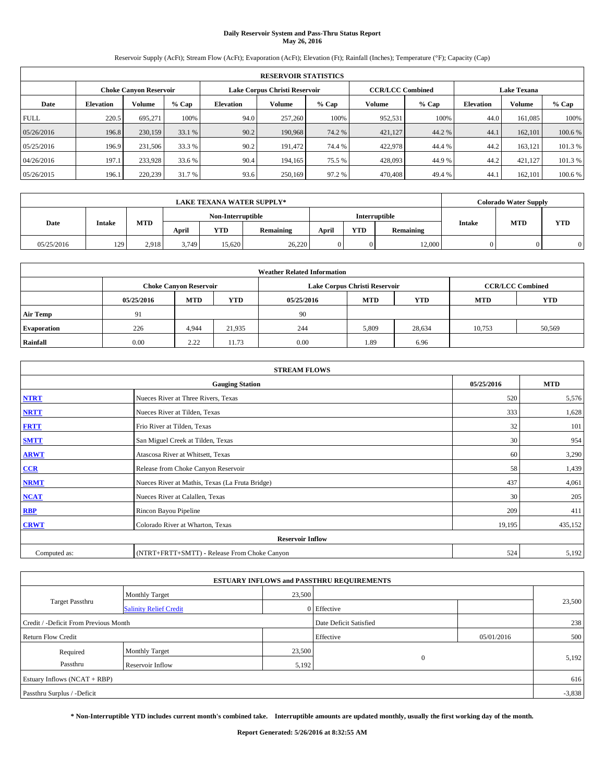# **Daily Reservoir System and Pass-Thru Status Report May 26, 2016**

Reservoir Supply (AcFt); Stream Flow (AcFt); Evaporation (AcFt); Elevation (Ft); Rainfall (Inches); Temperature (°F); Capacity (Cap)

|             | <b>RESERVOIR STATISTICS</b> |                        |         |                               |         |         |         |                         |                    |               |         |
|-------------|-----------------------------|------------------------|---------|-------------------------------|---------|---------|---------|-------------------------|--------------------|---------------|---------|
|             |                             | Choke Canvon Reservoir |         | Lake Corpus Christi Reservoir |         |         |         | <b>CCR/LCC Combined</b> | <b>Lake Texana</b> |               |         |
| Date        | <b>Elevation</b>            | Volume                 | $%$ Cap | <b>Elevation</b>              | Volume  | $%$ Cap | Volume  | $%$ Cap                 | <b>Elevation</b>   | <b>Volume</b> | % Cap   |
| <b>FULL</b> | 220.5                       | 695.271                | 100%    | 94.0                          | 257,260 | 100%    | 952,531 | 100%                    | 44.0               | 161.085       | 100%    |
| 05/26/2016  | 196.8                       | 230,159                | 33.1 %  | 90.2                          | 190,968 | 74.2 %  | 421,127 | 44.2 %                  | 44.1               | 162,101       | 100.6 % |
| 05/25/2016  | 196.9                       | 231,506                | 33.3 %  | 90.2                          | 191.472 | 74.4 %  | 422,978 | 44.4 %                  | 44.2               | 163,121       | 101.3 % |
| 04/26/2016  | 197.1                       | 233.928                | 33.6 %  | 90.4                          | 194,165 | 75.5 %  | 428,093 | 44.9%                   | 44.2               | 421.127       | 101.3 % |
| 05/26/2015  | 196.1                       | 220,239                | 31.7 %  | 93.6                          | 250,169 | 97.2 %  | 470,408 | 49.4 %                  | 44.                | 162,101       | 100.6 % |

|            | <b>LAKE TEXANA WATER SUPPLY*</b> |            |       |                   |                  |       |            |               |        |            | <b>Colorado Water Supply</b> |  |  |
|------------|----------------------------------|------------|-------|-------------------|------------------|-------|------------|---------------|--------|------------|------------------------------|--|--|
|            |                                  |            |       | Non-Interruptible |                  |       |            | Interruptible |        |            |                              |  |  |
| Date       | <b>Intake</b>                    | <b>MTD</b> | April | YTD               | <b>Remaining</b> | April | <b>YTD</b> | Remaining     | Intake | <b>MTD</b> | <b>YTD</b>                   |  |  |
| 05/25/2016 | 129                              | 2.918      | 3.749 | 15.620            | 26,220           |       | $\Omega$   | 12,000        |        |            |                              |  |  |

| <b>Weather Related Information</b> |            |                                                                                  |        |      |                               |                         |        |        |  |  |
|------------------------------------|------------|----------------------------------------------------------------------------------|--------|------|-------------------------------|-------------------------|--------|--------|--|--|
|                                    |            | <b>Choke Canyon Reservoir</b>                                                    |        |      | Lake Corpus Christi Reservoir | <b>CCR/LCC Combined</b> |        |        |  |  |
|                                    | 05/25/2016 | <b>YTD</b><br><b>MTD</b><br><b>MTD</b><br><b>YTD</b><br><b>MTD</b><br>05/25/2016 |        |      |                               |                         |        |        |  |  |
| <b>Air Temp</b>                    | 91         |                                                                                  |        | 90   |                               |                         |        |        |  |  |
| <b>Evaporation</b>                 | 226        | 4.944                                                                            | 21,935 | 244  | 5,809                         | 28,634                  | 10,753 | 50,569 |  |  |
| Rainfall                           | 0.00       | 2.22                                                                             | 11.73  | 0.00 | 1.89                          | 6.96                    |        |        |  |  |

| <b>STREAM FLOWS</b> |                                                 |            |            |  |  |  |  |  |  |
|---------------------|-------------------------------------------------|------------|------------|--|--|--|--|--|--|
|                     | <b>Gauging Station</b>                          | 05/25/2016 | <b>MTD</b> |  |  |  |  |  |  |
| <b>NTRT</b>         | Nueces River at Three Rivers, Texas             | 520        | 5,576      |  |  |  |  |  |  |
| <b>NRTT</b>         | Nueces River at Tilden, Texas                   | 333        | 1,628      |  |  |  |  |  |  |
| <b>FRTT</b>         | Frio River at Tilden, Texas                     | 32         | 101        |  |  |  |  |  |  |
| <b>SMTT</b>         | San Miguel Creek at Tilden, Texas               | 30         | 954        |  |  |  |  |  |  |
| <b>ARWT</b>         | Atascosa River at Whitsett, Texas               | 60         | 3,290      |  |  |  |  |  |  |
| CCR                 | Release from Choke Canyon Reservoir             | 58         | 1,439      |  |  |  |  |  |  |
| <b>NRMT</b>         | Nueces River at Mathis, Texas (La Fruta Bridge) | 437        | 4,061      |  |  |  |  |  |  |
| <b>NCAT</b>         | Nueces River at Calallen, Texas                 | 30         | 205        |  |  |  |  |  |  |
| RBP                 | Rincon Bayou Pipeline                           | 209        | 411        |  |  |  |  |  |  |
| <b>CRWT</b>         | Colorado River at Wharton, Texas                | 19,195     | 435,152    |  |  |  |  |  |  |
|                     | <b>Reservoir Inflow</b>                         |            |            |  |  |  |  |  |  |
| Computed as:        | (NTRT+FRTT+SMTT) - Release From Choke Canyon    | 524        | 5,192      |  |  |  |  |  |  |

| <b>ESTUARY INFLOWS and PASSTHRU REQUIREMENTS</b> |                               |        |                        |            |        |  |  |  |  |  |
|--------------------------------------------------|-------------------------------|--------|------------------------|------------|--------|--|--|--|--|--|
|                                                  | <b>Monthly Target</b>         | 23,500 |                        |            |        |  |  |  |  |  |
| <b>Target Passthru</b>                           | <b>Salinity Relief Credit</b> |        | 0 Effective            |            | 23,500 |  |  |  |  |  |
| Credit / -Deficit From Previous Month            |                               |        | Date Deficit Satisfied |            | 238    |  |  |  |  |  |
| <b>Return Flow Credit</b>                        |                               |        | Effective              | 05/01/2016 | 500    |  |  |  |  |  |
| Required                                         | Monthly Target                | 23,500 |                        |            |        |  |  |  |  |  |
| Passthru                                         | <b>Reservoir Inflow</b>       | 5,192  | $\Omega$               |            | 5,192  |  |  |  |  |  |
| Estuary Inflows (NCAT + RBP)                     |                               |        |                        |            |        |  |  |  |  |  |
| Passthru Surplus / -Deficit                      |                               |        |                        |            |        |  |  |  |  |  |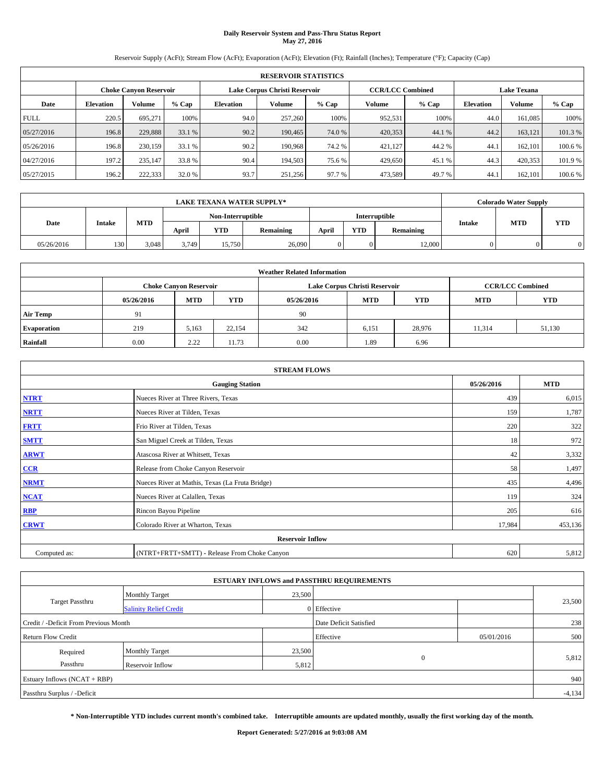# **Daily Reservoir System and Pass-Thru Status Report May 27, 2016**

Reservoir Supply (AcFt); Stream Flow (AcFt); Evaporation (AcFt); Elevation (Ft); Rainfall (Inches); Temperature (°F); Capacity (Cap)

|             | <b>RESERVOIR STATISTICS</b> |                        |         |                  |                               |         |                         |         |                  |                    |         |
|-------------|-----------------------------|------------------------|---------|------------------|-------------------------------|---------|-------------------------|---------|------------------|--------------------|---------|
|             |                             | Choke Canvon Reservoir |         |                  | Lake Corpus Christi Reservoir |         | <b>CCR/LCC Combined</b> |         |                  | <b>Lake Texana</b> |         |
| Date        | <b>Elevation</b>            | Volume                 | $%$ Cap | <b>Elevation</b> | Volume                        | $%$ Cap | Volume                  | $%$ Cap | <b>Elevation</b> | <b>Volume</b>      | % Cap   |
| <b>FULL</b> | 220.5                       | 695.271                | 100%    | 94.0             | 257,260                       | 100%    | 952,531                 | 100%    | 44.0             | 161.085            | 100%    |
| 05/27/2016  | 196.8                       | 229,888                | 33.1 %  | 90.2             | 190,465                       | 74.0 %  | 420,353                 | 44.1 %  | 44.2             | 163,121            | 101.3%  |
| 05/26/2016  | 196.8                       | 230,159                | 33.1 %  | 90.2             | 190.968                       | 74.2 %  | 421,127                 | 44.2 %  | 44.              | 162,101            | 100.6 % |
| 04/27/2016  | 197.2                       | 235,147                | 33.8 %  | 90.4             | 194,503                       | 75.6 %  | 429,650                 | 45.1 %  | 44.3             | 420,353            | 101.9 % |
| 05/27/2015  | 196.2                       | 222,333                | 32.0 %  | 93.7             | 251,256                       | 97.7 %  | 473,589                 | 49.7%   | 44.              | 162,101            | 100.6 % |

|            | <b>LAKE TEXANA WATER SUPPLY*</b> |            |       |                   |                  |               |            |           |        |            | <b>Colorado Water Supply</b> |  |  |
|------------|----------------------------------|------------|-------|-------------------|------------------|---------------|------------|-----------|--------|------------|------------------------------|--|--|
|            |                                  |            |       | Non-Interruptible |                  | Interruptible |            |           |        |            |                              |  |  |
| Date       | <b>Intake</b>                    | <b>MTD</b> | April | YTD               | <b>Remaining</b> | April         | <b>YTD</b> | Remaining | Intake | <b>MTD</b> | <b>YTD</b>                   |  |  |
| 05/26/2016 | 130                              | 3.048      | 3.749 | 15,750            | 26,090           |               | $\Omega$   | 12,000    |        |            |                              |  |  |

| <b>Weather Related Information</b> |            |                               |            |            |                               |                         |            |            |  |
|------------------------------------|------------|-------------------------------|------------|------------|-------------------------------|-------------------------|------------|------------|--|
|                                    |            | <b>Choke Canyon Reservoir</b> |            |            | Lake Corpus Christi Reservoir | <b>CCR/LCC Combined</b> |            |            |  |
|                                    | 05/26/2016 | <b>MTD</b>                    | <b>YTD</b> | 05/26/2016 | <b>MTD</b>                    | <b>YTD</b>              | <b>MTD</b> | <b>YTD</b> |  |
| <b>Air Temp</b>                    | 91         |                               |            | 90         |                               |                         |            |            |  |
| <b>Evaporation</b>                 | 219        | 5,163                         | 22.154     | 342        | 6,151                         | 28,976                  | 11,314     | 51,130     |  |
| Rainfall                           | 0.00       | 2.22                          | 11.73      | 0.00       | 1.89                          | 6.96                    |            |            |  |

| <b>STREAM FLOWS</b> |                                                 |            |         |  |  |  |  |  |
|---------------------|-------------------------------------------------|------------|---------|--|--|--|--|--|
|                     | 05/26/2016                                      | <b>MTD</b> |         |  |  |  |  |  |
| <b>NTRT</b>         | Nueces River at Three Rivers, Texas             | 439        | 6,015   |  |  |  |  |  |
| <b>NRTT</b>         | Nueces River at Tilden, Texas                   | 159        | 1,787   |  |  |  |  |  |
| <b>FRTT</b>         | Frio River at Tilden, Texas                     | 220        | 322     |  |  |  |  |  |
| <b>SMTT</b>         | San Miguel Creek at Tilden, Texas               | 18         | 972     |  |  |  |  |  |
| <b>ARWT</b>         | Atascosa River at Whitsett, Texas               | 42         | 3,332   |  |  |  |  |  |
| $CCR$               | Release from Choke Canyon Reservoir             | 58         | 1,497   |  |  |  |  |  |
| <b>NRMT</b>         | Nueces River at Mathis, Texas (La Fruta Bridge) | 435        | 4,496   |  |  |  |  |  |
| <b>NCAT</b>         | Nueces River at Calallen, Texas                 | 119        | 324     |  |  |  |  |  |
| <b>RBP</b>          | Rincon Bayou Pipeline                           | 205        | 616     |  |  |  |  |  |
| <b>CRWT</b>         | Colorado River at Wharton, Texas                | 17,984     | 453,136 |  |  |  |  |  |
|                     |                                                 |            |         |  |  |  |  |  |
| Computed as:        | 620                                             | 5,812      |         |  |  |  |  |  |

|                                       |                               |        | <b>ESTUARY INFLOWS and PASSTHRU REQUIREMENTS</b> |            |        |  |  |  |
|---------------------------------------|-------------------------------|--------|--------------------------------------------------|------------|--------|--|--|--|
|                                       | <b>Monthly Target</b>         | 23,500 |                                                  |            |        |  |  |  |
| <b>Target Passthru</b>                | <b>Salinity Relief Credit</b> |        | 0 Effective                                      |            | 23,500 |  |  |  |
| Credit / -Deficit From Previous Month |                               |        | Date Deficit Satisfied                           |            | 238    |  |  |  |
| <b>Return Flow Credit</b>             |                               |        | Effective                                        | 05/01/2016 | 500    |  |  |  |
| Required                              | <b>Monthly Target</b>         | 23,500 |                                                  |            |        |  |  |  |
| Passthru                              | <b>Reservoir Inflow</b>       | 5,812  | $\Omega$                                         |            | 5,812  |  |  |  |
| Estuary Inflows (NCAT + RBP)          |                               |        |                                                  |            |        |  |  |  |
| Passthru Surplus / -Deficit           |                               |        |                                                  |            |        |  |  |  |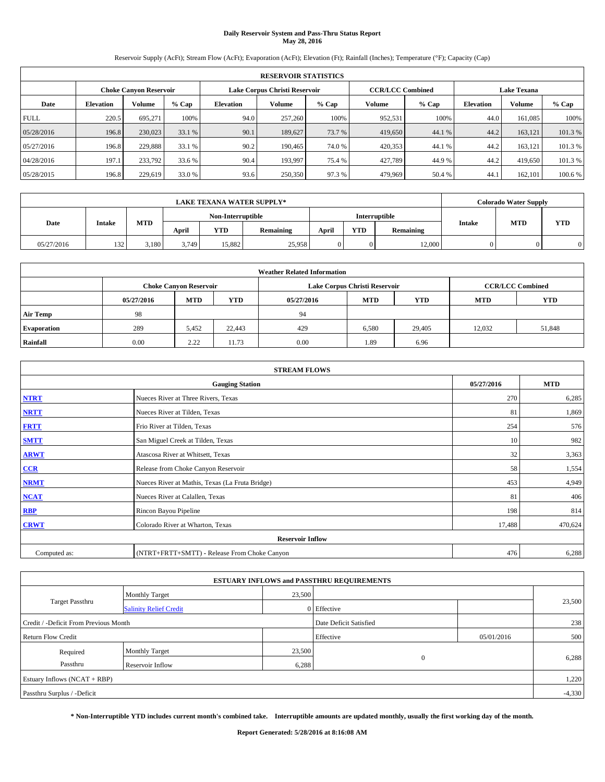# **Daily Reservoir System and Pass-Thru Status Report May 28, 2016**

Reservoir Supply (AcFt); Stream Flow (AcFt); Evaporation (AcFt); Elevation (Ft); Rainfall (Inches); Temperature (°F); Capacity (Cap)

|             | <b>RESERVOIR STATISTICS</b> |                        |         |                  |                               |         |                         |         |                  |                    |         |
|-------------|-----------------------------|------------------------|---------|------------------|-------------------------------|---------|-------------------------|---------|------------------|--------------------|---------|
|             |                             | Choke Canvon Reservoir |         |                  | Lake Corpus Christi Reservoir |         | <b>CCR/LCC Combined</b> |         |                  | <b>Lake Texana</b> |         |
| Date        | <b>Elevation</b>            | Volume                 | $%$ Cap | <b>Elevation</b> | Volume                        | $%$ Cap | Volume                  | $%$ Cap | <b>Elevation</b> | <b>Volume</b>      | % Cap   |
| <b>FULL</b> | 220.5                       | 695.271                | 100%    | 94.0             | 257,260                       | 100%    | 952,531                 | 100%    | 44.0             | 161.085            | 100%    |
| 05/28/2016  | 196.8                       | 230,023                | 33.1 %  | 90.1             | 189,627                       | 73.7 %  | 419,650                 | 44.1 %  | 44.2             | 163,121            | 101.3%  |
| 05/27/2016  | 196.8                       | 229.888                | 33.1 %  | 90.2             | 190,465                       | 74.0 %  | 420,353                 | 44.1 %  | 44.2             | 163,121            | 101.3 % |
| 04/28/2016  | 197.1                       | 233.792                | 33.6 %  | 90.4             | 193,997                       | 75.4 %  | 427.789                 | 44.9%   | 44.2             | 419,650            | 101.3 % |
| 05/28/2015  | 196.8                       | 229,619                | 33.0 %  | 93.6             | 250,350                       | 97.3%   | 479,969                 | 50.4 %  | 44.              | 162,101            | 100.6 % |

| <b>LAKE TEXANA WATER SUPPLY*</b> |               |            |       |                   |                  |       |            |               |        | <b>Colorado Water Supply</b> |            |
|----------------------------------|---------------|------------|-------|-------------------|------------------|-------|------------|---------------|--------|------------------------------|------------|
|                                  |               |            |       | Non-Interruptible |                  |       |            | Interruptible |        |                              |            |
| Date                             | <b>Intake</b> | <b>MTD</b> | April | YTD               | <b>Remaining</b> | April | <b>YTD</b> | Remaining     | Intake | <b>MTD</b>                   | <b>YTD</b> |
| 05/27/2016                       | 132           | 3,180      | 3.749 | 15,882            | 25,958           |       | $\Omega$   | 12,000        |        |                              |            |

| <b>Weather Related Information</b> |            |                               |            |            |                               |                         |            |            |  |
|------------------------------------|------------|-------------------------------|------------|------------|-------------------------------|-------------------------|------------|------------|--|
|                                    |            | <b>Choke Canyon Reservoir</b> |            |            | Lake Corpus Christi Reservoir | <b>CCR/LCC Combined</b> |            |            |  |
|                                    | 05/27/2016 | <b>MTD</b>                    | <b>YTD</b> | 05/27/2016 | <b>MTD</b>                    | <b>YTD</b>              | <b>MTD</b> | <b>YTD</b> |  |
| <b>Air Temp</b>                    | 98         |                               |            | 94         |                               |                         |            |            |  |
| <b>Evaporation</b>                 | 289        | 5,452                         | 22,443     | 429        | 6,580                         | 29,405                  | 12.032     | 51,848     |  |
| Rainfall                           | 0.00       | 2.22                          | 11.73      | 0.00       | 1.89                          | 6.96                    |            |            |  |

| <b>STREAM FLOWS</b> |                                                 |            |         |  |  |  |  |  |
|---------------------|-------------------------------------------------|------------|---------|--|--|--|--|--|
|                     | 05/27/2016                                      | <b>MTD</b> |         |  |  |  |  |  |
| <b>NTRT</b>         | Nueces River at Three Rivers, Texas             | 270        | 6,285   |  |  |  |  |  |
| <b>NRTT</b>         | Nueces River at Tilden, Texas                   | 81         | 1,869   |  |  |  |  |  |
| <b>FRTT</b>         | Frio River at Tilden, Texas                     | 254        | 576     |  |  |  |  |  |
| <b>SMTT</b>         | San Miguel Creek at Tilden, Texas               | 10         | 982     |  |  |  |  |  |
| <b>ARWT</b>         | Atascosa River at Whitsett, Texas               | 32         | 3,363   |  |  |  |  |  |
| CCR                 | Release from Choke Canyon Reservoir             | 58         | 1,554   |  |  |  |  |  |
| <b>NRMT</b>         | Nueces River at Mathis, Texas (La Fruta Bridge) | 453        | 4,949   |  |  |  |  |  |
| <b>NCAT</b>         | Nueces River at Calallen, Texas                 | 81         | 406     |  |  |  |  |  |
| RBP                 | Rincon Bayou Pipeline                           | 198        | 814     |  |  |  |  |  |
| <b>CRWT</b>         | Colorado River at Wharton, Texas                | 17,488     | 470,624 |  |  |  |  |  |
|                     |                                                 |            |         |  |  |  |  |  |
| Computed as:        | (NTRT+FRTT+SMTT) - Release From Choke Canyon    | 476        | 6,288   |  |  |  |  |  |

|                                       |                               |        | <b>ESTUARY INFLOWS and PASSTHRU REQUIREMENTS</b> |            |        |  |  |  |
|---------------------------------------|-------------------------------|--------|--------------------------------------------------|------------|--------|--|--|--|
|                                       | <b>Monthly Target</b>         | 23,500 |                                                  |            |        |  |  |  |
| <b>Target Passthru</b>                | <b>Salinity Relief Credit</b> |        | 0 Effective                                      |            | 23,500 |  |  |  |
| Credit / -Deficit From Previous Month |                               |        | Date Deficit Satisfied                           |            | 238    |  |  |  |
| <b>Return Flow Credit</b>             |                               |        | Effective                                        | 05/01/2016 | 500    |  |  |  |
| Required                              | <b>Monthly Target</b>         | 23,500 |                                                  |            |        |  |  |  |
| Passthru                              | <b>Reservoir Inflow</b>       | 6,288  | $\Omega$                                         |            | 6,288  |  |  |  |
| Estuary Inflows (NCAT + RBP)          |                               |        |                                                  |            | 1,220  |  |  |  |
| Passthru Surplus / -Deficit           |                               |        |                                                  |            |        |  |  |  |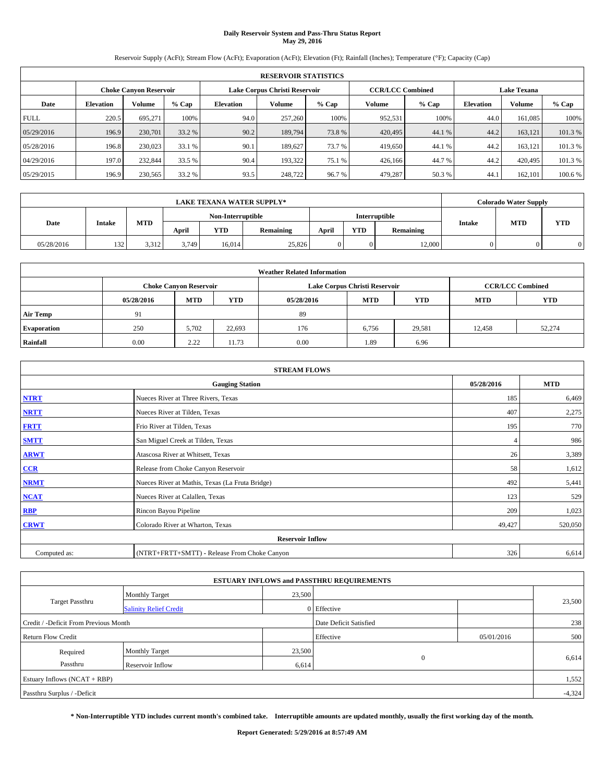# **Daily Reservoir System and Pass-Thru Status Report May 29, 2016**

Reservoir Supply (AcFt); Stream Flow (AcFt); Evaporation (AcFt); Elevation (Ft); Rainfall (Inches); Temperature (°F); Capacity (Cap)

|             | <b>RESERVOIR STATISTICS</b> |                        |         |                  |                               |         |                         |         |                  |                    |         |
|-------------|-----------------------------|------------------------|---------|------------------|-------------------------------|---------|-------------------------|---------|------------------|--------------------|---------|
|             |                             | Choke Canvon Reservoir |         |                  | Lake Corpus Christi Reservoir |         | <b>CCR/LCC Combined</b> |         |                  | <b>Lake Texana</b> |         |
| Date        | <b>Elevation</b>            | Volume                 | $%$ Cap | <b>Elevation</b> | Volume                        | $%$ Cap | Volume                  | $%$ Cap | <b>Elevation</b> | <b>Volume</b>      | % Cap   |
| <b>FULL</b> | 220.5                       | 695.271                | 100%    | 94.0             | 257,260                       | 100%    | 952,531                 | 100%    | 44.0             | 161.085            | 100%    |
| 05/29/2016  | 196.9                       | 230,701                | 33.2 %  | 90.2             | 189,794                       | 73.8%   | 420,495                 | 44.1 %  | 44.2             | 163,121            | 101.3%  |
| 05/28/2016  | 196.8                       | 230,023                | 33.1 %  | 90.1             | 189,627                       | 73.7 %  | 419,650                 | 44.1 %  | 44.2             | 163,121            | 101.3 % |
| 04/29/2016  | 197.0                       | 232,844                | 33.5 %  | 90.4             | 193.322                       | 75.1 %  | 426,166                 | 44.7 %  | 44.2             | 420,495            | 101.3 % |
| 05/29/2015  | 196.9                       | 230,565                | 33.2 %  | 93.5             | 248,722                       | 96.7%   | 479,287                 | 50.3%   | 44.              | 162,101            | 100.6 % |

| <b>LAKE TEXANA WATER SUPPLY*</b> |               |            |       |                   |                  |       |            |               |        | <b>Colorado Water Supply</b> |            |
|----------------------------------|---------------|------------|-------|-------------------|------------------|-------|------------|---------------|--------|------------------------------|------------|
|                                  |               |            |       | Non-Interruptible |                  |       |            | Interruptible |        |                              |            |
| Date                             | <b>Intake</b> | <b>MTD</b> | April | YTD               | <b>Remaining</b> | April | <b>YTD</b> | Remaining     | Intake | <b>MTD</b>                   | <b>YTD</b> |
| 05/28/2016                       | 132           | 3.312      | 3.749 | 16.014            | 25,826           |       | $\Omega$   | 12,000        |        |                              |            |

| <b>Weather Related Information</b> |            |                               |            |            |                               |                         |            |            |  |
|------------------------------------|------------|-------------------------------|------------|------------|-------------------------------|-------------------------|------------|------------|--|
|                                    |            | <b>Choke Canyon Reservoir</b> |            |            | Lake Corpus Christi Reservoir | <b>CCR/LCC Combined</b> |            |            |  |
|                                    | 05/28/2016 | <b>MTD</b>                    | <b>YTD</b> | 05/28/2016 | <b>MTD</b>                    | <b>YTD</b>              | <b>MTD</b> | <b>YTD</b> |  |
| <b>Air Temp</b>                    | 91         |                               |            | 89         |                               |                         |            |            |  |
| <b>Evaporation</b>                 | 250        | 5,702                         | 22,693     | 176        | 6,756                         | 29,581                  | 12,458     | 52,274     |  |
| Rainfall                           | 0.00       | 2.22                          | 11.73      | 0.00       | 1.89                          | 6.96                    |            |            |  |

| <b>STREAM FLOWS</b> |                                                 |            |         |  |  |  |  |  |
|---------------------|-------------------------------------------------|------------|---------|--|--|--|--|--|
|                     | 05/28/2016                                      | <b>MTD</b> |         |  |  |  |  |  |
| <b>NTRT</b>         | Nueces River at Three Rivers, Texas             | 185        | 6,469   |  |  |  |  |  |
| <b>NRTT</b>         | Nueces River at Tilden, Texas                   | 407        | 2,275   |  |  |  |  |  |
| <b>FRTT</b>         | Frio River at Tilden, Texas                     | 195        | 770     |  |  |  |  |  |
| <b>SMTT</b>         | San Miguel Creek at Tilden, Texas               |            | 986     |  |  |  |  |  |
| <b>ARWT</b>         | Atascosa River at Whitsett, Texas               | 26         | 3,389   |  |  |  |  |  |
| CCR                 | Release from Choke Canyon Reservoir             | 58         | 1,612   |  |  |  |  |  |
| <b>NRMT</b>         | Nueces River at Mathis, Texas (La Fruta Bridge) | 492        | 5,441   |  |  |  |  |  |
| <b>NCAT</b>         | Nueces River at Calallen, Texas                 | 123        | 529     |  |  |  |  |  |
| RBP                 | Rincon Bayou Pipeline                           | 209        | 1,023   |  |  |  |  |  |
| <b>CRWT</b>         | Colorado River at Wharton, Texas                | 49,427     | 520,050 |  |  |  |  |  |
|                     |                                                 |            |         |  |  |  |  |  |
| Computed as:        | (NTRT+FRTT+SMTT) - Release From Choke Canyon    | 326        | 6,614   |  |  |  |  |  |

| <b>ESTUARY INFLOWS and PASSTHRU REQUIREMENTS</b> |                               |                        |             |            |          |  |  |  |  |  |
|--------------------------------------------------|-------------------------------|------------------------|-------------|------------|----------|--|--|--|--|--|
|                                                  | <b>Monthly Target</b>         | 23,500                 |             |            |          |  |  |  |  |  |
| <b>Target Passthru</b>                           | <b>Salinity Relief Credit</b> |                        | 0 Effective |            | 23,500   |  |  |  |  |  |
| Credit / -Deficit From Previous Month            |                               | Date Deficit Satisfied |             | 238        |          |  |  |  |  |  |
| <b>Return Flow Credit</b>                        |                               |                        | Effective   | 05/01/2016 | 500      |  |  |  |  |  |
| Required                                         | <b>Monthly Target</b>         | 23,500                 |             |            |          |  |  |  |  |  |
| Passthru                                         | <b>Reservoir Inflow</b>       | 6,614                  | $\Omega$    |            | 6,614    |  |  |  |  |  |
| Estuary Inflows (NCAT + RBP)                     |                               |                        |             |            |          |  |  |  |  |  |
| Passthru Surplus / -Deficit                      |                               |                        |             |            | $-4,324$ |  |  |  |  |  |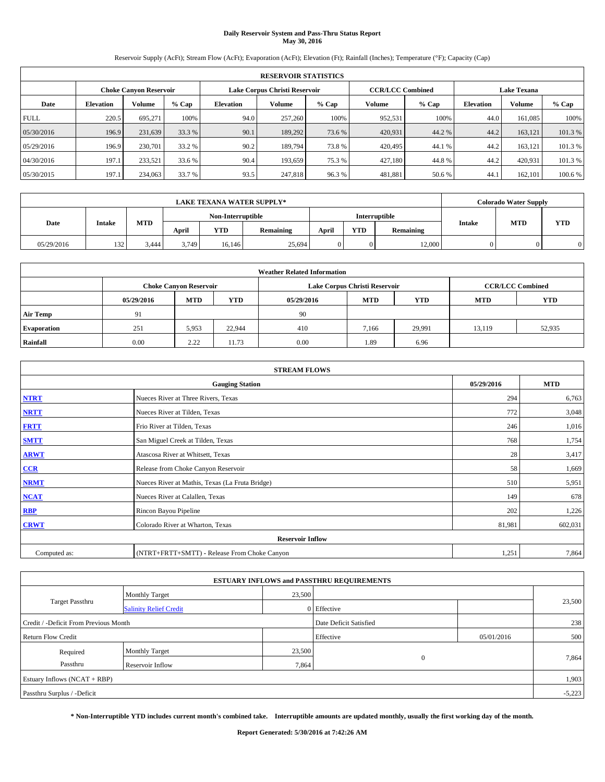# **Daily Reservoir System and Pass-Thru Status Report May 30, 2016**

Reservoir Supply (AcFt); Stream Flow (AcFt); Evaporation (AcFt); Elevation (Ft); Rainfall (Inches); Temperature (°F); Capacity (Cap)

|             | <b>RESERVOIR STATISTICS</b> |                        |         |                               |         |         |                         |         |                    |               |         |  |
|-------------|-----------------------------|------------------------|---------|-------------------------------|---------|---------|-------------------------|---------|--------------------|---------------|---------|--|
|             |                             | Choke Canvon Reservoir |         | Lake Corpus Christi Reservoir |         |         | <b>CCR/LCC Combined</b> |         | <b>Lake Texana</b> |               |         |  |
| Date        | <b>Elevation</b>            | Volume                 | $%$ Cap | <b>Elevation</b>              | Volume  | $%$ Cap | Volume                  | $%$ Cap | <b>Elevation</b>   | <b>Volume</b> | % Cap   |  |
| <b>FULL</b> | 220.5                       | 695.271                | 100%    | 94.0                          | 257,260 | 100%    | 952,531                 | 100%    | 44.0               | 161.085       | 100%    |  |
| 05/30/2016  | 196.9                       | 231,639                | 33.3 %  | 90.1                          | 189,292 | 73.6 %  | 420,931                 | 44.2 %  | 44.2               | 163,121       | 101.3%  |  |
| 05/29/2016  | 196.9                       | 230,701                | 33.2 %  | 90.2                          | 189,794 | 73.8%   | 420,495                 | 44.1 %  | 44.2               | 163,121       | 101.3 % |  |
| 04/30/2016  | 197.1                       | 233.521                | 33.6 %  | 90.4                          | 193.659 | 75.3 %  | 427.180                 | 44.8%   | 44.2               | 420.931       | 101.3 % |  |
| 05/30/2015  | 197.1                       | 234,063                | 33.7 %  | 93.5                          | 247,818 | 96.3%   | 481,881                 | 50.6%   | 44.                | 162,101       | 100.6 % |  |

|            |               |            |       | <b>LAKE TEXANA WATER SUPPLY*</b><br><b>Colorado Water Supply</b> |                  |       |            |               |        |            |            |
|------------|---------------|------------|-------|------------------------------------------------------------------|------------------|-------|------------|---------------|--------|------------|------------|
|            |               |            |       | Non-Interruptible                                                |                  |       |            | Interruptible |        | <b>MTD</b> |            |
| Date       | <b>Intake</b> | <b>MTD</b> | April | YTD                                                              | <b>Remaining</b> | April | <b>YTD</b> | Remaining     | Intake |            | <b>YTD</b> |
| 05/29/2016 | 132           | 3.444      | 3.749 | 16.146                                                           | 25,694           |       | $\Omega$   | 12,000        |        |            |            |

|                    | <b>Weather Related Information</b> |                               |            |            |                               |                         |            |            |  |  |  |  |
|--------------------|------------------------------------|-------------------------------|------------|------------|-------------------------------|-------------------------|------------|------------|--|--|--|--|
|                    |                                    | <b>Choke Canyon Reservoir</b> |            |            | Lake Corpus Christi Reservoir | <b>CCR/LCC Combined</b> |            |            |  |  |  |  |
|                    | 05/29/2016                         | <b>MTD</b>                    | <b>YTD</b> | 05/29/2016 | <b>MTD</b>                    | <b>YTD</b>              | <b>MTD</b> | <b>YTD</b> |  |  |  |  |
| <b>Air Temp</b>    | 91                                 |                               |            | 90         |                               |                         |            |            |  |  |  |  |
| <b>Evaporation</b> | 251                                | 5,953                         | 22.944     | 410        | 7,166                         | 29.991                  | 13,119     | 52,935     |  |  |  |  |
| Rainfall           | 0.00                               | 2.22                          | 11.73      | 0.00       | 1.89                          | 6.96                    |            |            |  |  |  |  |

|              | <b>STREAM FLOWS</b>                             |            |            |  |  |  |  |  |  |  |
|--------------|-------------------------------------------------|------------|------------|--|--|--|--|--|--|--|
|              | <b>Gauging Station</b>                          | 05/29/2016 | <b>MTD</b> |  |  |  |  |  |  |  |
| <b>NTRT</b>  | Nueces River at Three Rivers, Texas             | 294        | 6,763      |  |  |  |  |  |  |  |
| <b>NRTT</b>  | Nueces River at Tilden, Texas                   | 772        | 3,048      |  |  |  |  |  |  |  |
| <b>FRTT</b>  | Frio River at Tilden, Texas                     | 246        | 1,016      |  |  |  |  |  |  |  |
| <b>SMTT</b>  | San Miguel Creek at Tilden, Texas               | 768        | 1,754      |  |  |  |  |  |  |  |
| <b>ARWT</b>  | Atascosa River at Whitsett, Texas               | 28         | 3,417      |  |  |  |  |  |  |  |
| CCR          | Release from Choke Canyon Reservoir             | 58         | 1,669      |  |  |  |  |  |  |  |
| <b>NRMT</b>  | Nueces River at Mathis, Texas (La Fruta Bridge) | 510        | 5,951      |  |  |  |  |  |  |  |
| <b>NCAT</b>  | Nueces River at Calallen, Texas                 | 149        | 678        |  |  |  |  |  |  |  |
| RBP          | Rincon Bayou Pipeline                           | 202        | 1,226      |  |  |  |  |  |  |  |
| <b>CRWT</b>  | Colorado River at Wharton, Texas                | 81,981     | 602,031    |  |  |  |  |  |  |  |
|              | <b>Reservoir Inflow</b>                         |            |            |  |  |  |  |  |  |  |
| Computed as: | (NTRT+FRTT+SMTT) - Release From Choke Canyon    | 1,251      | 7,864      |  |  |  |  |  |  |  |

| <b>ESTUARY INFLOWS and PASSTHRU REQUIREMENTS</b> |                               |                        |             |            |          |  |  |  |  |  |
|--------------------------------------------------|-------------------------------|------------------------|-------------|------------|----------|--|--|--|--|--|
|                                                  | <b>Monthly Target</b>         | 23,500                 |             |            |          |  |  |  |  |  |
| <b>Target Passthru</b>                           | <b>Salinity Relief Credit</b> |                        | 0 Effective |            | 23,500   |  |  |  |  |  |
| Credit / -Deficit From Previous Month            |                               | Date Deficit Satisfied |             | 238        |          |  |  |  |  |  |
| <b>Return Flow Credit</b>                        |                               |                        | Effective   | 05/01/2016 | 500      |  |  |  |  |  |
| Required                                         | <b>Monthly Target</b>         | 23,500                 |             |            |          |  |  |  |  |  |
| Passthru                                         | <b>Reservoir Inflow</b>       | 7,864                  | $\Omega$    |            | 7,864    |  |  |  |  |  |
| Estuary Inflows (NCAT + RBP)                     |                               |                        |             |            |          |  |  |  |  |  |
| Passthru Surplus / -Deficit                      |                               |                        |             |            | $-5,223$ |  |  |  |  |  |